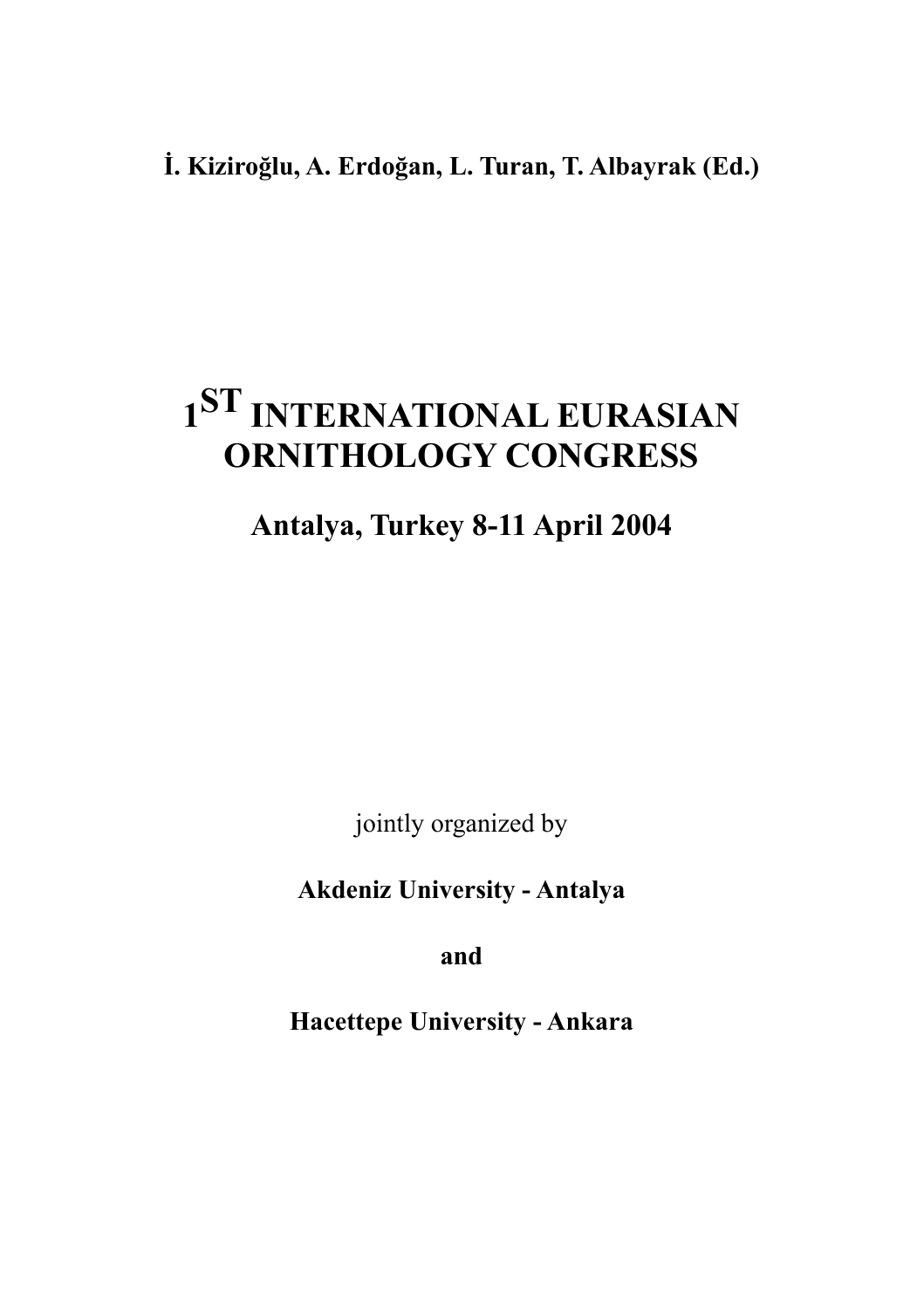## **İ. Kiziroğlu, A. Erdoğan, L. Turan, T. Albayrak (Ed.)**

# **1ST INTERNATIONAL EURASIAN ORNITHOLOGY CONGRESS**

## **Antalya, Turkey 8-11 April 2004**

jointly organized by

**Akdeniz University - Antalya**

**and**

**Hacettepe University - Ankara**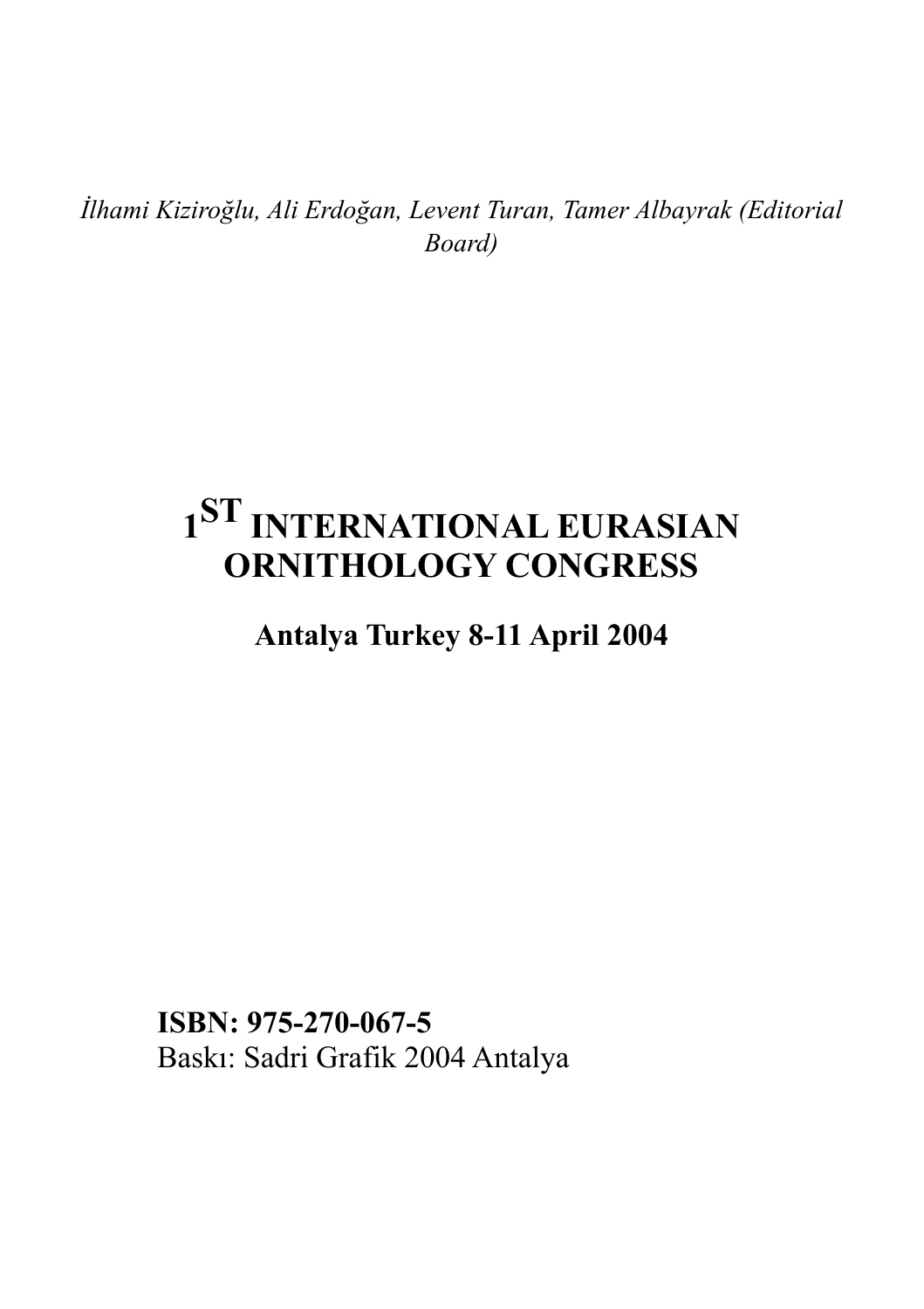*İlhami Kiziroğlu, Ali Erdoğan, Levent Turan, Tamer Albayrak (Editorial Board)*

# **1ST INTERNATIONAL EURASIAN ORNITHOLOGY CONGRESS**

**Antalya Turkey 8-11 April 2004**

**ISBN: 975-270-067-5** Baskı: Sadri Grafik 2004 Antalya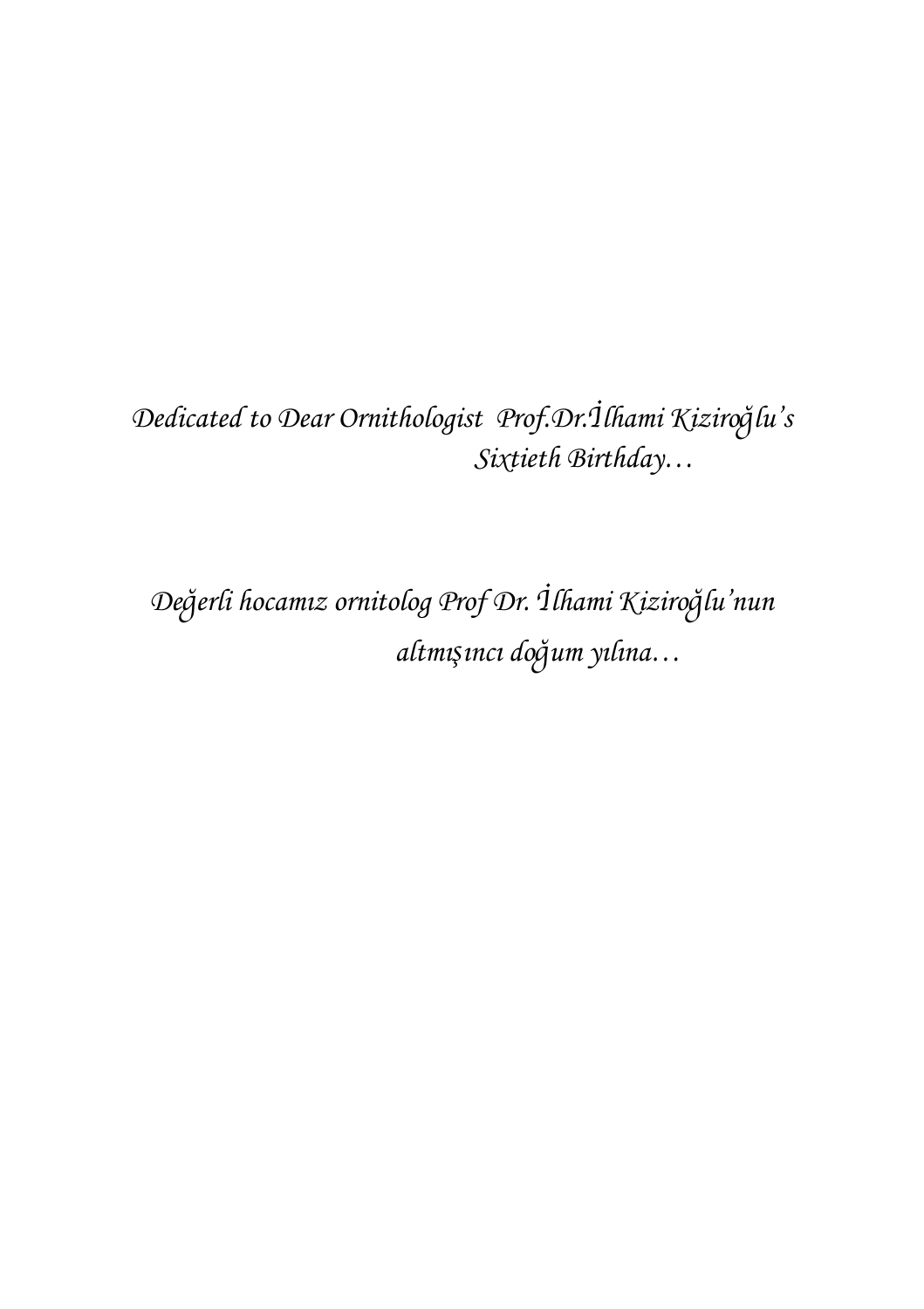## *Dedicated to Dear Ornithologist Prof.Dr.*İ*lhami Kiziro*ğ*lu's Sixtieth Birthday…*

*De*ğ*erli hocamız ornitolog Prof Dr.* İ*lhami Kiziro*ğ*lu'nun altmı*ş*ıncı do*ğ*um yılına…*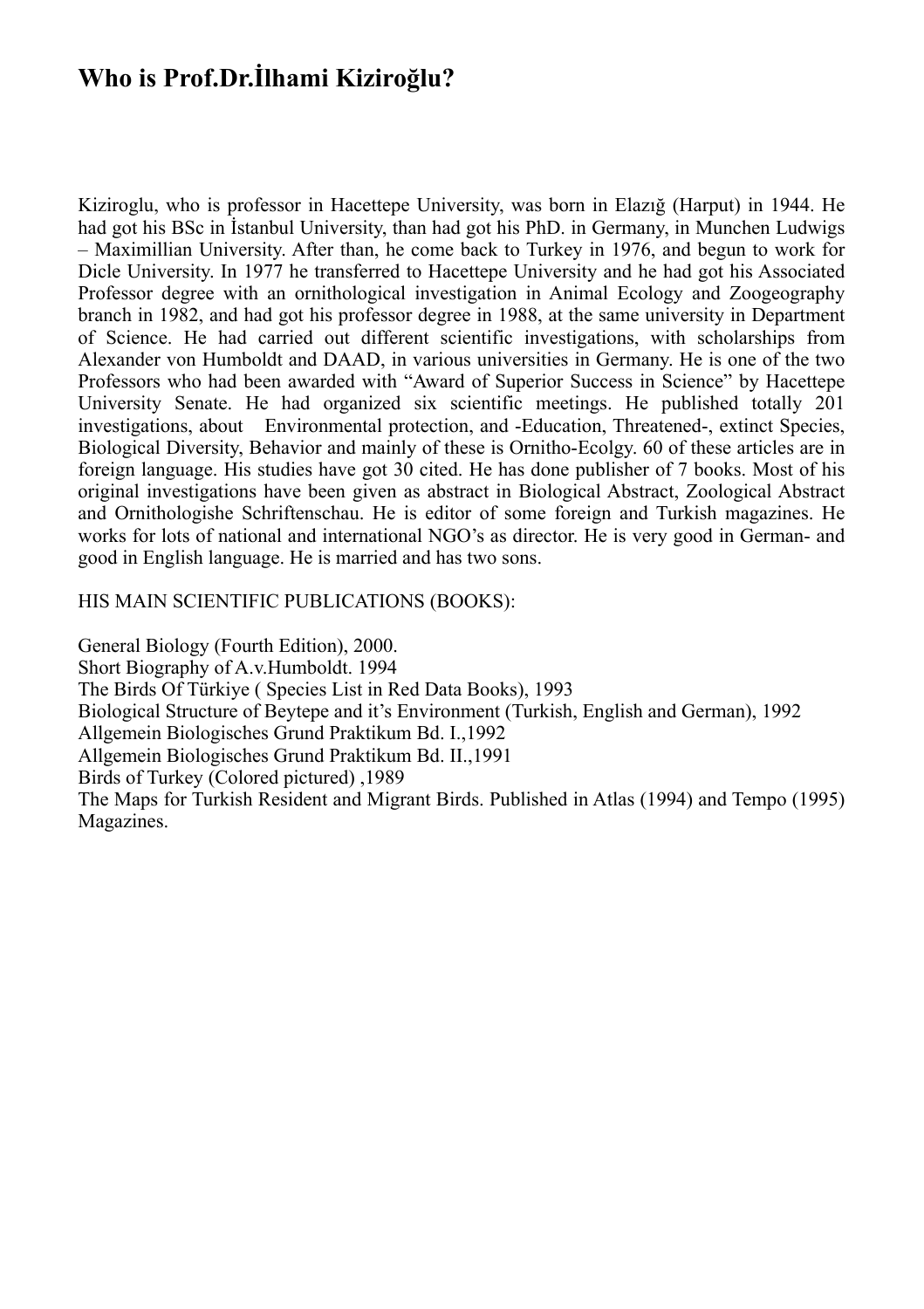## **Who is Prof.Dr.İlhami Kiziroğlu?**

Kiziroglu, who is professor in Hacettepe University, was born in Elazığ (Harput) in 1944. He had got his BSc in İstanbul University, than had got his PhD. in Germany, in Munchen Ludwigs – Maximillian University. After than, he come back to Turkey in 1976, and begun to work for Dicle University. In 1977 he transferred to Hacettepe University and he had got his Associated Professor degree with an ornithological investigation in Animal Ecology and Zoogeography branch in 1982, and had got his professor degree in 1988, at the same university in Department of Science. He had carried out different scientific investigations, with scholarships from Alexander von Humboldt and DAAD, in various universities in Germany. He is one of the two Professors who had been awarded with "Award of Superior Success in Science" by Hacettepe University Senate. He had organized six scientific meetings. He published totally 201 investigations, about Environmental protection, and -Education, Threatened-, extinct Species, Biological Diversity, Behavior and mainly of these is Ornitho-Ecolgy. 60 of these articles are in foreign language. His studies have got 30 cited. He has done publisher of 7 books. Most of his original investigations have been given as abstract in Biological Abstract, Zoological Abstract and Ornithologishe Schriftenschau. He is editor of some foreign and Turkish magazines. He works for lots of national and international NGO's as director. He is very good in German- and good in English language. He is married and has two sons.

#### HIS MAIN SCIENTIFIC PUBLICATIONS (BOOKS):

General Biology (Fourth Edition), 2000. Short Biography of A.v.Humboldt. 1994 The Birds Of Türkiye ( Species List in Red Data Books), 1993 Biological Structure of Beytepe and it's Environment (Turkish, English and German), 1992 Allgemein Biologisches Grund Praktikum Bd. I.,1992 Allgemein Biologisches Grund Praktikum Bd. II.,1991 Birds of Turkey (Colored pictured) ,1989 The Maps for Turkish Resident and Migrant Birds. Published in Atlas (1994) and Tempo (1995) Magazines.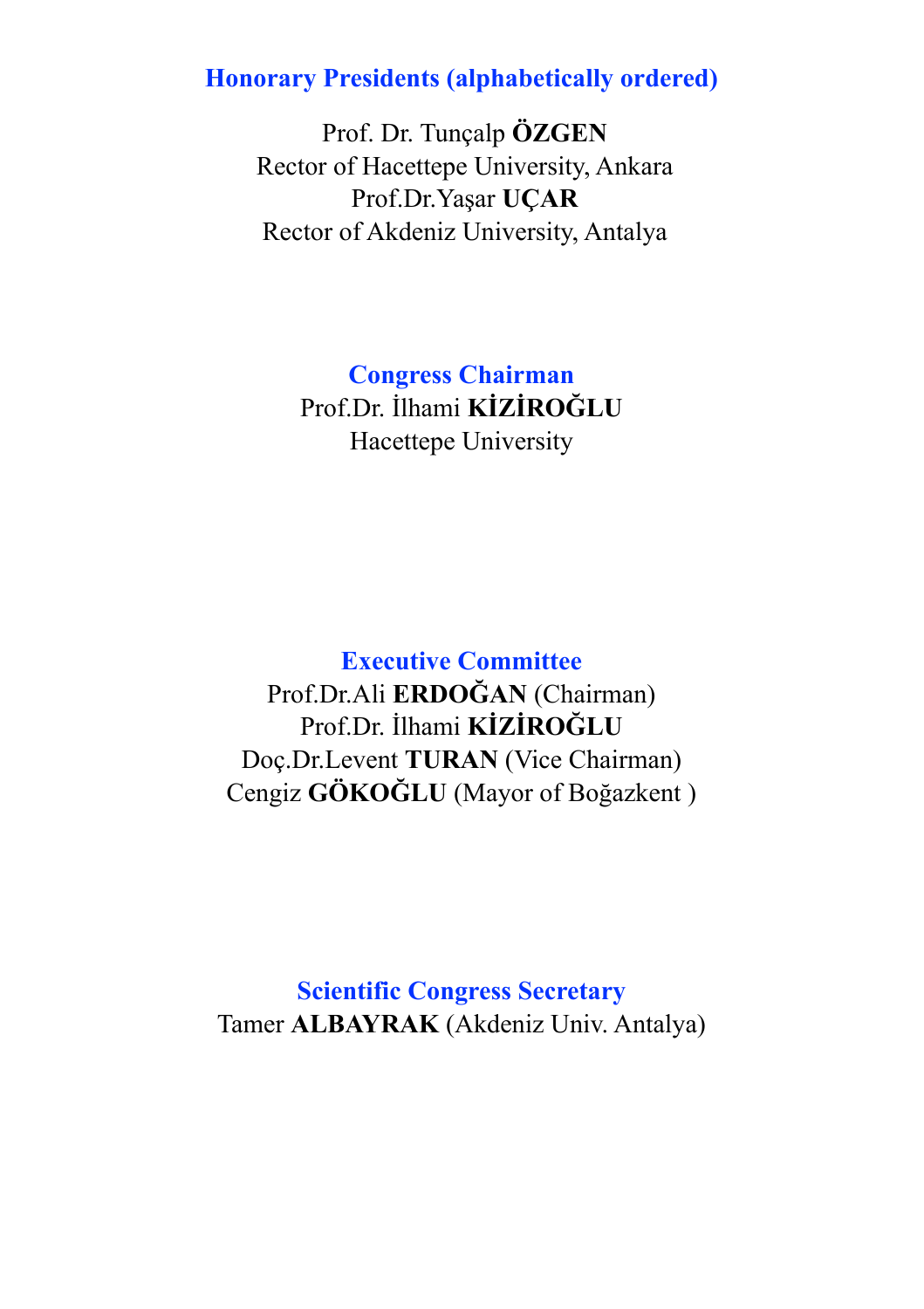## **Honorary Presidents (alphabetically ordered)**

 Prof. Dr. Tunçalp **ÖZGEN** Rector of Hacettepe University, Ankara Prof.Dr.Yaşar **UÇAR** Rector of Akdeniz University, Antalya

> **Congress Chairman** Prof.Dr. İlhami **KİZİROĞLU** Hacettepe University

## **Executive Committee**

Prof.Dr.Ali **ERDOĞAN** (Chairman) Prof.Dr. İlhami **KİZİROĞLU** Doç.Dr.Levent **TURAN** (Vice Chairman) Cengiz **GÖKOĞLU** (Mayor of Boğazkent )

**Scientific Congress Secretary** Tamer **ALBAYRAK** (Akdeniz Univ. Antalya)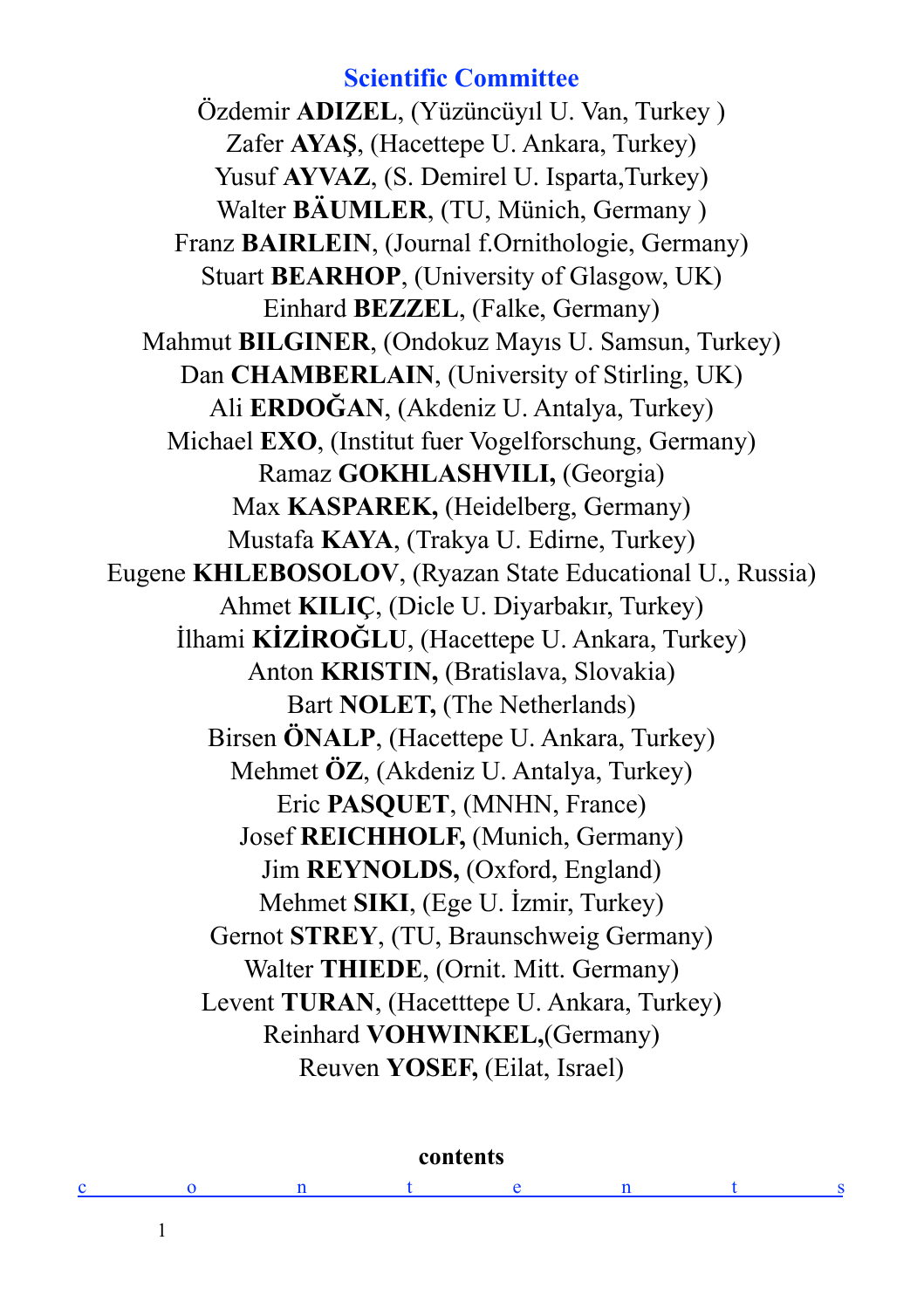**Scientific Committee** Özdemir **ADIZEL**, (Yüzüncüyıl U. Van, Turkey ) Zafer **AYAŞ**, (Hacettepe U. Ankara, Turkey) Yusuf **AYVAZ**, (S. Demirel U. Isparta, Turkey) Walter **BÄUMLER**, (TU, Münich, Germany ) Franz **BAIRLEIN**, (Journal f.Ornithologie, Germany) Stuart **BEARHOP**, (University of Glasgow, UK) Einhard **BEZZEL**, (Falke, Germany) Mahmut **BILGINER**, (Ondokuz Mayıs U. Samsun, Turkey) Dan **CHAMBERLAIN**, (University of Stirling, UK) Ali **ERDOĞAN**, (Akdeniz U. Antalya, Turkey) Michael **EXO**, (Institut fuer Vogelforschung, Germany) Ramaz **GOKHLASHVILI,** (Georgia) Max **KASPAREK,** (Heidelberg, Germany) Mustafa **KAYA**, (Trakya U. Edirne, Turkey) Eugene **KHLEBOSOLOV**, (Ryazan State Educational U., Russia) Ahmet **KILIÇ**, (Dicle U. Diyarbakır, Turkey) İlhami **KİZİROĞLU**, (Hacettepe U. Ankara, Turkey) Anton **KRISTIN,** (Bratislava, Slovakia) Bart **NOLET,** (The Netherlands) Birsen **ÖNALP**, (Hacettepe U. Ankara, Turkey) Mehmet **ÖZ**, (Akdeniz U. Antalya, Turkey) Eric **PASQUET**, (MNHN, France) Josef **REICHHOLF,** (Munich, Germany) Jim **REYNOLDS,** (Oxford, England) Mehmet **SIKI**, (Ege U. İzmir, Turkey) Gernot **STREY**, (TU, Braunschweig Germany) Walter **THIEDE**, (Ornit. Mitt. Germany) Levent **TURAN**, (Hacetttepe U. Ankara, Turkey) Reinhard **VOHWINKEL,**(Germany) Reuven **YOSEF,** (Eilat, Israel)

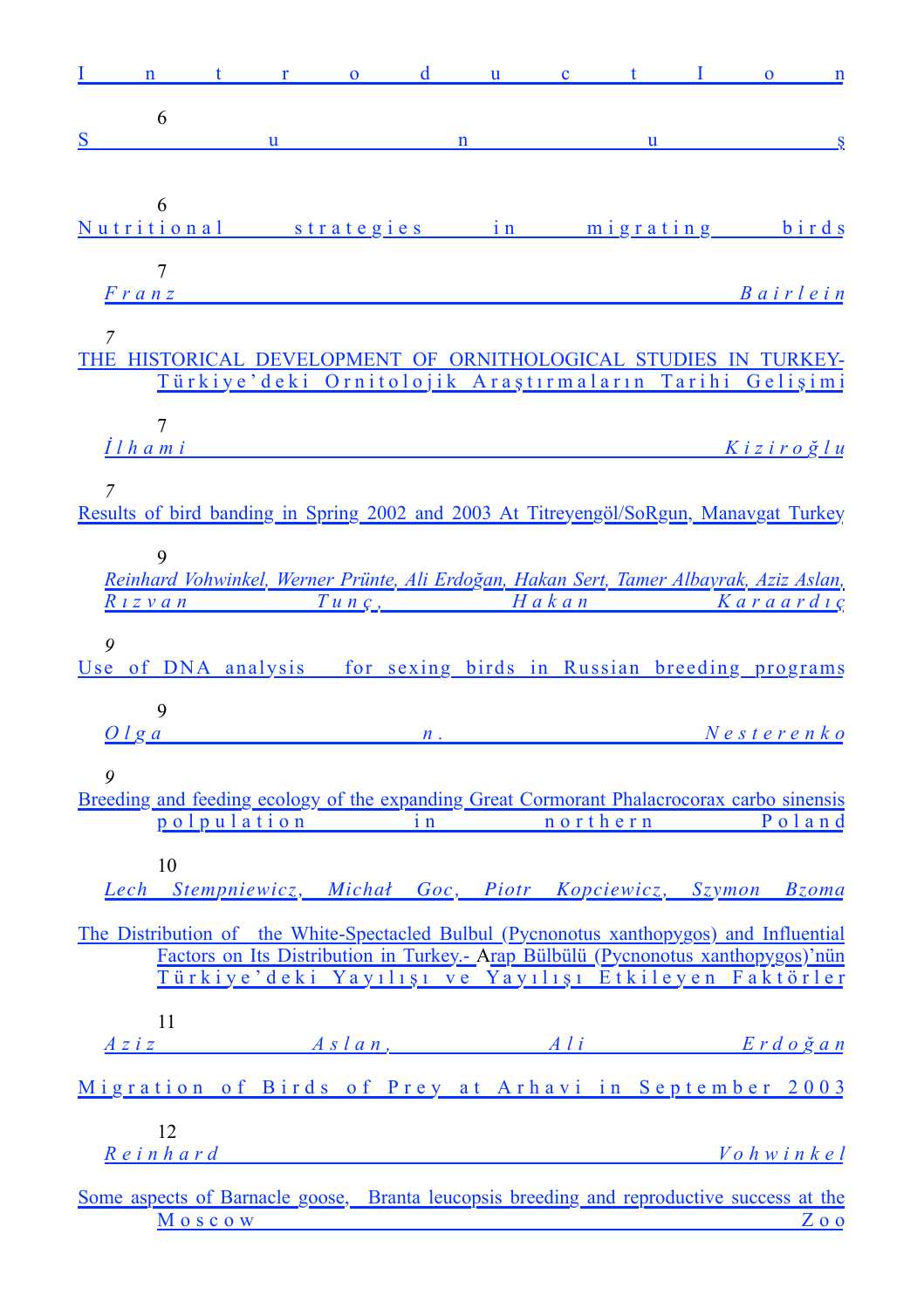| $\mathbf n$                                                                                                             | $t -$                                                                             | $\mathbf{r}$ and $\mathbf{r}$ and $\mathbf{r}$ and $\mathbf{r}$ and $\mathbf{r}$ and $\mathbf{r}$ and $\mathbf{r}$ and $\mathbf{r}$ and $\mathbf{r}$ and $\mathbf{r}$ and $\mathbf{r}$ and $\mathbf{r}$ and $\mathbf{r}$ and $\mathbf{r}$ and $\mathbf{r}$ and $\mathbf{r}$ and $\mathbf{r}$ and |               | $\mathbf d$ | $\mathbf{u}$ | $\mathbf{c}$ and $\mathbf{t}$ and $\mathbf{c}$ | $\mathbf{I}$ | $\mathbf{O}$                      | $\mathbf{n}$            |
|-------------------------------------------------------------------------------------------------------------------------|-----------------------------------------------------------------------------------|--------------------------------------------------------------------------------------------------------------------------------------------------------------------------------------------------------------------------------------------------------------------------------------------------|---------------|-------------|--------------|------------------------------------------------|--------------|-----------------------------------|-------------------------|
| 6                                                                                                                       |                                                                                   |                                                                                                                                                                                                                                                                                                  |               |             |              |                                                |              |                                   |                         |
| S                                                                                                                       |                                                                                   | $\mathbf{u}$                                                                                                                                                                                                                                                                                     |               | n           |              | $\mathbf{u}$                                   |              |                                   | $\overline{\mathbf{S}}$ |
|                                                                                                                         |                                                                                   |                                                                                                                                                                                                                                                                                                  |               |             |              |                                                |              |                                   |                         |
| 6<br>Nutritional strategies in migrating birds                                                                          |                                                                                   |                                                                                                                                                                                                                                                                                                  |               |             |              |                                                |              |                                   |                         |
|                                                                                                                         |                                                                                   |                                                                                                                                                                                                                                                                                                  |               |             |              |                                                |              |                                   |                         |
| 7<br>Franz Bairlein                                                                                                     |                                                                                   |                                                                                                                                                                                                                                                                                                  |               |             |              |                                                |              |                                   |                         |
| 7<br>THE HISTORICAL DEVELOPMENT OF ORNITHOLOGICAL STUDIES IN TURKEY-                                                    |                                                                                   |                                                                                                                                                                                                                                                                                                  |               |             |              |                                                |              |                                   |                         |
|                                                                                                                         | Türkiye'deki Ornitolojik Araştırmaların Tarihi Gelişimi                           |                                                                                                                                                                                                                                                                                                  |               |             |              |                                                |              |                                   |                         |
|                                                                                                                         |                                                                                   |                                                                                                                                                                                                                                                                                                  |               |             |              |                                                |              |                                   |                         |
| 7<br>Ilhami ve                                                                                                          |                                                                                   |                                                                                                                                                                                                                                                                                                  |               |             |              |                                                |              | Kiziroğlu                         |                         |
|                                                                                                                         |                                                                                   |                                                                                                                                                                                                                                                                                                  |               |             |              |                                                |              |                                   |                         |
| 7<br>Results of bird banding in Spring 2002 and 2003 At Titreyengöl/SoRgun, Manavgat Turkey                             |                                                                                   |                                                                                                                                                                                                                                                                                                  |               |             |              |                                                |              |                                   |                         |
|                                                                                                                         |                                                                                   |                                                                                                                                                                                                                                                                                                  |               |             |              |                                                |              |                                   |                         |
| 9                                                                                                                       |                                                                                   |                                                                                                                                                                                                                                                                                                  |               |             |              |                                                |              |                                   |                         |
| Reinhard Vohwinkel, Werner Prünte, Ali Erdoğan, Hakan Sert, Tamer Albayrak, Aziz Aslan,<br>Rizvan Tunç, Hakan Karaardıç |                                                                                   |                                                                                                                                                                                                                                                                                                  |               |             |              |                                                |              |                                   |                         |
|                                                                                                                         |                                                                                   |                                                                                                                                                                                                                                                                                                  |               |             |              |                                                |              |                                   |                         |
| 9<br>Use of DNA analysis for sexing birds in Russian breeding programs                                                  |                                                                                   |                                                                                                                                                                                                                                                                                                  |               |             |              |                                                |              |                                   |                         |
|                                                                                                                         |                                                                                   |                                                                                                                                                                                                                                                                                                  |               |             |              |                                                |              |                                   |                         |
| 9                                                                                                                       |                                                                                   |                                                                                                                                                                                                                                                                                                  |               |             |              |                                                |              |                                   |                         |
| Olga                                                                                                                    |                                                                                   |                                                                                                                                                                                                                                                                                                  | $\mathbf n$ . |             |              |                                                |              | $N$ esterenko                     |                         |
| 9                                                                                                                       |                                                                                   |                                                                                                                                                                                                                                                                                                  |               |             |              |                                                |              |                                   |                         |
| Breeding and feeding ecology of the expanding Great Cormorant Phalacrocorax carbo sinensis                              | polpulation in northern Poland                                                    |                                                                                                                                                                                                                                                                                                  |               |             |              |                                                |              |                                   |                         |
|                                                                                                                         |                                                                                   |                                                                                                                                                                                                                                                                                                  |               |             |              |                                                |              |                                   |                         |
| 10                                                                                                                      |                                                                                   |                                                                                                                                                                                                                                                                                                  |               |             |              |                                                |              |                                   |                         |
| Lech Stempniewicz, Michał Goc, Piotr Kopciewicz, Szymon Bzoma                                                           |                                                                                   |                                                                                                                                                                                                                                                                                                  |               |             |              |                                                |              |                                   |                         |
| The Distribution of the White-Spectacled Bulbul (Pycnonotus xanthopygos) and Influential                                |                                                                                   |                                                                                                                                                                                                                                                                                                  |               |             |              |                                                |              |                                   |                         |
|                                                                                                                         | Factors on Its Distribution in Turkey.- Arap Bülbülü (Pycnonotus xanthopygos)'nün |                                                                                                                                                                                                                                                                                                  |               |             |              |                                                |              |                                   |                         |
|                                                                                                                         | Türkiye'deki Yayılışı ve Yayılışı Etkileyen Faktörler                             |                                                                                                                                                                                                                                                                                                  |               |             |              |                                                |              |                                   |                         |
| 11                                                                                                                      |                                                                                   |                                                                                                                                                                                                                                                                                                  |               |             |              |                                                |              |                                   |                         |
| A z i z                                                                                                                 |                                                                                   |                                                                                                                                                                                                                                                                                                  |               |             |              |                                                |              | <i>Aslan</i> , <i>Ali Erdoğan</i> |                         |
| Migration of Birds of Prey at Arhavi in September 2003                                                                  |                                                                                   |                                                                                                                                                                                                                                                                                                  |               |             |              |                                                |              |                                   |                         |
| 12                                                                                                                      |                                                                                   |                                                                                                                                                                                                                                                                                                  |               |             |              |                                                |              |                                   |                         |
| $R$ einhard                                                                                                             |                                                                                   |                                                                                                                                                                                                                                                                                                  |               |             |              |                                                |              | $V$ ohwinkel                      |                         |
| Some aspects of Barnacle goose, Branta leucopsis breeding and reproductive success at the                               |                                                                                   |                                                                                                                                                                                                                                                                                                  |               |             |              |                                                |              |                                   |                         |
|                                                                                                                         | Moscow                                                                            |                                                                                                                                                                                                                                                                                                  |               |             |              |                                                |              |                                   | Z o o                   |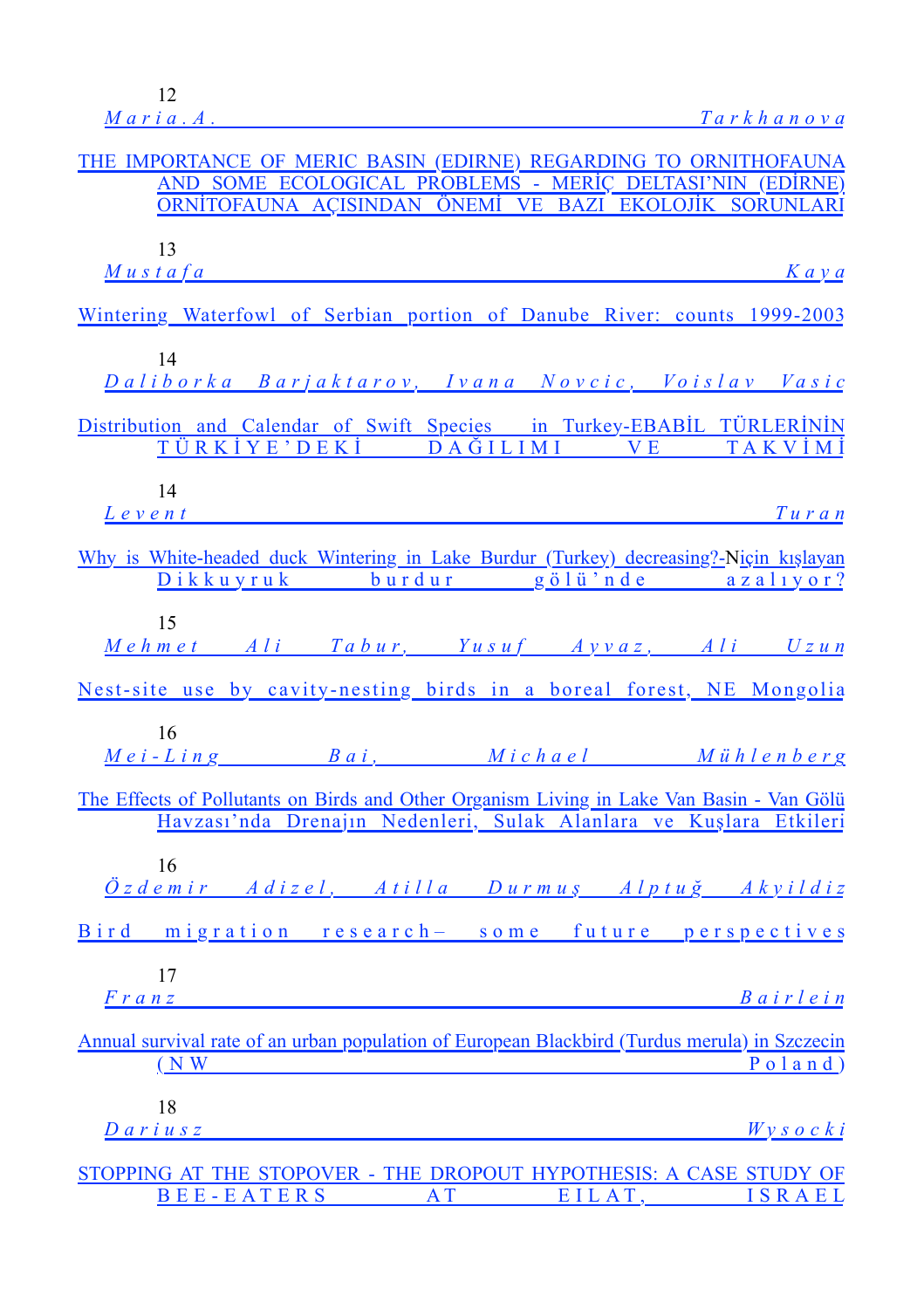| THE IMPORTANCE OF MERIC BASIN (EDIRNE) REGARDING TO ORNITHOFAUNA<br>AND SOME ECOLOGICAL PROBLEMS - MERİÇ DELTASI'NIN (EDİRNE)<br>ORNİTOFAUNA AÇISINDAN ÖNEMİ VE BAZI EKOLOJİK SORUNLARI |
|-----------------------------------------------------------------------------------------------------------------------------------------------------------------------------------------|
| 13<br>$M$ ustafa $\qquad$<br>$K$ a $v$ a                                                                                                                                                |
| Wintering Waterfowl of Serbian portion of Danube River: counts 1999-2003                                                                                                                |
| 14<br>Daliborka Barjaktarov, Ivana Novcic, Voislav Vasic                                                                                                                                |
| Distribution and Calendar of Swift Species in Turkey-EBABİL TÜRLERİNİN<br>TÜRKİYE'DEKİ DAĞILIMI<br>VE TAKVİMİ                                                                           |
| 14<br>$L$ e v e n t<br>$T$ uran                                                                                                                                                         |
| Why is White-headed duck Wintering in Lake Burdur (Turkey) decreasing?-Niçin kışlayan<br>Dikkuyruk burdur gölü'nde azalıyor?                                                            |
| 15<br>Mehmet Ali Tabur, Yusuf Ayvaz, Ali Uzun                                                                                                                                           |
| Nest-site use by cavity-nesting birds in a boreal forest, NE Mongolia                                                                                                                   |
| 16<br>Mei-Ling Bai, Michael Mühlenberg                                                                                                                                                  |
| The Effects of Pollutants on Birds and Other Organism Living in Lake Van Basin - Van Gölü<br>Havzası'nda Drenajın Nedenleri, Sulak Alanlara ve Kuşlara Etkileri                         |
| 16<br><u>Özdemir Adizel, Atilla Durmuş Alptuğ Akyildiz</u>                                                                                                                              |
| Bird migration research- some future perspectives                                                                                                                                       |
| 17<br><i>Bairlein</i><br>$\frac{F \, r \, a \, n \, z}{F \, r \, a \, n \, z}$                                                                                                          |
| Annual survival rate of an urban population of European Blackbird (Turdus merula) in Szczecin<br>$($ N W<br>$P$ o l a n d $)$                                                           |
| 18<br>Wy s o c k i<br>$D$ ariusz                                                                                                                                                        |
| STOPPING AT THE STOPOVER - THE DROPOUT HYPOTHESIS: A CASE STUDY OF<br>BEE-EATERS AT<br>EILAT, ISRAEL                                                                                    |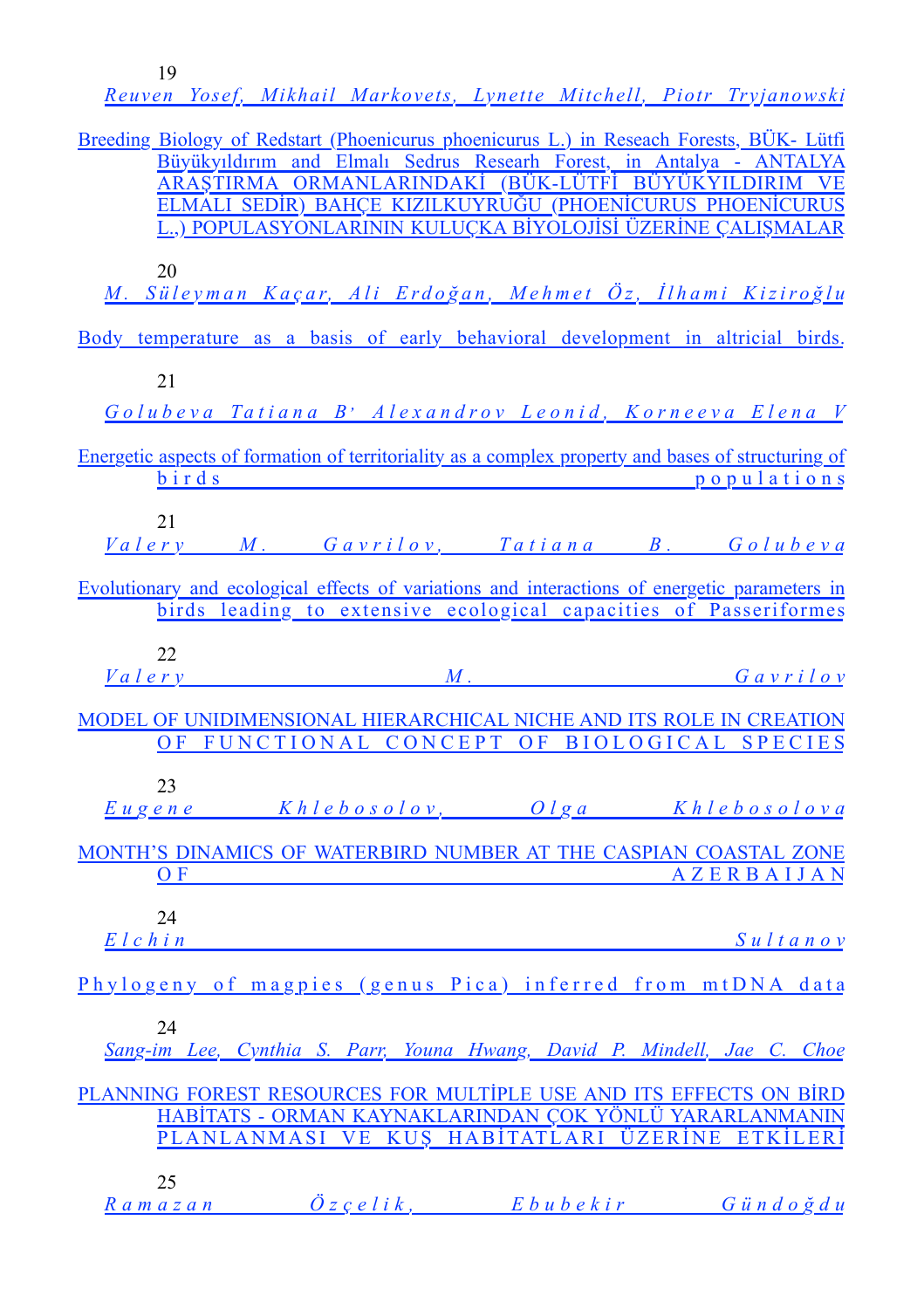| Reuven Yosef, Mikhail Markovets, Lynette Mitchell, Piotr Tryjanowski                                                                                                                                                                                                                                                                                  |
|-------------------------------------------------------------------------------------------------------------------------------------------------------------------------------------------------------------------------------------------------------------------------------------------------------------------------------------------------------|
| Breeding Biology of Redstart (Phoenicurus phoenicurus L.) in Reseach Forests, BÜK- Lütfi<br>Büyükyıldırım and Elmalı Sedrus Researh Forest, in Antalya - ANTALYA<br>ARAŞTIRMA ORMANLARINDAKİ (BÜK-LÜTFİ BÜYÜKYILDIRIM VE<br>ELMALI SEDİR) BAHÇE KIZILKUYRUĞU (PHOENİCURUS PHOENİCURUS<br>L.,) POPULASYONLARININ KULUÇKA BİYOLOJİSİ ÜZERİNE ÇALIŞMALAR |
| 20<br>M. Süleyman Kaçar, Ali Erdoğan, Mehmet Öz, İlhami Kiziroğlu                                                                                                                                                                                                                                                                                     |
| Body temperature as a basis of early behavioral development in altricial birds.                                                                                                                                                                                                                                                                       |
| 21                                                                                                                                                                                                                                                                                                                                                    |
| Golubeva Tatiana B' Alexandrov Leonid, Korneeva Elena V                                                                                                                                                                                                                                                                                               |
| Energetic aspects of formation of territoriality as a complex property and bases of structuring of<br>binds<br>populations                                                                                                                                                                                                                            |
| 21<br>Valery M. Gavrilov, Tatiana B. Golubeva                                                                                                                                                                                                                                                                                                         |
| Evolutionary and ecological effects of variations and interactions of energetic parameters in<br>birds leading to extensive ecological capacities of Passeriformes                                                                                                                                                                                    |
| 22<br>Valery M. Gavrilov                                                                                                                                                                                                                                                                                                                              |
| MODEL OF UNIDIMENSIONAL HIERARCHICAL NICHE AND ITS ROLE IN CREATION<br>OF FUNCTIONAL CONCEPT OF BIOLOGICAL SPECIES                                                                                                                                                                                                                                    |
| 23<br>Khlebosolov, Olga Khlebosolova<br>E u g en e                                                                                                                                                                                                                                                                                                    |
| MONTH'S DINAMICS OF WATERBIRD NUMBER AT THE CASPIAN COASTAL ZONE<br><b>AZERBAIJAN</b><br>O F                                                                                                                                                                                                                                                          |
| 24<br>$E$ l c h i n<br>$S$ ultanov                                                                                                                                                                                                                                                                                                                    |
| Phylogeny of magpies (genus Pica) inferred from mtDNA data                                                                                                                                                                                                                                                                                            |
| 24<br>Sang-im Lee, Cynthia S. Parr, Youna Hwang, David P. Mindell, Jae C. Choe                                                                                                                                                                                                                                                                        |
| PLANNING FOREST RESOURCES FOR MULTIPLE USE AND ITS EFFECTS ON BIRD                                                                                                                                                                                                                                                                                    |
| HABİTATS - ORMAN KAYNAKLARINDAN COK YÖNLÜ YARARLANMANIN<br>PLANLANMASI VE KUŞ HABİTATLARI ÜZERİNE ETKİLERİ                                                                                                                                                                                                                                            |
| 25<br>Ramazan Özçelik, Ebubekir Gündoğdu                                                                                                                                                                                                                                                                                                              |

[19](%5Cl%20%22_Toc68886777%22)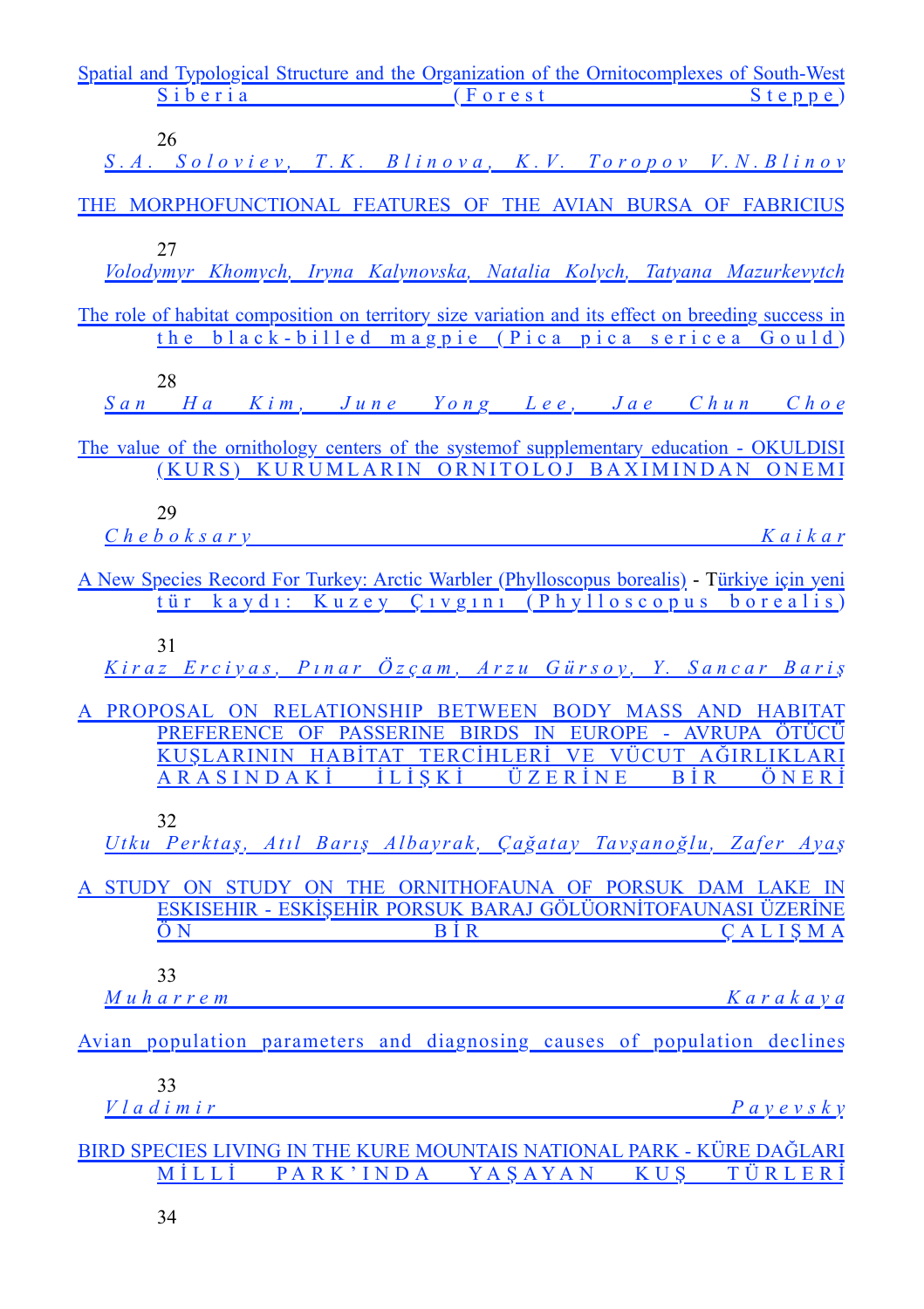| Spatial and Typological Structure and the Organization of the Ornitocomplexes of South-West                                                                                                               |            |
|-----------------------------------------------------------------------------------------------------------------------------------------------------------------------------------------------------------|------------|
| Siberia (Forest)                                                                                                                                                                                          | $S$ teppe) |
| 26<br>S.A. Soloviev, T.K. Blinova, K.V. Toropov V.N.Blinov                                                                                                                                                |            |
| THE MORPHOFUNCTIONAL FEATURES OF THE AVIAN BURSA OF FABRICIUS                                                                                                                                             |            |
| 27<br>Volodymyr Khomych, Iryna Kalynovska, Natalia Kolych, Tatyana Mazurkevytch                                                                                                                           |            |
| The role of habitat composition on territory size variation and its effect on breeding success in<br>the black-billed magpie (Pica pica sericea Gould)                                                    |            |
| 28<br>San Ha Kim, June Yong Lee, Jae Chun Choe                                                                                                                                                            |            |
| The value of the ornithology centers of the system of supplementary education - OKULDISI<br>(KURS) KURUMLARIN ORNITOLOJ BAXIMINDAN ONEMI                                                                  |            |
| 29<br>$C$ h e b o k s a r y                                                                                                                                                                               | Kaikar     |
| A New Species Record For Turkey: Arctic Warbler (Phylloscopus borealis) - Türkiye için yeni<br>tür kaydı: Kuzey Çıvgını (Phylloscopus borealis)                                                           |            |
| 31<br>Kiraz Erciyas, Pınar Özçam, Arzu Gürsoy, Y. Sancar Bariş                                                                                                                                            |            |
| A PROPOSAL ON RELATIONSHIP BETWEEN BODY MASS AND HABITAT<br>PREFERENCE OF PASSERINE BIRDS IN EUROPE - AVRUPA ÖTÜCÜ<br>KUŞLARININ HABİTAT TERCİHLERİ VE VÜCUT AĞIRLIKLARI<br>ARASINDAKİ İLİŞKİ ÜZERİNE BİR | ÖNERI      |
| 32<br>Utku Perktaş, Atıl Barış Albayrak, Çağatay Tavşanoğlu, Zafer Ayaş                                                                                                                                   |            |
| A STUDY ON STUDY ON THE ORNITHOFAUNA OF PORSUK DAM LAKE IN<br>ESKISEHIR - ESKIŞEHIR PORSUK BARAJ GÖLÜORNITOFAUNASI ÜZERINE<br>$B\dot{I}R$<br>$\ddot{\text{O}}$ N                                          | CALISMA    |
| 33<br><u> Muharrem</u>                                                                                                                                                                                    | Karakaya   |
| Avian population parameters and diagnosing causes of population declines                                                                                                                                  |            |
| 33<br>Vladimir<br>P a v e v s k v                                                                                                                                                                         |            |
| BIRD SPECIES LIVING IN THE KURE MOUNTAIS NATIONAL PARK - KÜRE DAĞLARI<br>MİLLİ PARK'INDA YAŞAYAN KUŞ TÜRLERİ                                                                                              |            |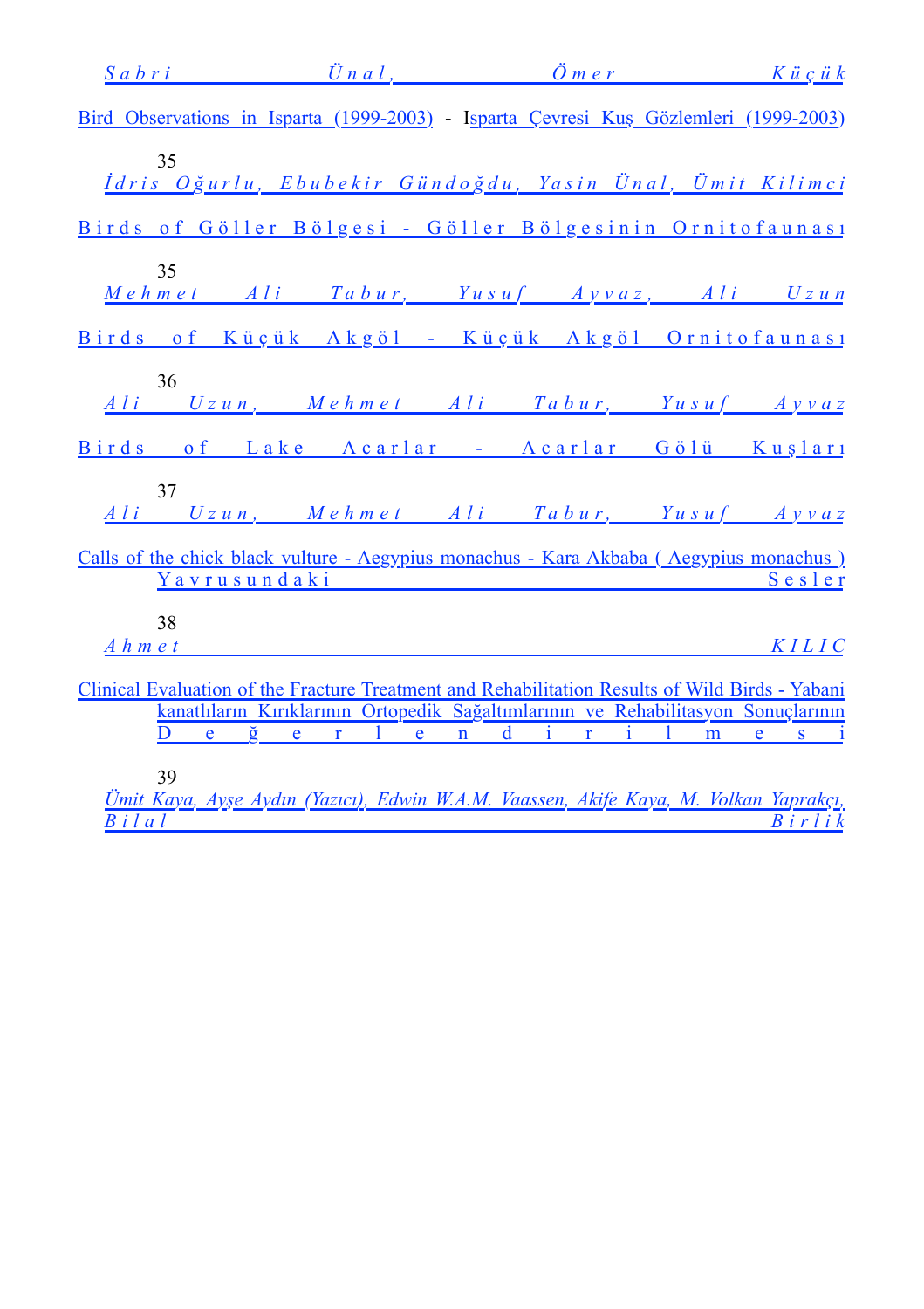|                   | Sabri Ünal, Ömer Küçük                                                                                        |  |        |
|-------------------|---------------------------------------------------------------------------------------------------------------|--|--------|
|                   | Bird Observations in Isparta (1999-2003) - Isparta Cevresi Kuş Gözlemleri (1999-2003)                         |  |        |
| 35                | İdris Oğurlu, Ebubekir Gündoğdu, Yasin Ünal, Ümit Kilimci                                                     |  |        |
|                   | Birds of Göller Bölgesi - Göller Bölgesinin Ornitofaunası                                                     |  |        |
| 35                | Mehmet Ali Tabur, Yusuf Ayvaz, Ali Uzun                                                                       |  |        |
|                   | Birds of Küçük Akgöl - Küçük Akgöl Ornitofaunası                                                              |  |        |
| 36                | Ali Uzun, Mehmet Ali Tabur, Yusuf Ayvaz                                                                       |  |        |
|                   | Birds of Lake Acarlar - Acarlar Gölü Kuşları                                                                  |  |        |
| 37                | Ali Uzun, Mehmet Ali Tabur, Yusuf Ayvaz                                                                       |  |        |
|                   | Calls of the chick black vulture - Aegypius monachus - Kara Akbaba (Aegypius monachus)                        |  |        |
|                   | Yavrusundaki                                                                                                  |  | Sesler |
| 38<br>$A$ h m e t |                                                                                                               |  | KILIC  |
|                   | Clinical Evaluation of the Fracture Treatment and Rehabilitation Results of Wild Birds - Yabani               |  |        |
| D                 | kanatlıların Kırıklarının Ortopedik Sağaltımlarının ve Rehabilitasyon Sonuçlarının<br><u>eğerlendirilmesi</u> |  |        |
|                   |                                                                                                               |  |        |
| 39                | Thuit Kana, Ango Andre (Varia), Edwin WAM, Vaassan, Alifa Kana, M. Valkan Vanuaka                             |  |        |

*Ümit Kaya, Ayş[e Aydın \(Yazıcı\), Edwin W.A.M. Vaassen, Akife Kaya, M. Volkan Yaprakçı,](%5Cl%20%22_Toc68886836%22) [B i l a l B i r l i k](%5Cl%20%22_Toc68886836%22)*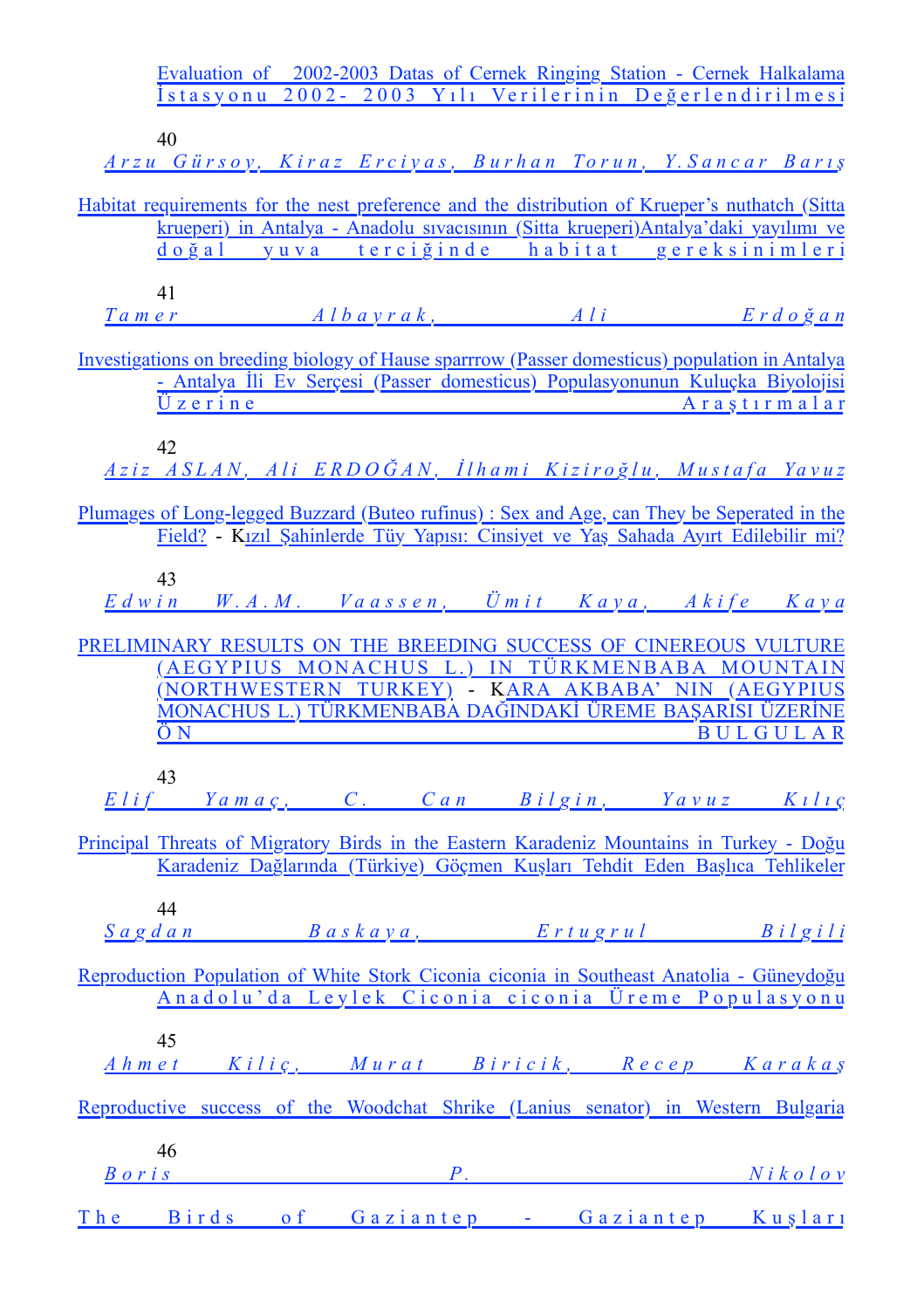|           |                                 | Evaluation of 2002-2003 Datas of Cernek Ringing Station - Cernek Halkalama<br><u>İstasyonu 2002–2003 Yılı Verilerinin Değerlendirilmesi</u>                                      |  |                 |  |
|-----------|---------------------------------|----------------------------------------------------------------------------------------------------------------------------------------------------------------------------------|--|-----------------|--|
|           | 40                              |                                                                                                                                                                                  |  |                 |  |
|           |                                 | Arzu Gürsoy, Kiraz Erciyas, Burhan Torun, Y. Sancar Barış                                                                                                                        |  |                 |  |
|           |                                 | Habitat requirements for the nest preference and the distribution of Krueper's nuthatch (Sitta                                                                                   |  |                 |  |
|           |                                 | krueperi) in Antalya - Anadolu sivacisinin (Sitta krueperi) Antalya'daki yayılımı ve<br>doğal yuva terciğinde habitat gereksinimleri                                             |  |                 |  |
|           |                                 |                                                                                                                                                                                  |  |                 |  |
|           | 41<br>Tamer                     | Albayrak, Ali Erdoğan                                                                                                                                                            |  |                 |  |
|           |                                 |                                                                                                                                                                                  |  |                 |  |
|           |                                 | Investigations on breeding biology of Hause sparrrow (Passer domesticus) population in Antalya<br>- Antalya İli Ev Serçesi (Passer domesticus) Populasyonunun Kuluçka Biyolojisi |  |                 |  |
|           | $\ddot{\mathrm{U}}$ z e r i n e |                                                                                                                                                                                  |  | Araştırmalar    |  |
|           | 42                              |                                                                                                                                                                                  |  |                 |  |
|           |                                 | Aziz ASLAN, Ali ERDOĞAN, İlhami Kiziroğlu, Mustafa Yavuz                                                                                                                         |  |                 |  |
|           |                                 | Plumages of Long-legged Buzzard (Buteo rufinus) : Sex and Age, can They be Seperated in the                                                                                      |  |                 |  |
|           |                                 | Field? - Kızıl Şahinlerde Tüy Yapısı: Cinsiyet ve Yaş Sahada Ayırt Edilebilir mi?                                                                                                |  |                 |  |
|           | 43                              |                                                                                                                                                                                  |  |                 |  |
|           |                                 | Edwin W.A.M. Vaassen, Ümit Kaya, Akife Kaya                                                                                                                                      |  |                 |  |
|           |                                 | PRELIMINARY RESULTS ON THE BREEDING SUCCESS OF CINEREOUS VULTURE                                                                                                                 |  |                 |  |
|           |                                 | (AEGYPIUS MONACHUS L.) IN TÜRKMENBABA MOUNTAIN                                                                                                                                   |  |                 |  |
|           |                                 | (NORTHWESTERN TURKEY) - KARA AKBABA' NIN (AEGYPIUS<br><u>MONACHUS L.) TÜRKMENBABA DAĞINDAKİ ÜREME BAŞARISI ÜZERİNE</u>                                                           |  |                 |  |
|           | ÖΝ                              |                                                                                                                                                                                  |  | <b>BULGULAR</b> |  |
|           | 43                              |                                                                                                                                                                                  |  |                 |  |
|           |                                 | Elif Yamaç, C. Can Bilgin, Yavuz Kılıç                                                                                                                                           |  |                 |  |
|           |                                 | Principal Threats of Migratory Birds in the Eastern Karadeniz Mountains in Turkey - Doğu                                                                                         |  |                 |  |
|           |                                 | Karadeniz Dağlarında (Türkiye) Göçmen Kuşları Tehdit Eden Başlıca Tehlikeler                                                                                                     |  |                 |  |
|           | 44                              |                                                                                                                                                                                  |  |                 |  |
|           |                                 | Sagdan Baskaya, Ertugrul Bilgili                                                                                                                                                 |  |                 |  |
|           |                                 | Reproduction Population of White Stork Ciconia ciconia in Southeast Anatolia - Güneydoğu                                                                                         |  |                 |  |
|           |                                 | Anadolu'da Leylek Ciconia ciconia Üreme Populasyonu                                                                                                                              |  |                 |  |
|           | 45                              |                                                                                                                                                                                  |  |                 |  |
|           |                                 | <u>Ahmet Kiliç, Murat Biricik, Recep Karakaş</u>                                                                                                                                 |  |                 |  |
|           |                                 | Reproductive success of the Woodchat Shrike (Lanius senator) in Western Bulgaria                                                                                                 |  |                 |  |
|           |                                 |                                                                                                                                                                                  |  |                 |  |
| $B$ or is | 46                              | $P.$ Nikolov                                                                                                                                                                     |  |                 |  |
|           |                                 |                                                                                                                                                                                  |  |                 |  |
|           |                                 | The Birds of Gaziantep - Gaziantep Kusları                                                                                                                                       |  |                 |  |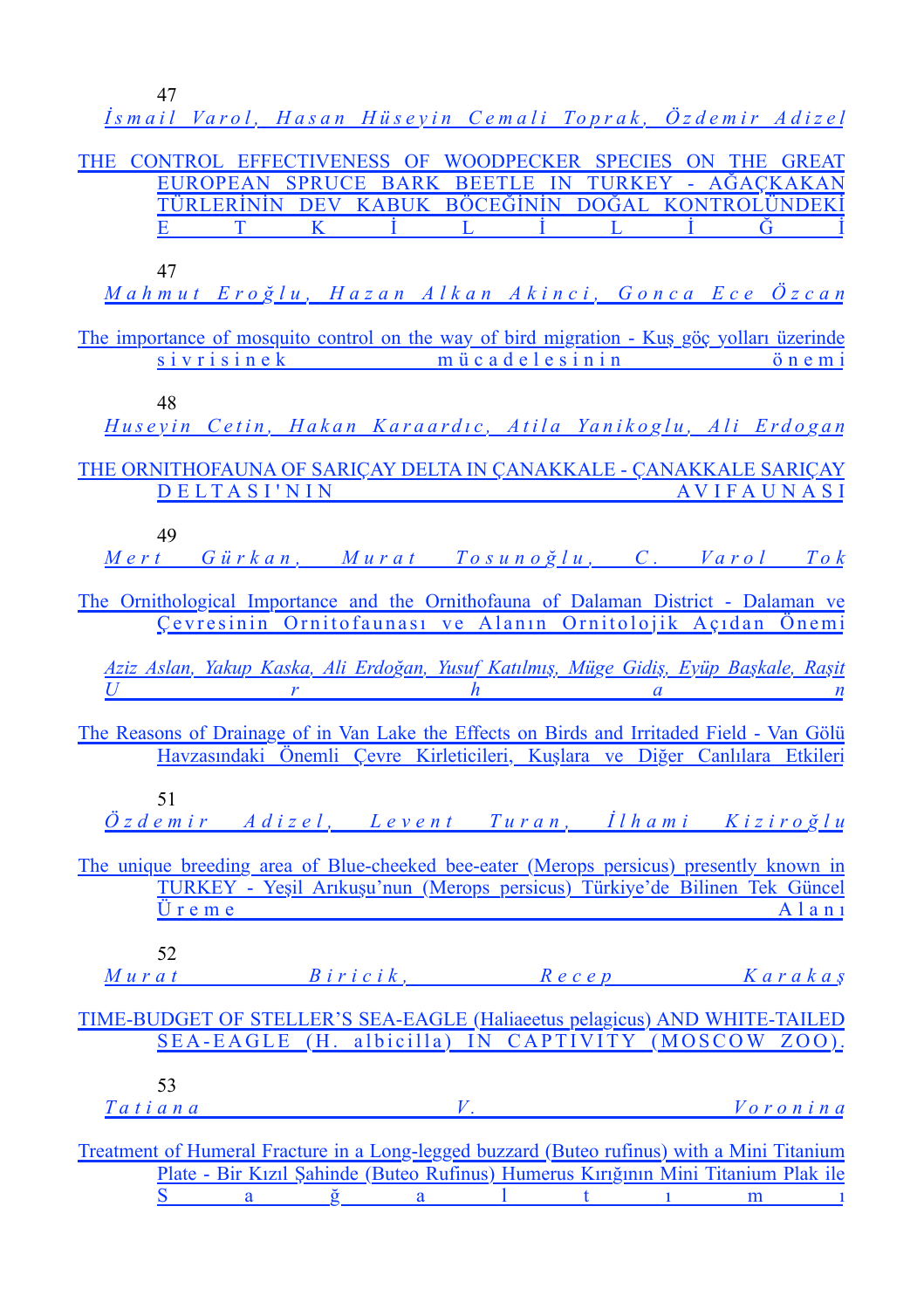[47](%5Cl%20%22_Toc68886861%22)

|       |    |              |   |                         |                                        |                         | İsmail Varol, Hasan Hüseyin Cemali Toprak, Özdemir Adizel                                   |
|-------|----|--------------|---|-------------------------|----------------------------------------|-------------------------|---------------------------------------------------------------------------------------------|
|       |    |              |   |                         |                                        |                         | THE CONTROL EFFECTIVENESS OF WOODPECKER SPECIES ON THE GREAT                                |
|       |    |              |   |                         |                                        |                         | EUROPEAN SPRUCE BARK BEETLE IN TURKEY - AĞAÇKAKAN                                           |
|       |    |              |   |                         |                                        |                         | TÜRLERİNİN DEV KABUK BÖCEĞİNİN DOĞAL KONTROLÜNDEKİ                                          |
|       | Е  | <sup>T</sup> | K |                         | $\mathbf{i}$ $\mathbf{L}$ $\mathbf{i}$ | $L \rightarrow \dot{I}$ | Ğ                                                                                           |
|       |    |              |   |                         |                                        |                         |                                                                                             |
|       | 47 |              |   |                         |                                        |                         |                                                                                             |
|       |    |              |   |                         |                                        |                         | <u> Mahmut Eroğlu, Hazan Alkan Akinci, Gonca Ece Özcan</u>                                  |
|       |    |              |   |                         |                                        |                         |                                                                                             |
|       |    |              |   |                         |                                        |                         | The importance of mosquito control on the way of bird migration - Kus göç yolları üzerinde  |
|       |    |              |   |                         |                                        |                         | sivrisinek mücadelesinin önemi                                                              |
|       |    |              |   |                         |                                        |                         |                                                                                             |
|       | 48 |              |   |                         |                                        |                         |                                                                                             |
|       |    |              |   |                         |                                        |                         | Huseyin Cetin, Hakan Karaardıc, Atila Yanikoglu, Ali Erdogan                                |
|       |    |              |   |                         |                                        |                         |                                                                                             |
|       |    |              |   |                         |                                        |                         | THE ORNITHOFAUNA OF SARICAY DELTA IN CANAKKALE - CANAKKALE SARICAY                          |
|       |    |              |   |                         |                                        |                         | DELTASI'NIN AVIFAUNASI                                                                      |
|       | 49 |              |   |                         |                                        |                         |                                                                                             |
|       |    |              |   |                         |                                        |                         |                                                                                             |
|       |    |              |   |                         |                                        |                         | Mert Gürkan, Murat Tosunoğlu, C. Varol Tok                                                  |
|       |    |              |   |                         |                                        |                         | The Ornithological Importance and the Ornithofauna of Dalaman District - Dalaman ve         |
|       |    |              |   |                         |                                        |                         | Cevresinin Ornitofaunası ve Alanın Ornitolojik Açıdan Önemi                                 |
|       |    |              |   |                         |                                        |                         |                                                                                             |
|       |    |              |   |                         |                                        |                         | Aziz Aslan, Yakup Kaska, Ali Erdoğan, Yusuf Katılmış, Müge Gidiş, Eyüp Başkale, Raşit       |
| $U^-$ |    |              |   |                         |                                        |                         | $\frac{h}{a}$ and $\frac{a}{a}$ in the set of $\frac{a}{b}$                                 |
|       |    |              |   |                         |                                        |                         |                                                                                             |
|       |    |              |   |                         |                                        |                         | The Reasons of Drainage of in Van Lake the Effects on Birds and Irritaded Field - Van Gölü  |
|       |    |              |   |                         |                                        |                         | Havzasındaki Önemli Çevre Kirleticileri, Kuşlara ve Diğer Canlılara Etkileri                |
|       |    |              |   |                         |                                        |                         |                                                                                             |
|       | 51 |              |   |                         |                                        |                         |                                                                                             |
|       |    |              |   |                         |                                        |                         | <u>Özdemir Adizel, Levent Turan, İlhami Kiziroğlu</u>                                       |
|       |    |              |   |                         |                                        |                         |                                                                                             |
|       |    |              |   |                         |                                        |                         | The unique breeding area of Blue-cheeked bee-eater (Merops persicus) presently known in     |
|       |    |              |   |                         |                                        |                         | TURKEY - Yeşil Arıkuşu'nun (Merops persicus) Türkiye'de Bilinen Tek Güncel                  |
|       |    | $U$ r e m e  |   |                         |                                        |                         | $A$ lani                                                                                    |
|       |    |              |   |                         |                                        |                         |                                                                                             |
|       | 52 |              |   |                         |                                        |                         |                                                                                             |
|       |    |              |   |                         |                                        |                         | Murat Biricik, Recep Karakaş                                                                |
|       |    |              |   |                         |                                        |                         |                                                                                             |
|       |    |              |   |                         |                                        |                         | TIME-BUDGET OF STELLER'S SEA-EAGLE (Haliaeetus pelagicus) AND WHITE-TAILED                  |
|       |    |              |   |                         |                                        |                         | SEA-EAGLE (H. albicilla) IN CAPTIVITY (MOSCOW ZOO).                                         |
|       |    |              |   |                         |                                        |                         |                                                                                             |
|       | 53 |              |   |                         |                                        |                         |                                                                                             |
|       |    |              |   |                         |                                        |                         | Tatiana V. Voronina                                                                         |
|       |    |              |   |                         |                                        |                         |                                                                                             |
|       |    |              |   |                         |                                        |                         | Treatment of Humeral Fracture in a Long-legged buzzard (Buteo rufinus) with a Mini Titanium |
|       |    |              |   |                         |                                        |                         | Plate - Bir Kızıl Şahinde (Buteo Rufinus) Humerus Kırığının Mini Titanium Plak ile          |
|       | S  |              |   | $a \t g \t a \t 1 \t 1$ |                                        |                         | m<br>$\mathbf{1}$                                                                           |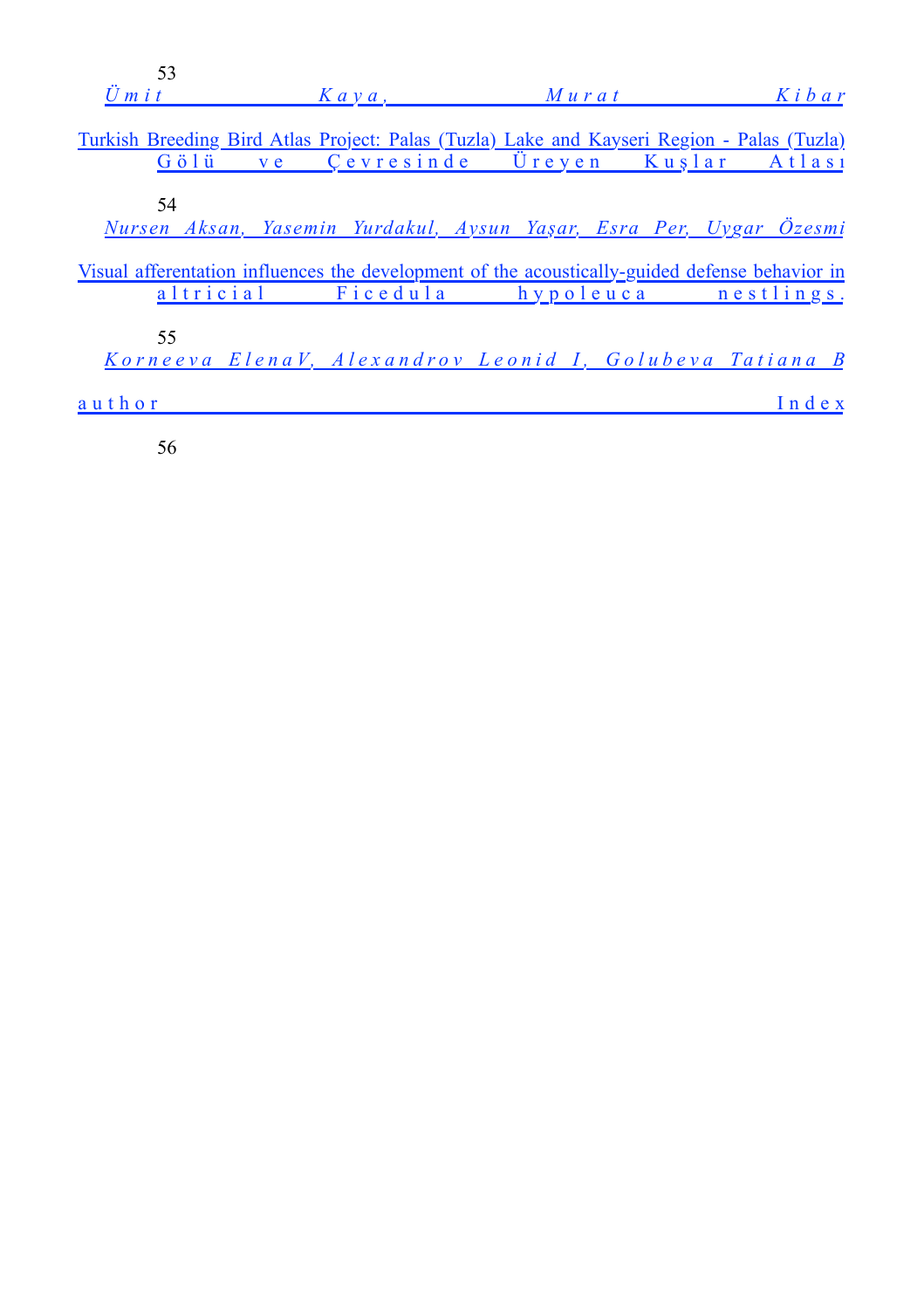| 53<br>$U$ m i t | $K$ a y a, | $M$ urat                                                                                                                                  | $K$ <i>i</i> $b$ <i>a</i> $r$ |
|-----------------|------------|-------------------------------------------------------------------------------------------------------------------------------------------|-------------------------------|
|                 |            | Turkish Breeding Bird Atlas Project: Palas (Tuzla) Lake and Kayseri Region - Palas (Tuzla)<br>Gölü ve Çevresinde Üreyen Kuşlar Atlası     |                               |
| 54              |            | Nursen Aksan, Yasemin Yurdakul, Aysun Yaşar, Esra Per, Uygar Özesmi                                                                       |                               |
|                 |            | Visual afferentation influences the development of the acoustically-guided defense behavior in<br>altricial Ficedula hypoleuca nestlings. |                               |
| 55              |            | Korneeva ElenaV, Alexandrov Leonid I, Golubeva Tatiana B                                                                                  |                               |
| author          |            |                                                                                                                                           | Index                         |

[56](%5Cl%20%22_Toc68886892%22)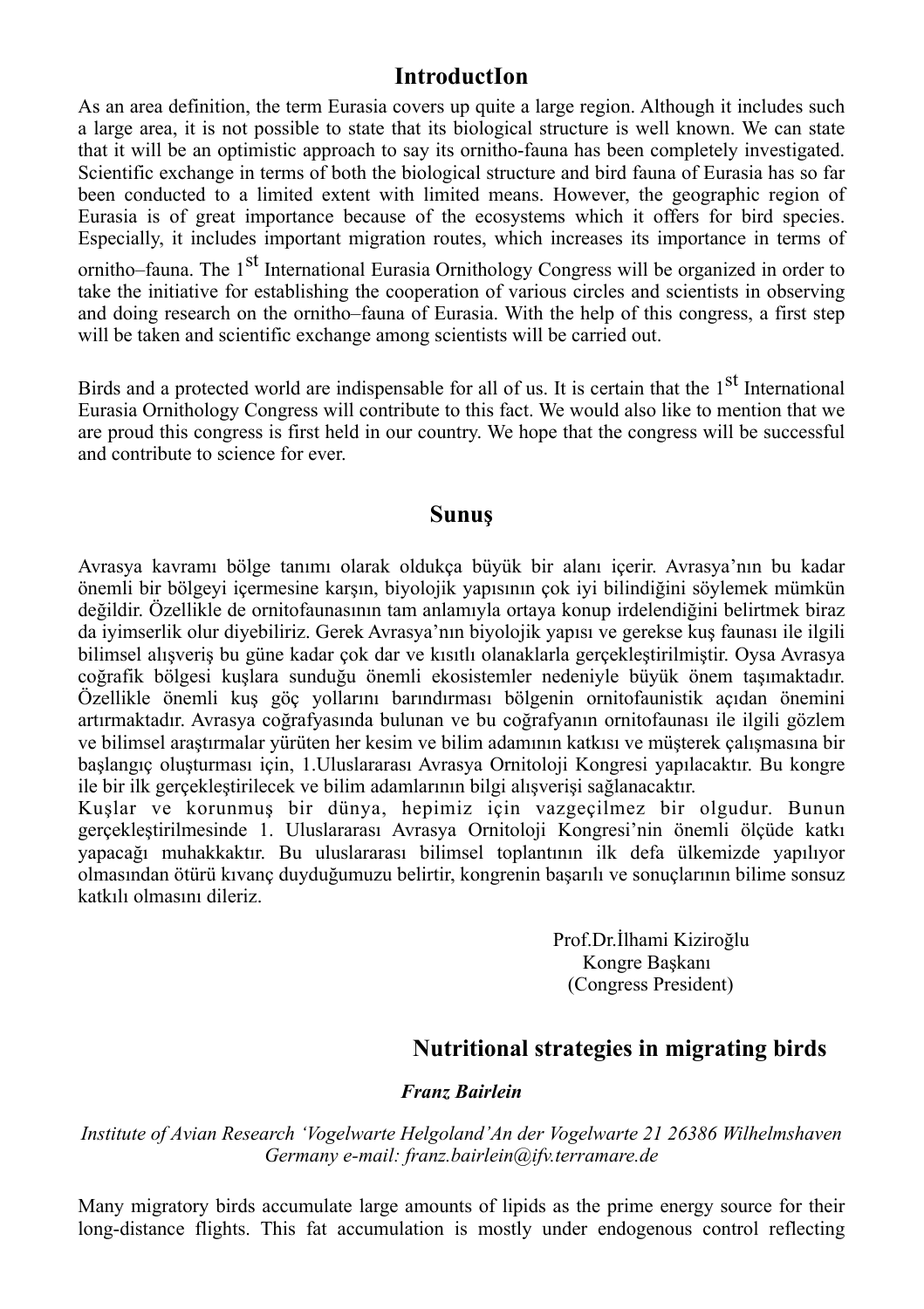### **IntroductIon**

As an area definition, the term Eurasia covers up quite a large region. Although it includes such a large area, it is not possible to state that its biological structure is well known. We can state that it will be an optimistic approach to say its ornitho-fauna has been completely investigated. Scientific exchange in terms of both the biological structure and bird fauna of Eurasia has so far been conducted to a limited extent with limited means. However, the geographic region of Eurasia is of great importance because of the ecosystems which it offers for bird species. Especially, it includes important migration routes, which increases its importance in terms of ornitho–fauna. The 1<sup>st</sup> International Eurasia Ornithology Congress will be organized in order to

take the initiative for establishing the cooperation of various circles and scientists in observing and doing research on the ornitho–fauna of Eurasia. With the help of this congress, a first step will be taken and scientific exchange among scientists will be carried out.

Birds and a protected world are indispensable for all of us. It is certain that the  $1<sup>st</sup>$  International Eurasia Ornithology Congress will contribute to this fact. We would also like to mention that we are proud this congress is first held in our country. We hope that the congress will be successful and contribute to science for ever.

#### **Sunuş**

Avrasya kavramı bölge tanımı olarak oldukça büyük bir alanı içerir. Avrasya'nın bu kadar önemli bir bölgeyi içermesine karşın, biyolojik yapısının çok iyi bilindiğini söylemek mümkün değildir. Özellikle de ornitofaunasının tam anlamıyla ortaya konup irdelendiğini belirtmek biraz da iyimserlik olur diyebiliriz. Gerek Avrasya'nın biyolojik yapısı ve gerekse kuş faunası ile ilgili bilimsel alışveriş bu güne kadar çok dar ve kısıtlı olanaklarla gerçekleştirilmiştir. Oysa Avrasya coğrafik bölgesi kuşlara sunduğu önemli ekosistemler nedeniyle büyük önem taşımaktadır. Özellikle önemli kuş göç yollarını barındırması bölgenin ornitofaunistik açıdan önemini artırmaktadır. Avrasya coğrafyasında bulunan ve bu coğrafyanın ornitofaunası ile ilgili gözlem ve bilimsel araştırmalar yürüten her kesim ve bilim adamının katkısı ve müşterek çalışmasına bir başlangıç oluşturması için, 1.Uluslararası Avrasya Ornitoloji Kongresi yapılacaktır. Bu kongre ile bir ilk gerçekleştirilecek ve bilim adamlarının bilgi alışverişi sağlanacaktır.

Kuşlar ve korunmuş bir dünya, hepimiz için vazgeçilmez bir olgudur. Bunun gerçekleştirilmesinde 1. Uluslararası Avrasya Ornitoloji Kongresi'nin önemli ölçüde katkı yapacağı muhakkaktır. Bu uluslararası bilimsel toplantının ilk defa ülkemizde yapılıyor olmasından ötürü kıvanç duyduğumuzu belirtir, kongrenin başarılı ve sonuçlarının bilime sonsuz katkılı olmasını dileriz.

> Prof.Dr.İlhami Kiziroğlu Kongre Başkanı (Congress President)

## **Nutritional strategies in migrating birds**

#### *Franz Bairlein*

*Institute of Avian Research 'Vogelwarte Helgoland'An der Vogelwarte 21 26386 Wilhelmshaven Germany e-mail: franz.bairlein@ifv.terramare.de*

Many migratory birds accumulate large amounts of lipids as the prime energy source for their long-distance flights. This fat accumulation is mostly under endogenous control reflecting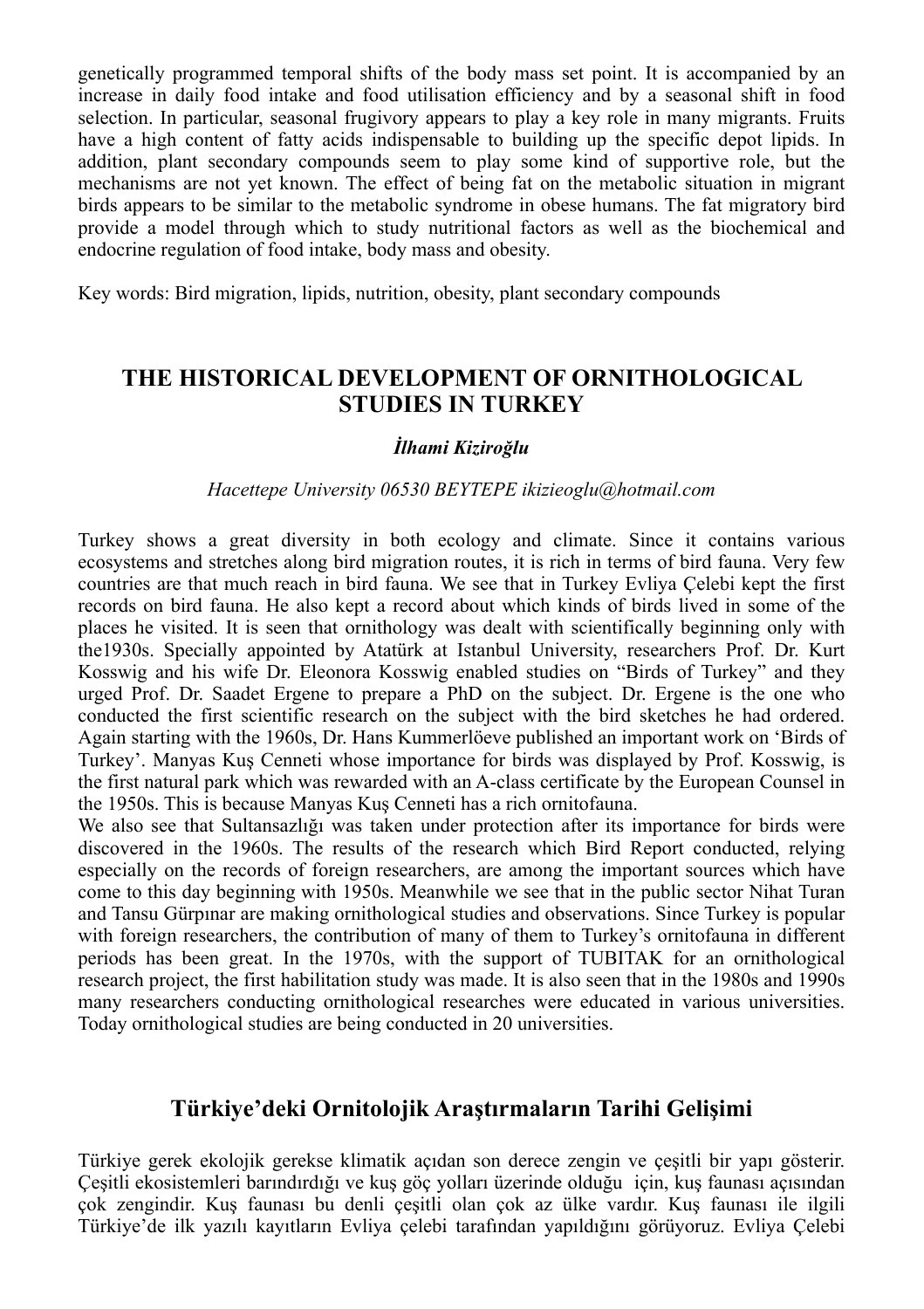genetically programmed temporal shifts of the body mass set point. It is accompanied by an increase in daily food intake and food utilisation efficiency and by a seasonal shift in food selection. In particular, seasonal frugivory appears to play a key role in many migrants. Fruits have a high content of fatty acids indispensable to building up the specific depot lipids. In addition, plant secondary compounds seem to play some kind of supportive role, but the mechanisms are not yet known. The effect of being fat on the metabolic situation in migrant birds appears to be similar to the metabolic syndrome in obese humans. The fat migratory bird provide a model through which to study nutritional factors as well as the biochemical and endocrine regulation of food intake, body mass and obesity.

Key words: Bird migration, lipids, nutrition, obesity, plant secondary compounds

## **THE HISTORICAL DEVELOPMENT OF ORNITHOLOGICAL STUDIES IN TURKEY**

#### *İlhami Kiziroğlu*

#### *Hacettepe University 06530 BEYTEPE ikizieoglu@hotmail.com*

Turkey shows a great diversity in both ecology and climate. Since it contains various ecosystems and stretches along bird migration routes, it is rich in terms of bird fauna. Very few countries are that much reach in bird fauna. We see that in Turkey Evliya Çelebi kept the first records on bird fauna. He also kept a record about which kinds of birds lived in some of the places he visited. It is seen that ornithology was dealt with scientifically beginning only with the1930s. Specially appointed by Atatürk at Istanbul University, researchers Prof. Dr. Kurt Kosswig and his wife Dr. Eleonora Kosswig enabled studies on "Birds of Turkey" and they urged Prof. Dr. Saadet Ergene to prepare a PhD on the subject. Dr. Ergene is the one who conducted the first scientific research on the subject with the bird sketches he had ordered. Again starting with the 1960s, Dr. Hans Kummerlöeve published an important work on 'Birds of Turkey'. Manyas Kuş Cenneti whose importance for birds was displayed by Prof. Kosswig, is the first natural park which was rewarded with an A-class certificate by the European Counsel in the 1950s. This is because Manyas Kuş Cenneti has a rich ornitofauna.

We also see that Sultansazlığı was taken under protection after its importance for birds were discovered in the 1960s. The results of the research which Bird Report conducted, relying especially on the records of foreign researchers, are among the important sources which have come to this day beginning with 1950s. Meanwhile we see that in the public sector Nihat Turan and Tansu Gürpınar are making ornithological studies and observations. Since Turkey is popular with foreign researchers, the contribution of many of them to Turkey's ornitofauna in different periods has been great. In the 1970s, with the support of TUBITAK for an ornithological research project, the first habilitation study was made. It is also seen that in the 1980s and 1990s many researchers conducting ornithological researches were educated in various universities. Today ornithological studies are being conducted in 20 universities.

## **Türkiye'deki Ornitolojik Araştırmaların Tarihi Gelişimi**

Türkiye gerek ekolojik gerekse klimatik açıdan son derece zengin ve çeşitli bir yapı gösterir. Çeşitli ekosistemleri barındırdığı ve kuş göç yolları üzerinde olduğu için, kuş faunası açısından çok zengindir. Kuş faunası bu denli çeşitli olan çok az ülke vardır. Kuş faunası ile ilgili Türkiye'de ilk yazılı kayıtların Evliya çelebi tarafından yapıldığını görüyoruz. Evliya Çelebi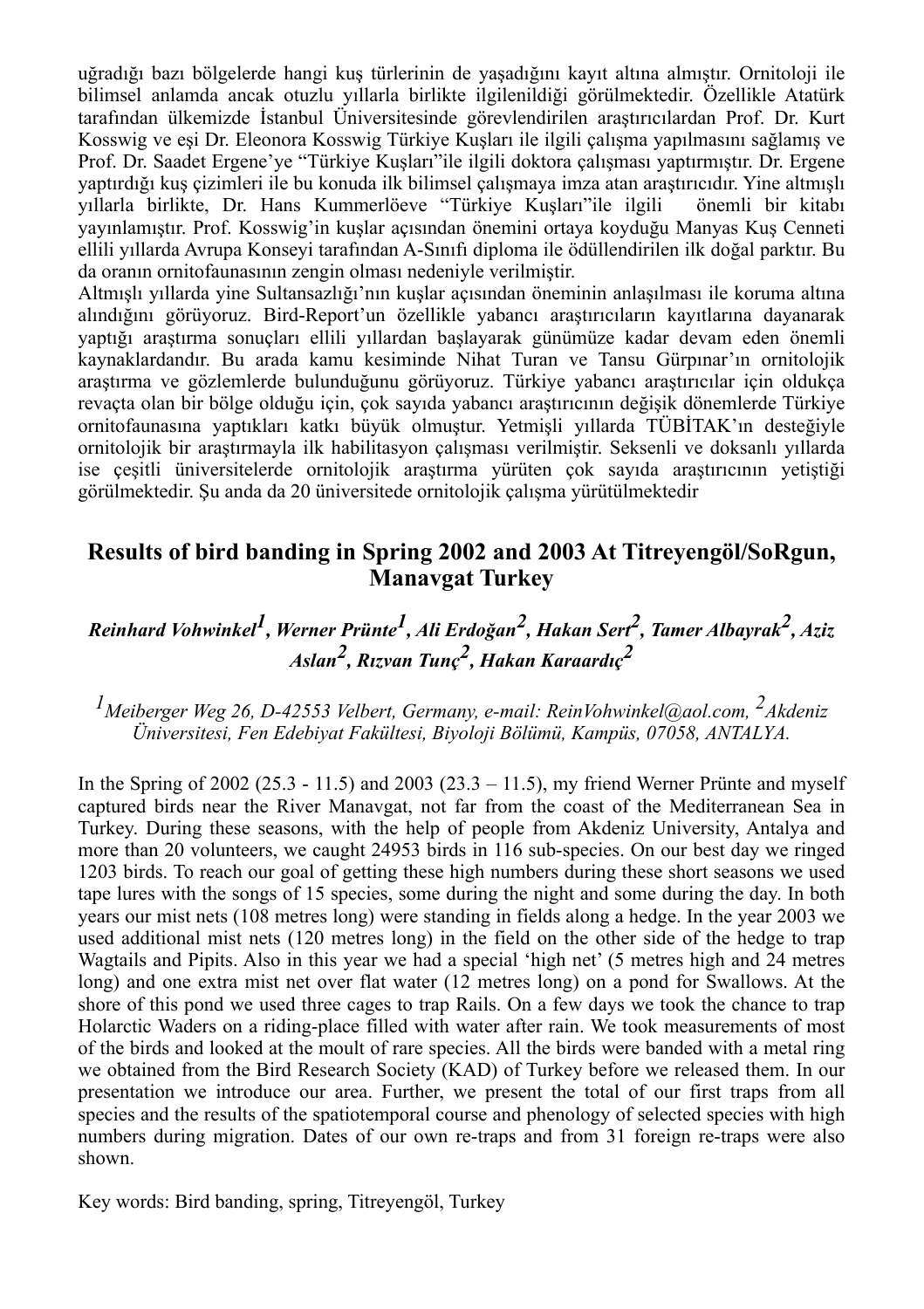uğradığı bazı bölgelerde hangi kuş türlerinin de yaşadığını kayıt altına almıştır. Ornitoloji ile bilimsel anlamda ancak otuzlu yıllarla birlikte ilgilenildiği görülmektedir. Özellikle Atatürk tarafından ülkemizde İstanbul Üniversitesinde görevlendirilen araştırıcılardan Prof. Dr. Kurt Kosswig ve eşi Dr. Eleonora Kosswig Türkiye Kuşları ile ilgili çalışma yapılmasını sağlamış ve Prof. Dr. Saadet Ergene'ye "Türkiye Kuşları"ile ilgili doktora çalışması yaptırmıştır. Dr. Ergene yaptırdığı kuş çizimleri ile bu konuda ilk bilimsel çalışmaya imza atan araştırıcıdır. Yine altmışlı yıllarla birlikte, Dr. Hans Kummerlöeve "Türkiye Kuşları"ile ilgili önemli bir kitabı yayınlamıştır. Prof. Kosswig'in kuşlar açısından önemini ortaya koyduğu Manyas Kuş Cenneti ellili yıllarda Avrupa Konseyi tarafından A-Sınıfı diploma ile ödüllendirilen ilk doğal parktır. Bu da oranın ornitofaunasının zengin olması nedeniyle verilmiştir.

Altmışlı yıllarda yine Sultansazlığı'nın kuşlar açısından öneminin anlaşılması ile koruma altına alındığını görüyoruz. Bird-Report'un özellikle yabancı araştırıcıların kayıtlarına dayanarak yaptığı araştırma sonuçları ellili yıllardan başlayarak günümüze kadar devam eden önemli kaynaklardandır. Bu arada kamu kesiminde Nihat Turan ve Tansu Gürpınar'ın ornitolojik araştırma ve gözlemlerde bulunduğunu görüyoruz. Türkiye yabancı araştırıcılar için oldukça revaçta olan bir bölge olduğu için, çok sayıda yabancı araştırıcının değişik dönemlerde Türkiye ornitofaunasına yaptıkları katkı büyük olmuştur. Yetmişli yıllarda TÜBİTAK'ın desteğiyle ornitolojik bir araştırmayla ilk habilitasyon çalışması verilmiştir. Seksenli ve doksanlı yıllarda ise çeşitli üniversitelerde ornitolojik araştırma yürüten çok sayıda araştırıcının yetiştiği görülmektedir. Şu anda da 20 üniversitede ornitolojik çalışma yürütülmektedir

## **Results of bird banding in Spring 2002 and 2003 At Titreyengöl/SoRgun, Manavgat Turkey**

## *Reinhard Vohwinkel1, Werner Prünte1, Ali Erdoğan2, Hakan Sert2, Tamer Albayrak2, Aziz Aslan2, Rızvan Tunç2, Hakan Karaardıç2*

## *1Meiberger Weg 26, D-42553 Velbert, Germany, e-mail: ReinVohwinkel@aol.com, 2Akdeniz Üniversitesi, Fen Edebiyat Fakültesi, Biyoloji Bölümü, Kampüs, 07058, ANTALYA.*

In the Spring of 2002 (25.3 - 11.5) and 2003 (23.3 - 11.5), my friend Werner Prünte and myself captured birds near the River Manavgat, not far from the coast of the Mediterranean Sea in Turkey. During these seasons, with the help of people from Akdeniz University, Antalya and more than 20 volunteers, we caught 24953 birds in 116 sub-species. On our best day we ringed 1203 birds. To reach our goal of getting these high numbers during these short seasons we used tape lures with the songs of 15 species, some during the night and some during the day. In both years our mist nets (108 metres long) were standing in fields along a hedge. In the year 2003 we used additional mist nets (120 metres long) in the field on the other side of the hedge to trap Wagtails and Pipits. Also in this year we had a special 'high net' (5 metres high and 24 metres long) and one extra mist net over flat water (12 metres long) on a pond for Swallows. At the shore of this pond we used three cages to trap Rails. On a few days we took the chance to trap Holarctic Waders on a riding-place filled with water after rain. We took measurements of most of the birds and looked at the moult of rare species. All the birds were banded with a metal ring we obtained from the Bird Research Society (KAD) of Turkey before we released them. In our presentation we introduce our area. Further, we present the total of our first traps from all species and the results of the spatiotemporal course and phenology of selected species with high numbers during migration. Dates of our own re-traps and from 31 foreign re-traps were also shown.

Key words: Bird banding, spring, Titreyengöl, Turkey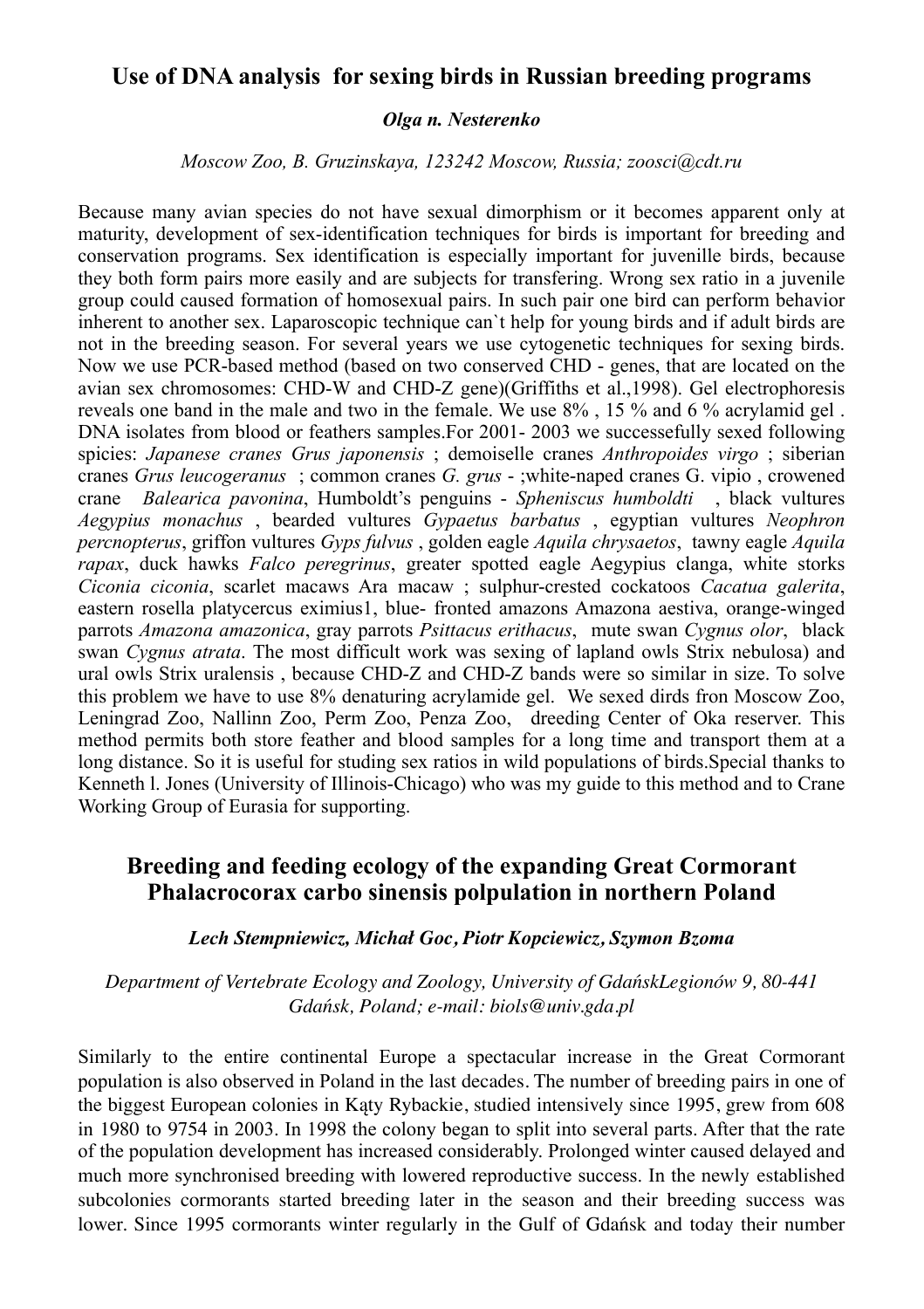#### **Use of DNA analysis for sexing birds in Russian breeding programs**

#### *Olga n. Nesterenko*

*Moscow Zoo, B. Gruzinskaya, 123242 Moscow, Russia; zoosci@cdt.ru*

Because many avian species do not have sexual dimorphism or it becomes apparent only at maturity, development of sex-identification techniques for birds is important for breeding and conservation programs. Sex identification is especially important for juvenille birds, because they both form pairs more easily and are subjects for transfering. Wrong sex ratio in a juvenile group could caused formation of homosexual pairs. In such pair one bird can perform behavior inherent to another sex. Laparoscopic technique can`t help for young birds and if adult birds are not in the breeding season. For several years we use cytogenetic techniques for sexing birds. Now we use PCR-based method (based on two conserved CHD - genes, that are located on the avian sex chromosomes: CHD-W and CHD-Z gene)(Griffiths et al.,1998). Gel electrophoresis reveals one band in the male and two in the female. We use 8% , 15 % and 6 % acrylamid gel . DNA isolates from blood or feathers samples.For 2001- 2003 we successefully sexed following spicies: *Japanese cranes Grus japonensis* ; demoiselle cranes *Anthropoides virgo* ; siberian cranes *Grus leucogeranus* ; common cranes *G. grus* - ;white-naped cranes G. vipio , crowened crane *Balearica pavonina*, Humboldt's penguins - *Spheniscus humboldti* , black vultures *Aegypius monachus* , bearded vultures *Gypaetus barbatus* , egyptian vultures *Neophron percnopterus*, griffon vultures *Gyps fulvus* , golden eagle *Aquila chrysaetos*, tawny eagle *Aquila rapax*, duck hawks *Falco peregrinus*, greater spotted eagle Aegypius clanga, white storks *Ciconia ciconia*, scarlet macaws Ara macaw ; sulphur-crested cockatoos *Cacatua galerita*, eastern rosella platycercus eximius1, blue- fronted amazons Amazona aestiva, orange-winged parrots *Amazona amazonica*, gray parrots *Psittacus erithacus*, mute swan *Cygnus olor*, black swan *Cygnus atrata*. The most difficult work was sexing of lapland owls Strix nebulosa) and ural owls Strix uralensis , because CHD-Z and CHD-Z bands were so similar in size. To solve this problem we have to use 8% denaturing acrylamide gel. We sexed dirds fron Moscow Zoo, Leningrad Zoo, Nallinn Zoo, Perm Zoo, Penza Zoo, dreeding Center of Oka reserver. This method permits both store feather and blood samples for a long time and transport them at a long distance. So it is useful for studing sex ratios in wild populations of birds.Special thanks to Kenneth l. Jones (University of Illinois-Chicago) who was my guide to this method and to Crane Working Group of Eurasia for supporting.

### **Breeding and feeding ecology of the expanding Great Cormorant Phalacrocorax carbo sinensis polpulation in northern Poland**

#### *Lech Stempniewicz, Michał Goc, Piotr Kopciewicz, Szymon Bzoma*

*Department of Vertebrate Ecology and Zoology, University of GdańskLegionów 9, 80-441 Gdańsk, Poland; e-mail: biols@univ.gda.pl*

Similarly to the entire continental Europe a spectacular increase in the Great Cormorant population is also observed in Poland in the last decades. The number of breeding pairs in one of the biggest European colonies in Kąty Rybackie, studied intensively since 1995, grew from 608 in 1980 to 9754 in 2003. In 1998 the colony began to split into several parts. After that the rate of the population development has increased considerably. Prolonged winter caused delayed and much more synchronised breeding with lowered reproductive success. In the newly established subcolonies cormorants started breeding later in the season and their breeding success was lower. Since 1995 cormorants winter regularly in the Gulf of Gdańsk and today their number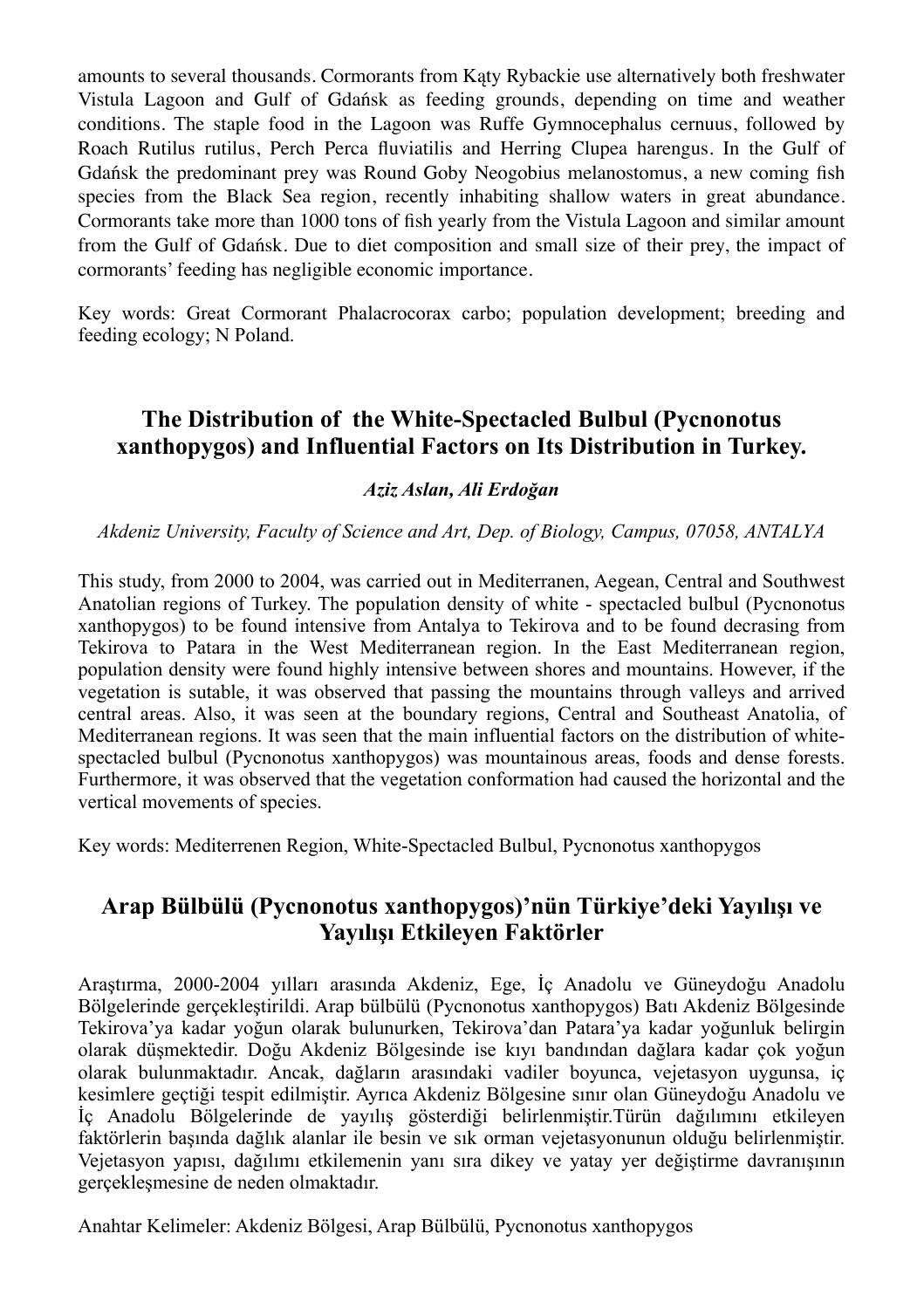amounts to several thousands. Cormorants from Kąty Rybackie use alternatively both freshwater Vistula Lagoon and Gulf of Gdańsk as feeding grounds, depending on time and weather conditions. The staple food in the Lagoon was Ruffe Gymnocephalus cernuus, followed by Roach Rutilus rutilus, Perch Perca fluviatilis and Herring Clupea harengus. In the Gulf of Gdańsk the predominant prey was Round Goby Neogobius melanostomus, a new coming fish species from the Black Sea region, recently inhabiting shallow waters in great abundance. Cormorants take more than 1000 tons of fish yearly from the Vistula Lagoon and similar amount from the Gulf of Gdańsk. Due to diet composition and small size of their prey, the impact of cormorants' feeding has negligible economic importance.

Key words: Great Cormorant Phalacrocorax carbo; population development; breeding and feeding ecology; N Poland.

## **The Distribution of the White-Spectacled Bulbul (Pycnonotus xanthopygos) and Influential Factors on Its Distribution in Turkey.**

#### *Aziz Aslan, Ali Erdoğan*

*Akdeniz University, Faculty of Science and Art, Dep. of Biology, Campus, 07058, ANTALYA*

This study, from 2000 to 2004, was carried out in Mediterranen, Aegean, Central and Southwest Anatolian regions of Turkey. The population density of white - spectacled bulbul (Pycnonotus xanthopygos) to be found intensive from Antalya to Tekirova and to be found decrasing from Tekirova to Patara in the West Mediterranean region. In the East Mediterranean region, population density were found highly intensive between shores and mountains. However, if the vegetation is sutable, it was observed that passing the mountains through valleys and arrived central areas. Also, it was seen at the boundary regions, Central and Southeast Anatolia, of Mediterranean regions. It was seen that the main influential factors on the distribution of whitespectacled bulbul (Pycnonotus xanthopygos) was mountainous areas, foods and dense forests. Furthermore, it was observed that the vegetation conformation had caused the horizontal and the vertical movements of species.

Key words: Mediterrenen Region, White-Spectacled Bulbul, Pycnonotus xanthopygos

## **Arap Bülbülü (Pycnonotus xanthopygos)'nün Türkiye'deki Yayılışı ve Yayılışı Etkileyen Faktörler**

Araştırma, 2000-2004 yılları arasında Akdeniz, Ege, İç Anadolu ve Güneydoğu Anadolu Bölgelerinde gerçekleştirildi. Arap bülbülü (Pycnonotus xanthopygos) Batı Akdeniz Bölgesinde Tekirova'ya kadar yoğun olarak bulunurken, Tekirova'dan Patara'ya kadar yoğunluk belirgin olarak düşmektedir. Doğu Akdeniz Bölgesinde ise kıyı bandından dağlara kadar çok yoğun olarak bulunmaktadır. Ancak, dağların arasındaki vadiler boyunca, vejetasyon uygunsa, iç kesimlere geçtiği tespit edilmiştir. Ayrıca Akdeniz Bölgesine sınır olan Güneydoğu Anadolu ve İç Anadolu Bölgelerinde de yayılış gösterdiği belirlenmiştir.Türün dağılımını etkileyen faktörlerin başında dağlık alanlar ile besin ve sık orman vejetasyonunun olduğu belirlenmiştir. Vejetasyon yapısı, dağılımı etkilemenin yanı sıra dikey ve yatay yer değiştirme davranışının gerçekleşmesine de neden olmaktadır.

Anahtar Kelimeler: Akdeniz Bölgesi, Arap Bülbülü, Pycnonotus xanthopygos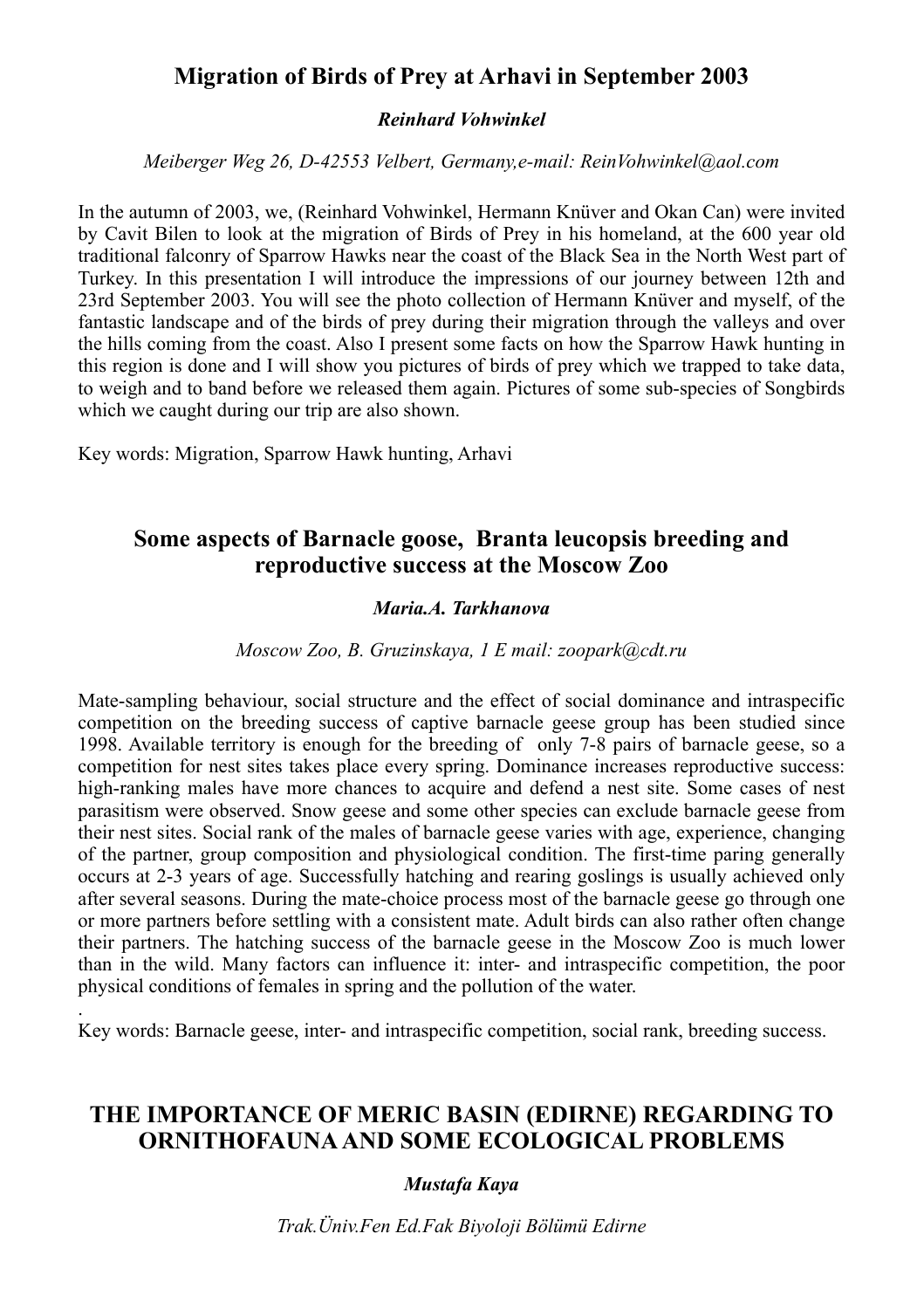## **Migration of Birds of Prey at Arhavi in September 2003**

#### *Reinhard Vohwinkel*

*Meiberger Weg 26, D-42553 Velbert, Germany,e-mail: ReinVohwinkel@aol.com*

In the autumn of 2003, we, (Reinhard Vohwinkel, Hermann Knüver and Okan Can) were invited by Cavit Bilen to look at the migration of Birds of Prey in his homeland, at the 600 year old traditional falconry of Sparrow Hawks near the coast of the Black Sea in the North West part of Turkey. In this presentation I will introduce the impressions of our journey between 12th and 23rd September 2003. You will see the photo collection of Hermann Knüver and myself, of the fantastic landscape and of the birds of prey during their migration through the valleys and over the hills coming from the coast. Also I present some facts on how the Sparrow Hawk hunting in this region is done and I will show you pictures of birds of prey which we trapped to take data, to weigh and to band before we released them again. Pictures of some sub-species of Songbirds which we caught during our trip are also shown.

Key words: Migration, Sparrow Hawk hunting, Arhavi

.

## **Some aspects of Barnacle goose, Branta leucopsis breeding and reproductive success at the Moscow Zoo**

#### *Maria.A. Tarkhanova*

*Moscow Zoo, B. Gruzinskaya, 1 E mail: zoopark@cdt.ru*

Mate-sampling behaviour, social structure and the effect of social dominance and intraspecific competition on the breeding success of captive barnacle geese group has been studied since 1998. Available territory is enough for the breeding of only 7-8 pairs of barnacle geese, so a competition for nest sites takes place every spring. Dominance increases reproductive success: high-ranking males have more chances to acquire and defend a nest site. Some cases of nest parasitism were observed. Snow geese and some other species can exclude barnacle geese from their nest sites. Social rank of the males of barnacle geese varies with age, experience, changing of the partner, group composition and physiological condition. The first-time paring generally occurs at 2-3 years of age. Successfully hatching and rearing goslings is usually achieved only after several seasons. During the mate-choice process most of the barnacle geese go through one or more partners before settling with a consistent mate. Adult birds can also rather often change their partners. The hatching success of the barnacle geese in the Moscow Zoo is much lower than in the wild. Many factors can influence it: inter- and intraspecific competition, the poor physical conditions of females in spring and the pollution of the water.

Key words: Barnacle geese, inter- and intraspecific competition, social rank, breeding success.

## **THE IMPORTANCE OF MERIC BASIN (EDIRNE) REGARDING TO ORNITHOFAUNA AND SOME ECOLOGICAL PROBLEMS**

#### *Mustafa Kaya*

*Trak.Üniv.Fen Ed.Fak Biyoloji Bölümü Edirne*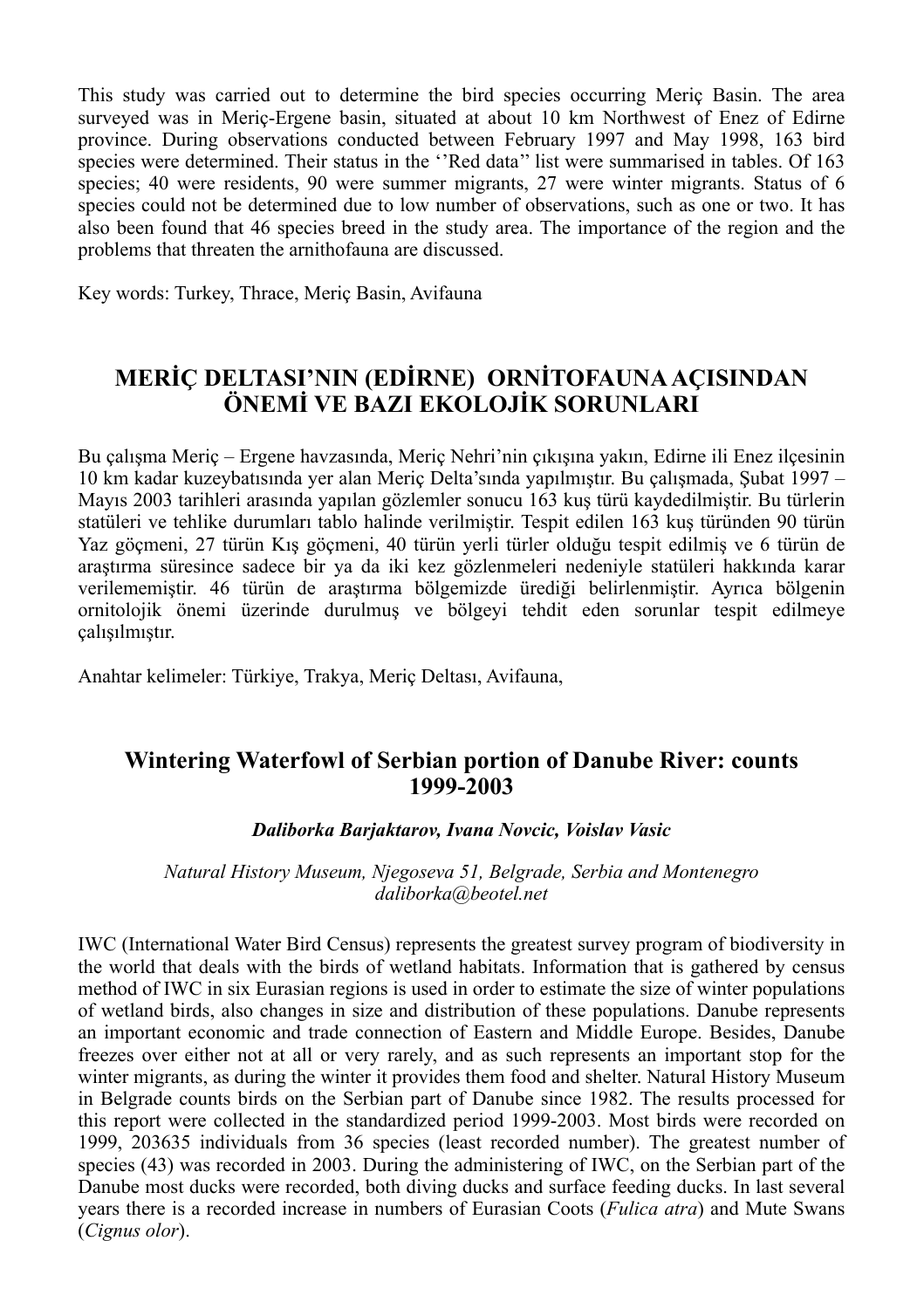This study was carried out to determine the bird species occurring Meriç Basin. The area surveyed was in Meriç-Ergene basin, situated at about 10 km Northwest of Enez of Edirne province. During observations conducted between February 1997 and May 1998, 163 bird species were determined. Their status in the ''Red data'' list were summarised in tables. Of 163 species; 40 were residents, 90 were summer migrants, 27 were winter migrants. Status of 6 species could not be determined due to low number of observations, such as one or two. It has also been found that 46 species breed in the study area. The importance of the region and the problems that threaten the arnithofauna are discussed.

Key words: Turkey, Thrace, Meriç Basin, Avifauna

## **MERİÇ DELTASI'NIN (EDİRNE) ORNİTOFAUNA AÇISINDAN ÖNEMİ VE BAZI EKOLOJİK SORUNLARI**

Bu çalışma Meriç – Ergene havzasında, Meriç Nehri'nin çıkışına yakın, Edirne ili Enez ilçesinin 10 km kadar kuzeybatısında yer alan Meriç Delta'sında yapılmıştır. Bu çalışmada, Şubat 1997 – Mayıs 2003 tarihleri arasında yapılan gözlemler sonucu 163 kuş türü kaydedilmiştir. Bu türlerin statüleri ve tehlike durumları tablo halinde verilmiştir. Tespit edilen 163 kuş türünden 90 türün Yaz göçmeni, 27 türün Kış göçmeni, 40 türün yerli türler olduğu tespit edilmiş ve 6 türün de araştırma süresince sadece bir ya da iki kez gözlenmeleri nedeniyle statüleri hakkında karar verilememiştir. 46 türün de araştırma bölgemizde ürediği belirlenmiştir. Ayrıca bölgenin ornitolojik önemi üzerinde durulmuş ve bölgeyi tehdit eden sorunlar tespit edilmeye çalışılmıştır.

Anahtar kelimeler: Türkiye, Trakya, Meriç Deltası, Avifauna,

## **Wintering Waterfowl of Serbian portion of Danube River: counts 1999-2003**

#### *Daliborka Barjaktarov, Ivana Novcic, Voislav Vasic*

*Natural History Museum, Njegoseva 51, Belgrade, Serbia and Montenegro daliborka@beotel.net*

IWC (International Water Bird Census) represents the greatest survey program of biodiversity in the world that deals with the birds of wetland habitats. Information that is gathered by census method of IWC in six Eurasian regions is used in order to estimate the size of winter populations of wetland birds, also changes in size and distribution of these populations. Danube represents an important economic and trade connection of Eastern and Middle Europe. Besides, Danube freezes over either not at all or very rarely, and as such represents an important stop for the winter migrants, as during the winter it provides them food and shelter. Natural History Museum in Belgrade counts birds on the Serbian part of Danube since 1982. The results processed for this report were collected in the standardized period 1999-2003. Most birds were recorded on 1999, 203635 individuals from 36 species (least recorded number). The greatest number of species (43) was recorded in 2003. During the administering of IWC, on the Serbian part of the Danube most ducks were recorded, both diving ducks and surface feeding ducks. In last several years there is a recorded increase in numbers of Eurasian Coots (*Fulica atra*) and Mute Swans (*Cignus olor*).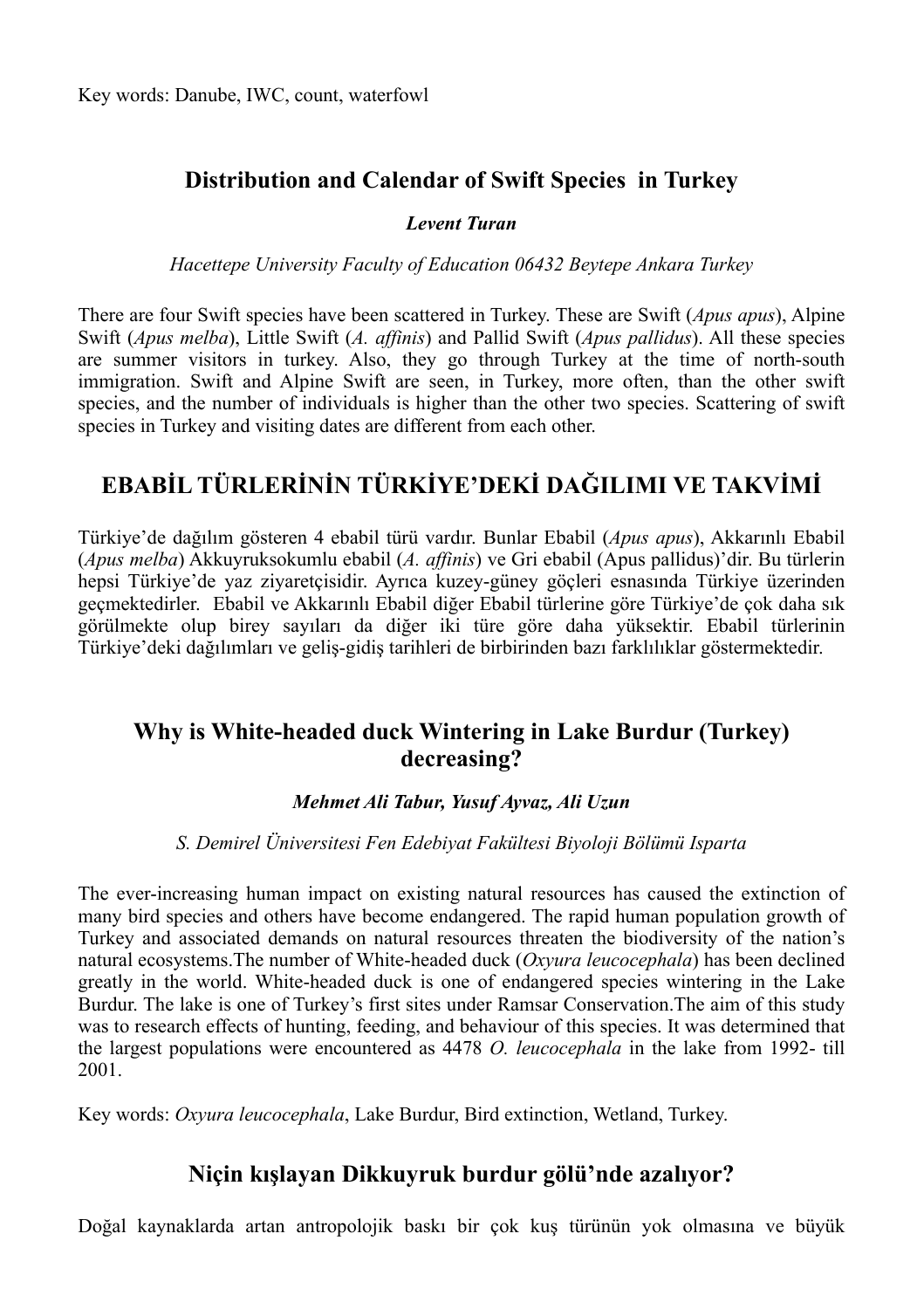## **Distribution and Calendar of Swift Species in Turkey**

#### *Levent Turan*

*Hacettepe University Faculty of Education 06432 Beytepe Ankara Turkey*

There are four Swift species have been scattered in Turkey. These are Swift (*Apus apus*), Alpine Swift (*Apus melba*), Little Swift (*A. affinis*) and Pallid Swift (*Apus pallidus*). All these species are summer visitors in turkey. Also, they go through Turkey at the time of north-south immigration. Swift and Alpine Swift are seen, in Turkey, more often, than the other swift species, and the number of individuals is higher than the other two species. Scattering of swift species in Turkey and visiting dates are different from each other.

## **EBABİL TÜRLERİNİN TÜRKİYE'DEKİ DAĞILIMI VE TAKVİMİ**

Türkiye'de dağılım gösteren 4 ebabil türü vardır. Bunlar Ebabil (*Apus apus*), Akkarınlı Ebabil (*Apus melba*) Akkuyruksokumlu ebabil (*A. affinis*) ve Gri ebabil (Apus pallidus)'dir. Bu türlerin hepsi Türkiye'de yaz ziyaretçisidir. Ayrıca kuzey-güney göçleri esnasında Türkiye üzerinden geçmektedirler. Ebabil ve Akkarınlı Ebabil diğer Ebabil türlerine göre Türkiye'de çok daha sık görülmekte olup birey sayıları da diğer iki türe göre daha yüksektir. Ebabil türlerinin Türkiye'deki dağılımları ve geliş-gidiş tarihleri de birbirinden bazı farklılıklar göstermektedir.

## **Why is White-headed duck Wintering in Lake Burdur (Turkey) decreasing?**

#### *Mehmet Ali Tabur, Yusuf Ayvaz, Ali Uzun*

#### *S. Demirel Üniversitesi Fen Edebiyat Fakültesi Biyoloji Bölümü Isparta*

The ever-increasing human impact on existing natural resources has caused the extinction of many bird species and others have become endangered. The rapid human population growth of Turkey and associated demands on natural resources threaten the biodiversity of the nation's natural ecosystems.The number of White-headed duck (*Oxyura leucocephala*) has been declined greatly in the world. White-headed duck is one of endangered species wintering in the Lake Burdur. The lake is one of Turkey's first sites under Ramsar Conservation.The aim of this study was to research effects of hunting, feeding, and behaviour of this species. It was determined that the largest populations were encountered as 4478 *O. leucocephala* in the lake from 1992- till 2001.

Key words: *Oxyura leucocephala*, Lake Burdur, Bird extinction, Wetland, Turkey.

## **Niçin kışlayan Dikkuyruk burdur gölü'nde azalıyor?**

Doğal kaynaklarda artan antropolojik baskı bir çok kuş türünün yok olmasına ve büyük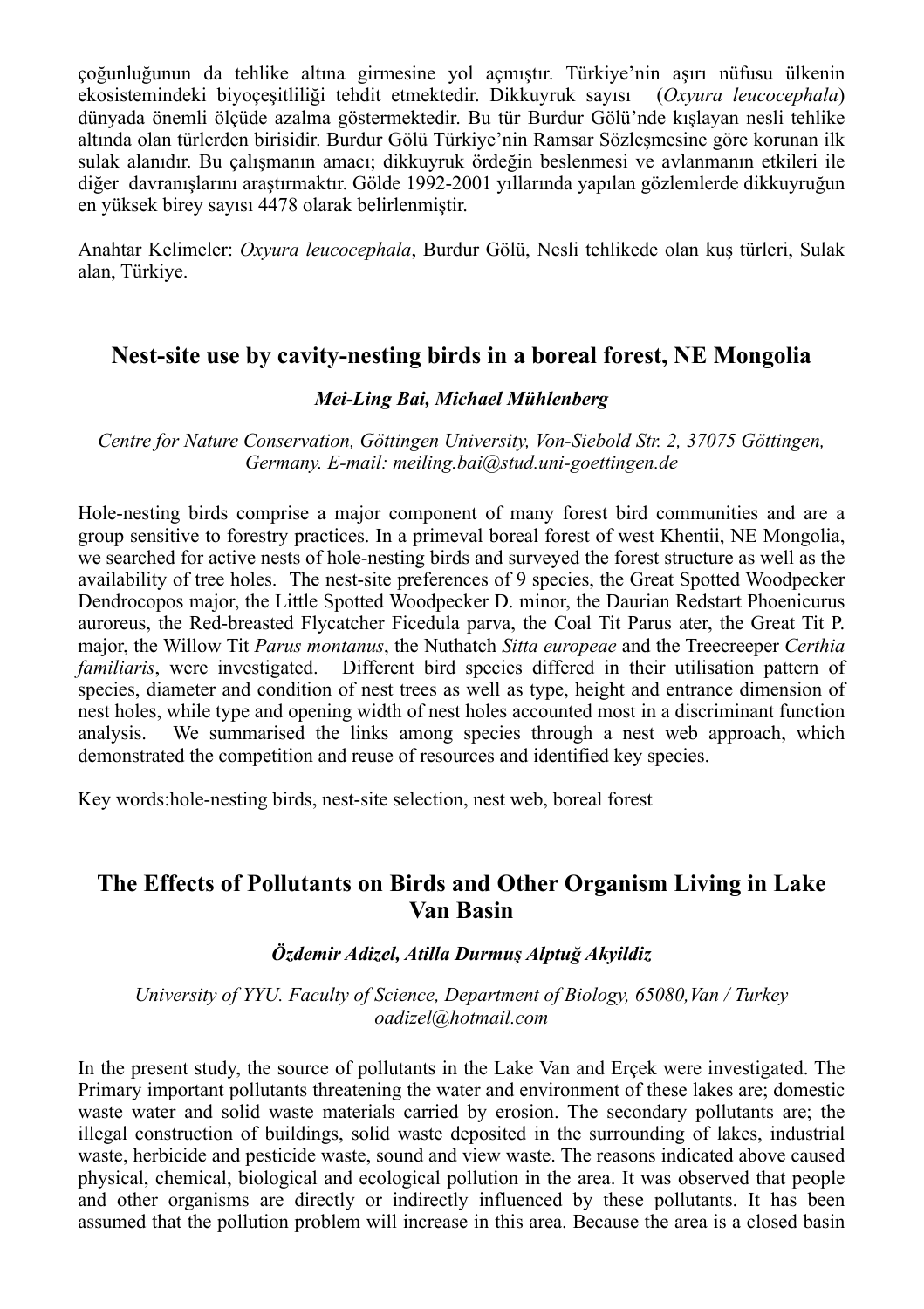çoğunluğunun da tehlike altına girmesine yol açmıştır. Türkiye'nin aşırı nüfusu ülkenin ekosistemindeki biyoçeşitliliği tehdit etmektedir. Dikkuyruk sayısı (*Oxyura leucocephala*) dünyada önemli ölçüde azalma göstermektedir. Bu tür Burdur Gölü'nde kışlayan nesli tehlike altında olan türlerden birisidir. Burdur Gölü Türkiye'nin Ramsar Sözleşmesine göre korunan ilk sulak alanıdır. Bu çalışmanın amacı; dikkuyruk ördeğin beslenmesi ve avlanmanın etkileri ile diğer davranışlarını araştırmaktır. Gölde 1992-2001 yıllarında yapılan gözlemlerde dikkuyruğun en yüksek birey sayısı 4478 olarak belirlenmiştir.

Anahtar Kelimeler: *Oxyura leucocephala*, Burdur Gölü, Nesli tehlikede olan kuş türleri, Sulak alan, Türkiye.

## **Nest-site use by cavity-nesting birds in a boreal forest, NE Mongolia**

#### *Mei-Ling Bai, Michael Mühlenberg*

*Centre for Nature Conservation, Göttingen University, Von-Siebold Str. 2, 37075 Göttingen, Germany. E-mail: meiling.bai@stud.uni-goettingen.de*

Hole-nesting birds comprise a major component of many forest bird communities and are a group sensitive to forestry practices. In a primeval boreal forest of west Khentii, NE Mongolia, we searched for active nests of hole-nesting birds and surveyed the forest structure as well as the availability of tree holes. The nest-site preferences of 9 species, the Great Spotted Woodpecker Dendrocopos major, the Little Spotted Woodpecker D. minor, the Daurian Redstart Phoenicurus auroreus, the Red-breasted Flycatcher Ficedula parva, the Coal Tit Parus ater, the Great Tit P. major, the Willow Tit *Parus montanus*, the Nuthatch *Sitta europeae* and the Treecreeper *Certhia familiaris*, were investigated. Different bird species differed in their utilisation pattern of species, diameter and condition of nest trees as well as type, height and entrance dimension of nest holes, while type and opening width of nest holes accounted most in a discriminant function analysis. We summarised the links among species through a nest web approach, which demonstrated the competition and reuse of resources and identified key species.

Key words:hole-nesting birds, nest-site selection, nest web, boreal forest

## **The Effects of Pollutants on Birds and Other Organism Living in Lake Van Basin**

#### *Özdemir Adizel, Atilla Durmuş Alptuğ Akyildiz*

*University of YYU. Faculty of Science, Department of Biology, 65080, Van / Turkey oadizel@hotmail.com*

In the present study, the source of pollutants in the Lake Van and Erçek were investigated. The Primary important pollutants threatening the water and environment of these lakes are; domestic waste water and solid waste materials carried by erosion. The secondary pollutants are; the illegal construction of buildings, solid waste deposited in the surrounding of lakes, industrial waste, herbicide and pesticide waste, sound and view waste. The reasons indicated above caused physical, chemical, biological and ecological pollution in the area. It was observed that people and other organisms are directly or indirectly influenced by these pollutants. It has been assumed that the pollution problem will increase in this area. Because the area is a closed basin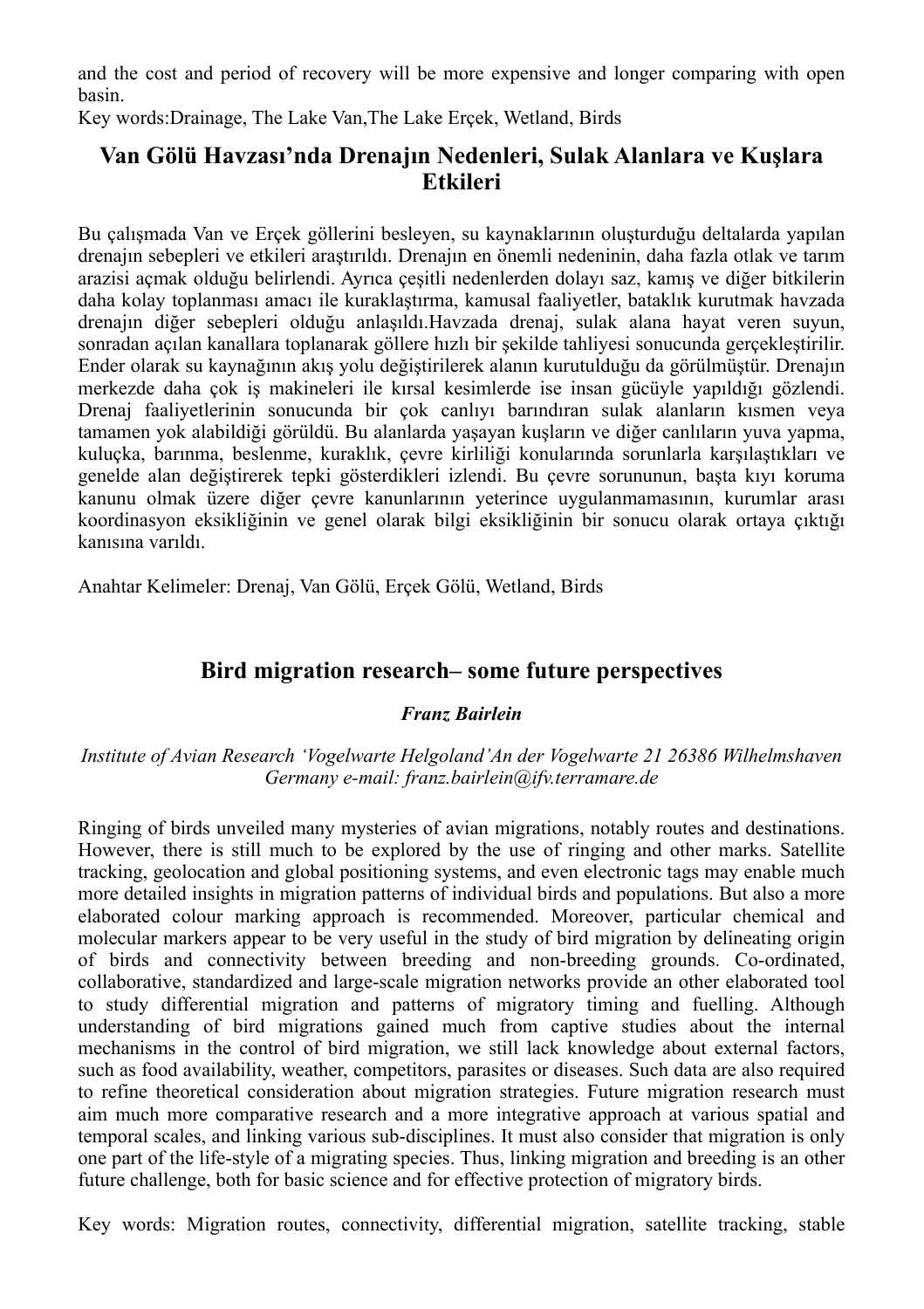and the cost and period of recovery will be more expensive and longer comparing with open basin.

Key words:Drainage, The Lake Van,The Lake Erçek, Wetland, Birds

## **Van Gölü Havzası'nda Drenajın Nedenleri, Sulak Alanlara ve Kuşlara Etkileri**

Bu çalışmada Van ve Erçek göllerini besleyen, su kaynaklarının oluşturduğu deltalarda yapılan drenajın sebepleri ve etkileri araştırıldı. Drenajın en önemli nedeninin, daha fazla otlak ve tarım arazisi açmak olduğu belirlendi. Ayrıca çeşitli nedenlerden dolayı saz, kamış ve diğer bitkilerin daha kolay toplanması amacı ile kuraklaştırma, kamusal faaliyetler, bataklık kurutmak havzada drenajın diğer sebepleri olduğu anlaşıldı.Havzada drenaj, sulak alana hayat veren suyun, sonradan açılan kanallara toplanarak göllere hızlı bir şekilde tahliyesi sonucunda gerçekleştirilir. Ender olarak su kaynağının akış yolu değiştirilerek alanın kurutulduğu da görülmüştür. Drenajın merkezde daha çok iş makineleri ile kırsal kesimlerde ise insan gücüyle yapıldığı gözlendi. Drenaj faaliyetlerinin sonucunda bir çok canlıyı barındıran sulak alanların kısmen veya tamamen yok alabildiği görüldü. Bu alanlarda yaşayan kuşların ve diğer canlıların yuva yapma, kuluçka, barınma, beslenme, kuraklık, çevre kirliliği konularında sorunlarla karşılaştıkları ve genelde alan değiştirerek tepki gösterdikleri izlendi. Bu çevre sorununun, başta kıyı koruma kanunu olmak üzere diğer çevre kanunlarının yeterince uygulanmamasının, kurumlar arası koordinasyon eksikliğinin ve genel olarak bilgi eksikliğinin bir sonucu olarak ortaya çıktığı kanısına varıldı.

Anahtar Kelimeler: Drenaj, Van Gölü, Erçek Gölü, Wetland, Birds

## **Bird migration research– some future perspectives**

#### *Franz Bairlein*

#### *Institute of Avian Research 'Vogelwarte Helgoland'An der Vogelwarte 21 26386 Wilhelmshaven Germany e-mail: franz.bairlein@ifv.terramare.de*

Ringing of birds unveiled many mysteries of avian migrations, notably routes and destinations. However, there is still much to be explored by the use of ringing and other marks. Satellite tracking, geolocation and global positioning systems, and even electronic tags may enable much more detailed insights in migration patterns of individual birds and populations. But also a more elaborated colour marking approach is recommended. Moreover, particular chemical and molecular markers appear to be very useful in the study of bird migration by delineating origin of birds and connectivity between breeding and non-breeding grounds. Co-ordinated, collaborative, standardized and large-scale migration networks provide an other elaborated tool to study differential migration and patterns of migratory timing and fuelling. Although understanding of bird migrations gained much from captive studies about the internal mechanisms in the control of bird migration, we still lack knowledge about external factors, such as food availability, weather, competitors, parasites or diseases. Such data are also required to refine theoretical consideration about migration strategies. Future migration research must aim much more comparative research and a more integrative approach at various spatial and temporal scales, and linking various sub-disciplines. It must also consider that migration is only one part of the life-style of a migrating species. Thus, linking migration and breeding is an other future challenge, both for basic science and for effective protection of migratory birds.

Key words: Migration routes, connectivity, differential migration, satellite tracking, stable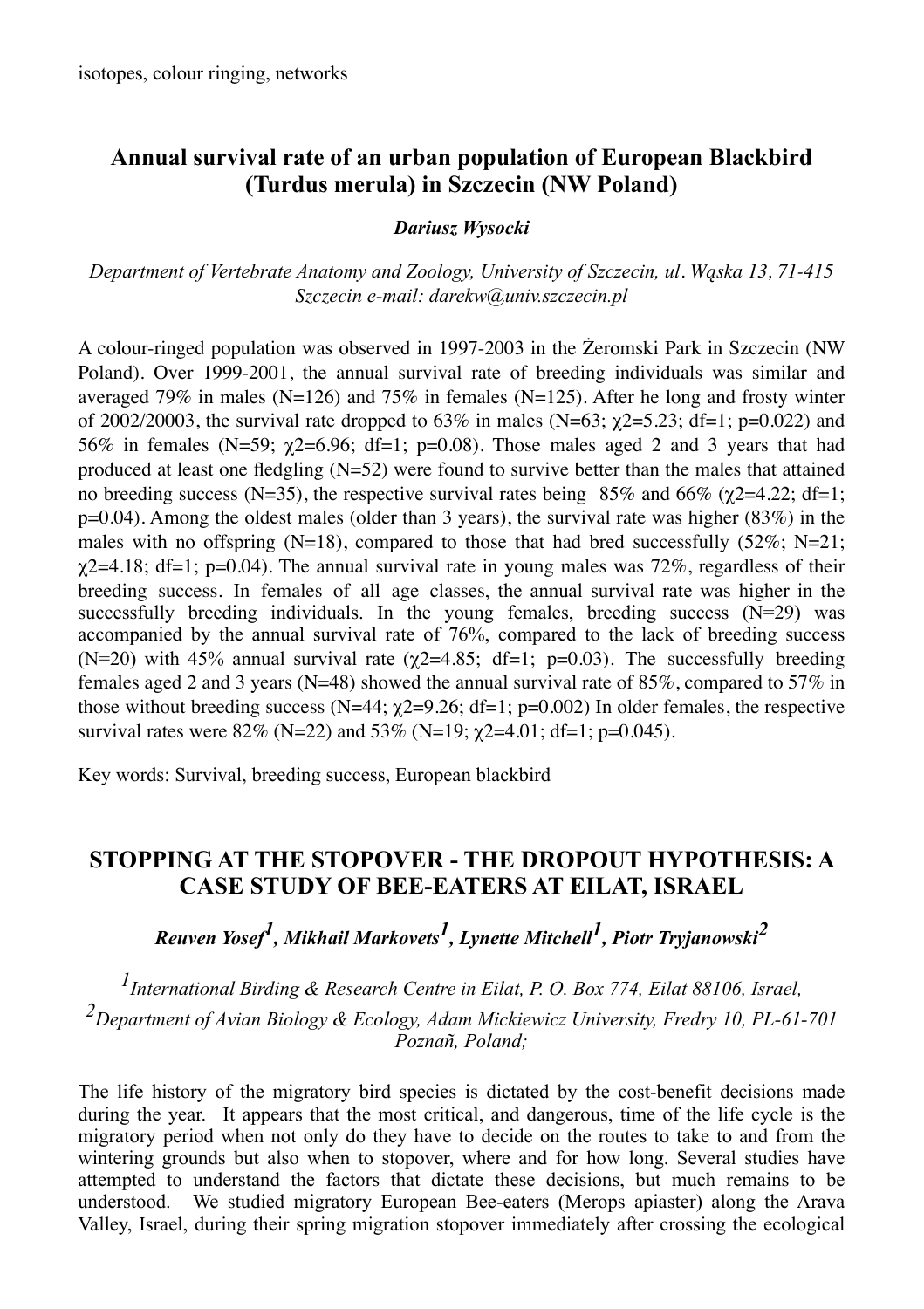## **Annual survival rate of an urban population of European Blackbird (Turdus merula) in Szczecin (NW Poland)**

#### *Dariusz Wysocki*

*Department of Vertebrate Anatomy and Zoology, University of Szczecin, ul. Wąska 13, 71-415 Szczecin e-mail: darekw@univ.szczecin.pl*

A colour-ringed population was observed in 1997-2003 in the Żeromski Park in Szczecin (NW Poland). Over 1999-2001, the annual survival rate of breeding individuals was similar and averaged 79% in males ( $N=126$ ) and 75% in females ( $N=125$ ). After he long and frosty winter of 2002/20003, the survival rate dropped to 63% in males (N=63;  $\gamma$ 2=5.23; df=1; p=0.022) and 56% in females (N=59;  $\gamma$ 2=6.96; df=1; p=0.08). Those males aged 2 and 3 years that had produced at least one fledgling  $(N=52)$  were found to survive better than the males that attained no breeding success (N=35), the respective survival rates being  $85\%$  and  $66\%$  ( $\gamma$ 2=4.22; df=1;  $p=0.04$ ). Among the oldest males (older than 3 years), the survival rate was higher (83%) in the males with no offspring (N=18), compared to those that had bred successfully  $(52\%; N=21;$  $\chi$ 2=4.18; df=1; p=0.04). The annual survival rate in young males was 72%, regardless of their breeding success. In females of all age classes, the annual survival rate was higher in the successfully breeding individuals. In the young females, breeding success  $(N=29)$  was accompanied by the annual survival rate of 76%, compared to the lack of breeding success (N=20) with 45% annual survival rate ( $\gamma$ 2=4.85; df=1; p=0.03). The successfully breeding females aged 2 and 3 years (N=48) showed the annual survival rate of  $85\%$ , compared to  $57\%$  in those without breeding success  $(N=44; \gamma_2=9.26; df=1; p=0.002)$  In older females, the respective survival rates were  $82\%$  (N=22) and  $53\%$  (N=19;  $\chi$ 2=4.01; df=1; p=0.045).

Key words: Survival, breeding success, European blackbird

## **STOPPING AT THE STOPOVER - THE DROPOUT HYPOTHESIS: A CASE STUDY OF BEE-EATERS AT EILAT, ISRAEL**

*Reuven Yosef1, Mikhail Markovets1, Lynette Mitchell1, Piotr Tryjanowski2*

*1International Birding & Research Centre in Eilat, P. O. Box 774, Eilat 88106, Israel, 2Department of Avian Biology & Ecology, Adam Mickiewicz University, Fredry 10, PL-61-701 Poznañ, Poland;*

The life history of the migratory bird species is dictated by the cost-benefit decisions made during the year. It appears that the most critical, and dangerous, time of the life cycle is the migratory period when not only do they have to decide on the routes to take to and from the wintering grounds but also when to stopover, where and for how long. Several studies have attempted to understand the factors that dictate these decisions, but much remains to be understood. We studied migratory European Bee-eaters (Merops apiaster) along the Arava Valley, Israel, during their spring migration stopover immediately after crossing the ecological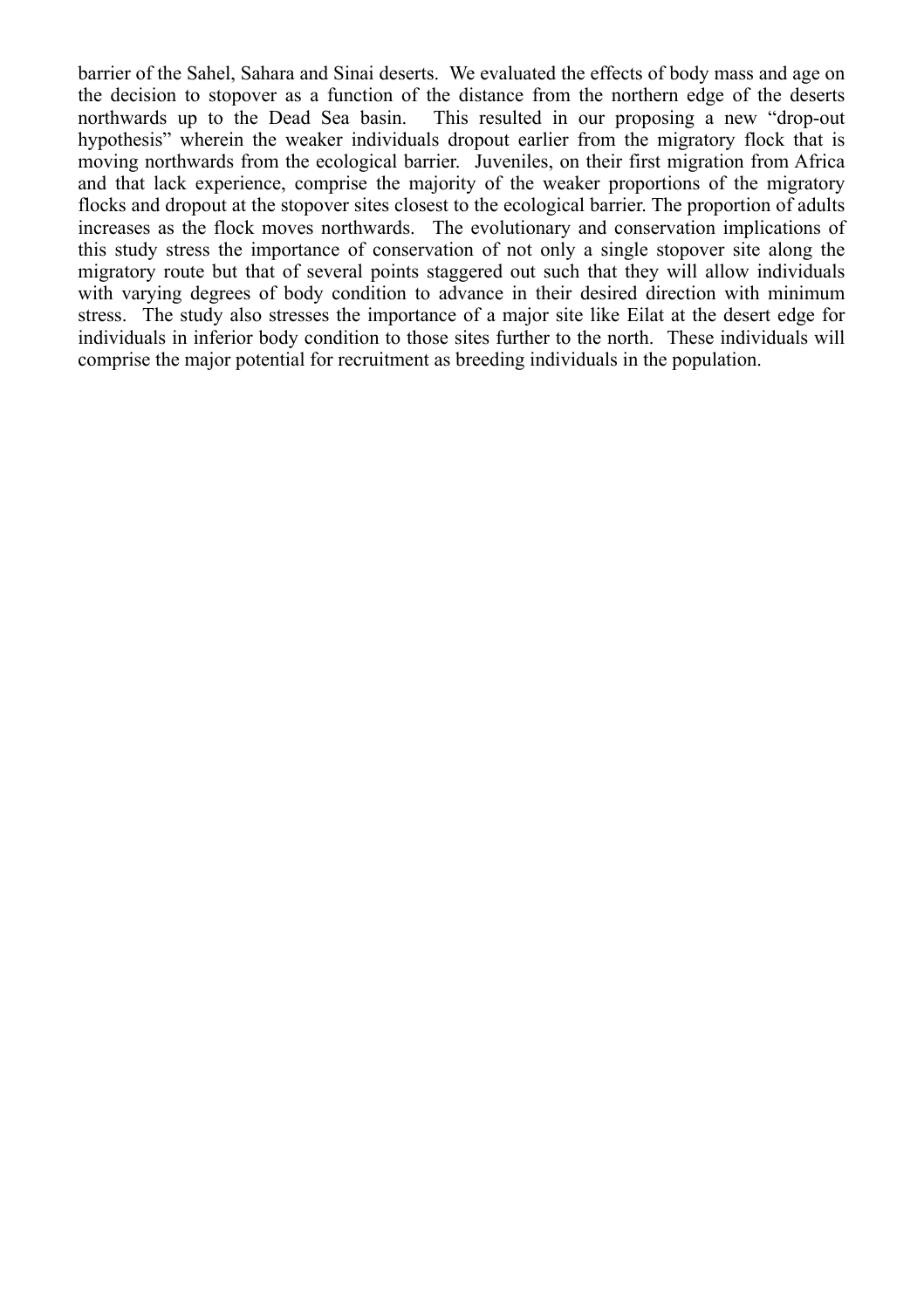barrier of the Sahel, Sahara and Sinai deserts. We evaluated the effects of body mass and age on the decision to stopover as a function of the distance from the northern edge of the deserts northwards up to the Dead Sea basin. This resulted in our proposing a new "drop-out hypothesis" wherein the weaker individuals dropout earlier from the migratory flock that is moving northwards from the ecological barrier. Juveniles, on their first migration from Africa and that lack experience, comprise the majority of the weaker proportions of the migratory flocks and dropout at the stopover sites closest to the ecological barrier. The proportion of adults increases as the flock moves northwards. The evolutionary and conservation implications of this study stress the importance of conservation of not only a single stopover site along the migratory route but that of several points staggered out such that they will allow individuals with varying degrees of body condition to advance in their desired direction with minimum stress. The study also stresses the importance of a major site like Eilat at the desert edge for individuals in inferior body condition to those sites further to the north. These individuals will comprise the major potential for recruitment as breeding individuals in the population.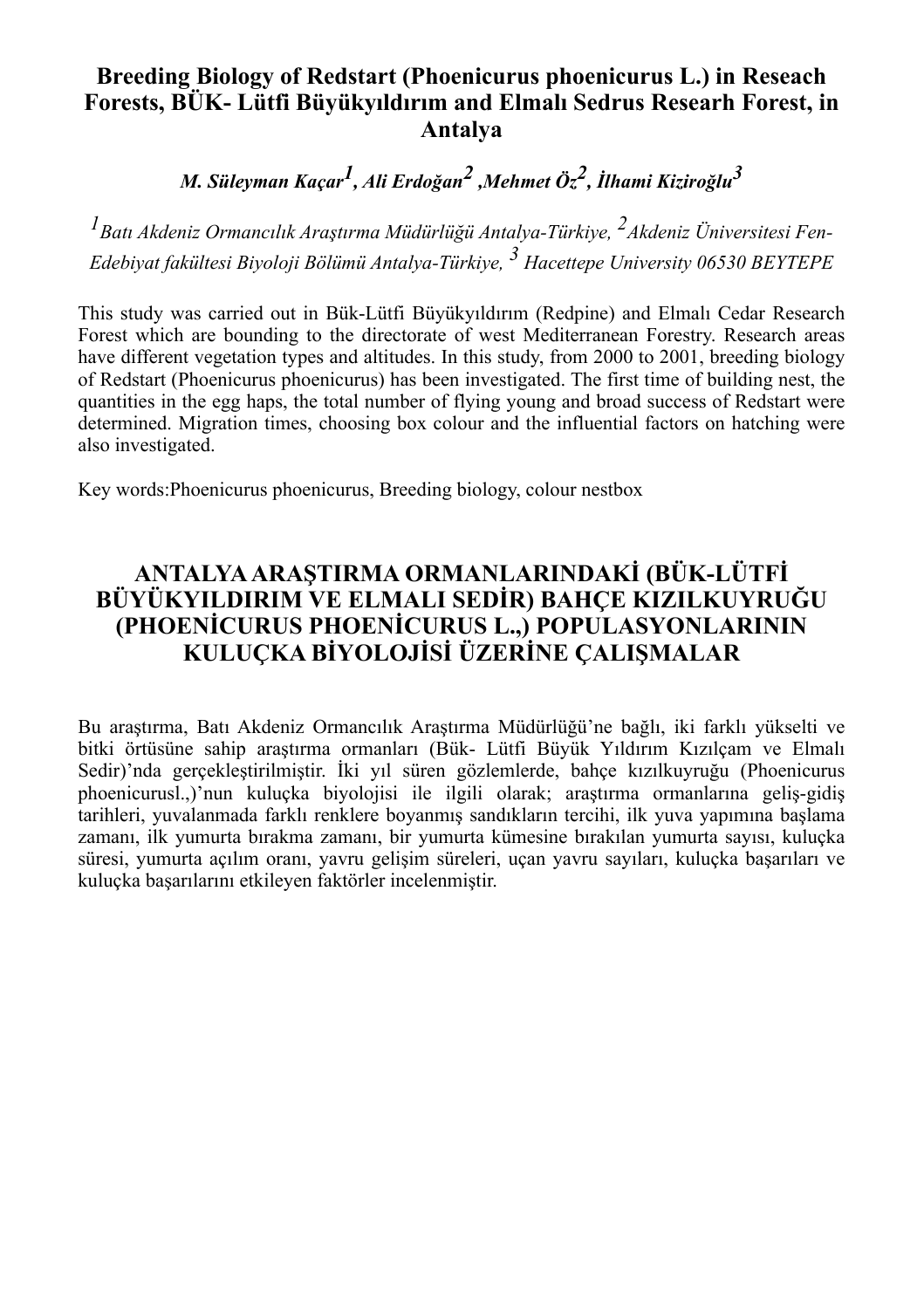## **Breeding Biology of Redstart (Phoenicurus phoenicurus L.) in Reseach Forests, BÜK- Lütfi Büyükyıldırım and Elmalı Sedrus Researh Forest, in Antalya**

*M. Süleyman Kaçar1, Ali Erdoğan2 ,Mehmet Öz2, İlhami Kiziroğlu<sup>3</sup>*

*1Batı Akdeniz Ormancılık Araştırma Müdürlüğü Antalya-Türkiye, 2Akdeniz Üniversitesi Fen-Edebiyat fakültesi Biyoloji Bölümü Antalya-Türkiye, 3 Hacettepe University 06530 BEYTEPE*

This study was carried out in Bük-Lütfi Büyükyıldırım (Redpine) and Elmalı Cedar Research Forest which are bounding to the directorate of west Mediterranean Forestry. Research areas have different vegetation types and altitudes. In this study, from 2000 to 2001, breeding biology of Redstart (Phoenicurus phoenicurus) has been investigated. The first time of building nest, the quantities in the egg haps, the total number of flying young and broad success of Redstart were determined. Migration times, choosing box colour and the influential factors on hatching were also investigated.

Key words:Phoenicurus phoenicurus, Breeding biology, colour nestbox

## **ANTALYA ARAŞTIRMA ORMANLARINDAKİ (BÜK-LÜTFİ BÜYÜKYILDIRIM VE ELMALI SEDİR) BAHÇE KIZILKUYRUĞU (PHOENİCURUS PHOENİCURUS L.,) POPULASYONLARININ KULUÇKA BİYOLOJİSİ ÜZERİNE ÇALIŞMALAR**

Bu araştırma, Batı Akdeniz Ormancılık Araştırma Müdürlüğü'ne bağlı, iki farklı yükselti ve bitki örtüsüne sahip araştırma ormanları (Bük- Lütfi Büyük Yıldırım Kızılçam ve Elmalı Sedir)'nda gerçekleştirilmiştir. İki yıl süren gözlemlerde, bahçe kızılkuyruğu (Phoenicurus phoenicurusl.,)'nun kuluçka biyolojisi ile ilgili olarak; araştırma ormanlarına geliş-gidiş tarihleri, yuvalanmada farklı renklere boyanmış sandıkların tercihi, ilk yuva yapımına başlama zamanı, ilk yumurta bırakma zamanı, bir yumurta kümesine bırakılan yumurta sayısı, kuluçka süresi, yumurta açılım oranı, yavru gelişim süreleri, uçan yavru sayıları, kuluçka başarıları ve kuluçka başarılarını etkileyen faktörler incelenmiştir.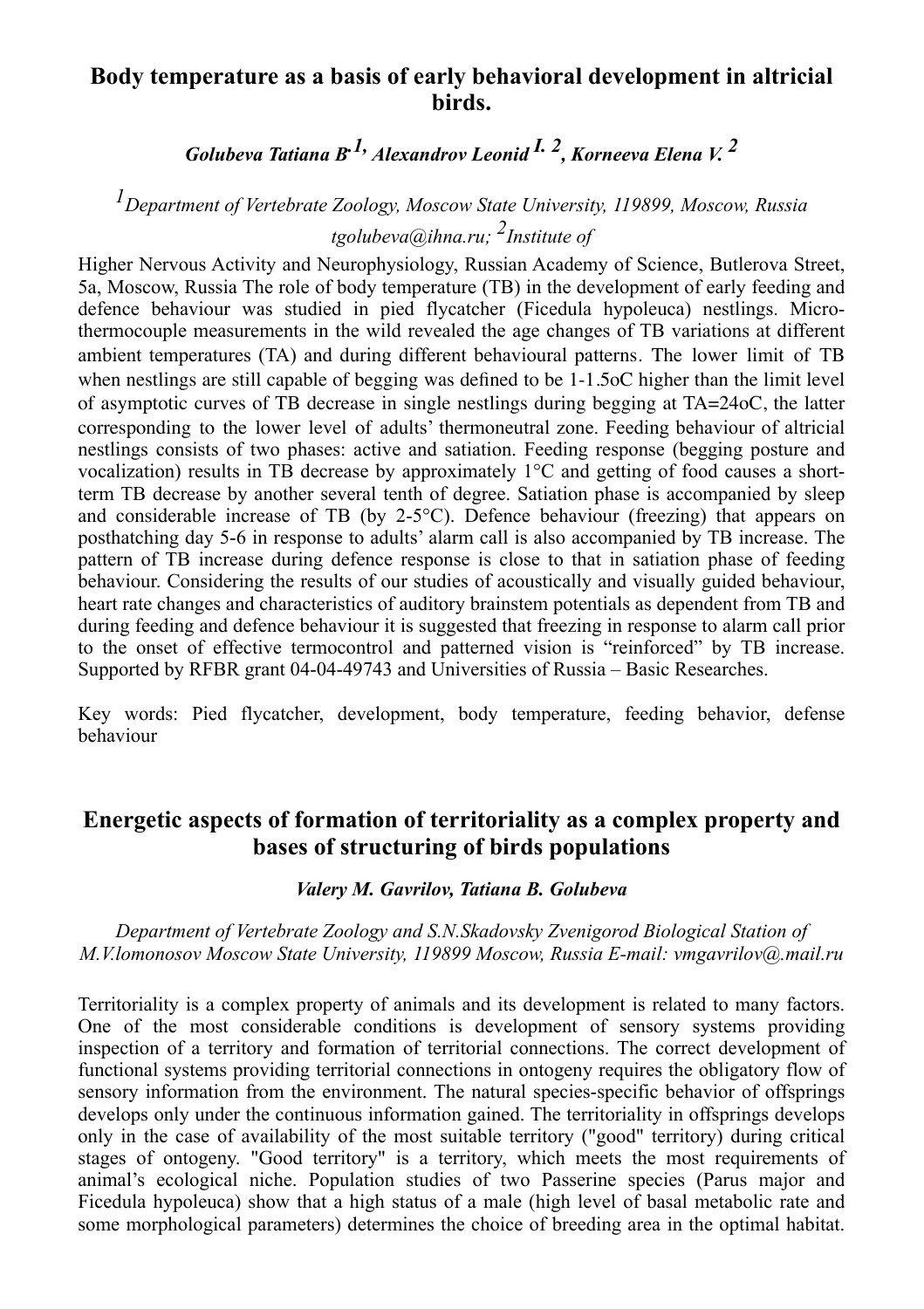## **Body temperature as a basis of early behavioral development in altricial birds.**

*Golubeva Tatiana B.1, Alexandrov Leonid I. 2, Korneeva Elena V. 2*

## *1Department of Vertebrate Zoology, Moscow State University, 119899, Moscow, Russia tgolubeva@ihna.ru; 2Institute of*

Higher Nervous Activity and Neurophysiology, Russian Academy of Science, Butlerova Street, 5a, Moscow, Russia The role of body temperature (TB) in the development of early feeding and defence behaviour was studied in pied flycatcher (Ficedula hypoleuca) nestlings. Microthermocouple measurements in the wild revealed the age changes of TB variations at different ambient temperatures (TA) and during different behavioural patterns. The lower limit of TB when nestlings are still capable of begging was defined to be 1-1.5oC higher than the limit level of asymptotic curves of TB decrease in single nestlings during begging at TA=24оС, the latter corresponding to the lower level of adults' thermoneutral zone. Feeding behaviour of altricial nestlings consists of two phases: active and satiation. Feeding response (begging posture and vocalization) results in TB decrease by approximately  $1^{\circ}$ C and getting of food causes a shortterm TB decrease by another several tenth of degree. Satiation phase is accompanied by sleep and considerable increase of TB (by  $2-5^{\circ}$ C). Defence behaviour (freezing) that appears on posthatching day 5-6 in response to adults' alarm call is also accompanied by TB increase. The pattern of TB increase during defence response is close to that in satiation phase of feeding behaviour. Considering the results of our studies of acoustically and visually guided behaviour, heart rate changes and characteristics of auditory brainstem potentials as dependent from TB and during feeding and defence behaviour it is suggested that freezing in response to alarm call prior to the onset of effective termocontrol and patterned vision is "reinforced" by TB increase. Supported by RFBR grant 04-04-49743 and Universities of Russia – Basic Researches.

Key words: Pied flycatcher, development, body temperature, feeding behavior, defense behaviour

## **Energetic aspects of formation of territoriality as a complex property and bases of structuring of birds populations**

#### *Valery M. Gavrilov, Tatiana B. Golubeva*

#### *Department of Vertebrate Zoology and S.N.Skadovsky Zvenigorod Biological Station of M.V.lomonosov Moscow State University, 119899 Moscow, Russia E-mail: vmgavrilov@.mail.ru*

Territoriality is a complex property of animals and its development is related to many factors. One of the most considerable conditions is development of sensory systems providing inspection of a territory and formation of territorial connections. The correct development of functional systems providing territorial connections in ontogeny requires the obligatory flow of sensory information from the environment. The natural species-specific behavior of offsprings develops only under the continuous information gained. The territoriality in offsprings develops only in the case of availability of the most suitable territory ("good" territory) during critical stages of ontogeny. "Good territory" is a territory, which meets the most requirements of animal's ecological niche. Population studies of two Passerine species (Parus major and Ficedula hypoleuca) show that a high status of a male (high level of basal metabolic rate and some morphological parameters) determines the choice of breeding area in the optimal habitat.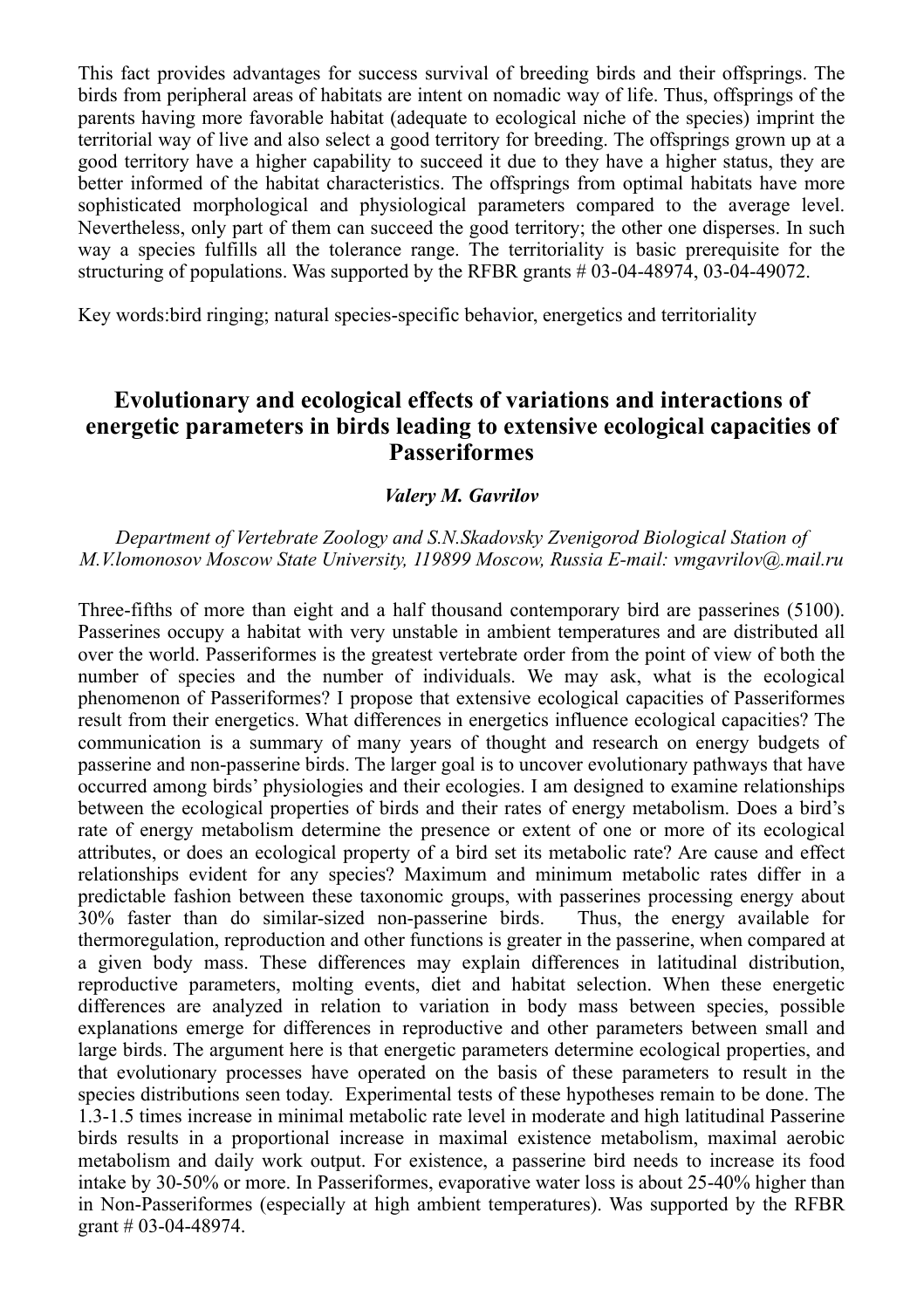This fact provides advantages for success survival of breeding birds and their offsprings. The birds from peripheral areas of habitats are intent on nomadic way of life. Thus, offsprings of the parents having more favorable habitat (adequate to ecological niche of the species) imprint the territorial way of live and also select a good territory for breeding. The offsprings grown up at a good territory have a higher capability to succeed it due to they have a higher status, they are better informed of the habitat characteristics. The offsprings from optimal habitats have more sophisticated morphological and physiological parameters compared to the average level. Nevertheless, only part of them can succeed the good territory; the other one disperses. In such way a species fulfills all the tolerance range. The territoriality is basic prerequisite for the structuring of populations. Was supported by the RFBR grants # 03-04-48974, 03-04-49072.

Key words:bird ringing; natural species-specific behavior, energetics and territoriality

## **Evolutionary and ecological effects of variations and interactions of energetic parameters in birds leading to extensive ecological capacities of Passeriformes**

#### *Valery M. Gavrilov*

#### *Department of Vertebrate Zoology and S.N.Skadovsky Zvenigorod Biological Station of M.V.lomonosov Moscow State University, 119899 Moscow, Russia E-mail: vmgavrilov@.mail.ru*

Three-fifths of more than eight and a half thousand contemporary bird are passerines (5100). Passerines occupy a habitat with very unstable in ambient temperatures and are distributed all over the world. Passeriformes is the greatest vertebrate order from the point of view of both the number of species and the number of individuals. We may ask, what is the ecological phenomenon of Passeriformes? I propose that extensive ecological capacities of Passeriformes result from their energetics. What differences in energetics influence ecological capacities? The communication is a summary of many years of thought and research on energy budgets of passerine and non-passerine birds. The larger goal is to uncover evolutionary pathways that have occurred among birds' physiologies and their ecologies. I am designed to examine relationships between the ecological properties of birds and their rates of energy metabolism. Does a bird's rate of energy metabolism determine the presence or extent of one or more of its ecological attributes, or does an ecological property of a bird set its metabolic rate? Are cause and effect relationships evident for any species? Maximum and minimum metabolic rates differ in a predictable fashion between these taxonomic groups, with passerines processing energy about 30% faster than do similar-sized non-passerine birds. Thus, the energy available for thermoregulation, reproduction and other functions is greater in the passerine, when compared at a given body mass. These differences may explain differences in latitudinal distribution, reproductive parameters, molting events, diet and habitat selection. When these energetic differences are analyzed in relation to variation in body mass between species, possible explanations emerge for differences in reproductive and other parameters between small and large birds. The argument here is that energetic parameters determine ecological properties, and that evolutionary processes have operated on the basis of these parameters to result in the species distributions seen today. Experimental tests of these hypotheses remain to be done. The 1.3-1.5 times increase in minimal metabolic rate level in moderate and high latitudinal Passerine birds results in a proportional increase in maximal existence metabolism, maximal aerobic metabolism and daily work output. For existence, a passerine bird needs to increase its food intake by 30-50% or more. In Passeriformes, evaporative water loss is about 25-40% higher than in Non-Passeriformes (especially at high ambient temperatures). Was supported by the RFBR grant # 03-04-48974.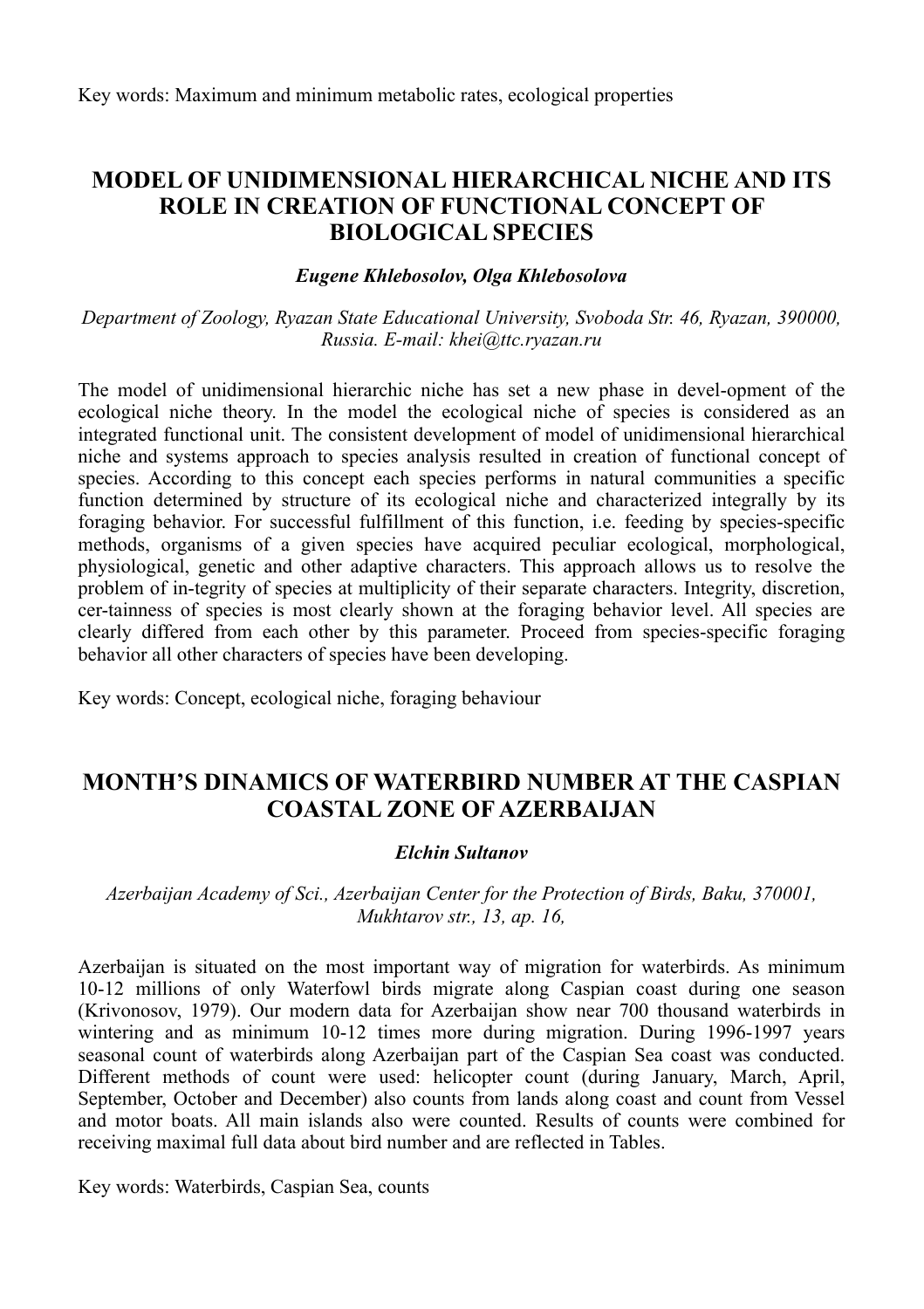## **MODEL OF UNIDIMENSIONAL HIERARCHICAL NICHE AND ITS ROLE IN CREATION OF FUNCTIONAL CONCEPT OF BIOLOGICAL SPECIES**

#### *Eugene Khlebosolov, Olga Khlebosolova*

*Department of Zoology, Ryazan State Educational University, Svoboda Str. 46, Ryazan, 390000, Russia. E-mail: khei@ttc.ryazan.ru*

The model of unidimensional hierarchic niche has set a new phase in devel-opment of the ecological niche theory. In the model the ecological niche of species is considered as an integrated functional unit. The consistent development of model of unidimensional hierarchical niche and systems approach to species analysis resulted in creation of functional concept of species. According to this concept each species performs in natural communities a specific function determined by structure of its ecological niche and characterized integrally by its foraging behavior. For successful fulfillment of this function, i.e. feeding by species-specific methods, organisms of a given species have acquired peculiar ecological, morphological, physiological, genetic and other adaptive characters. This approach allows us to resolve the problem of in-tegrity of species at multiplicity of their separate characters. Integrity, discretion, cer-tainness of species is most clearly shown at the foraging behavior level. All species are clearly differed from each other by this parameter. Proceed from species-specific foraging behavior all other characters of species have been developing.

Key words: Concept, ecological niche, foraging behaviour

## **MONTH'S DINAMICS OF WATERBIRD NUMBER AT THE CASPIAN COASTAL ZONE OF AZERBAIJAN**

#### *Elchin Sultanov*

#### *Azerbaijan Academy of Sci., Azerbaijan Center for the Protection of Birds, Baku, 370001, Mukhtarov str., 13, ap. 16,*

Azerbaijan is situated on the most important way of migration for waterbirds. As minimum 10-12 millions of only Waterfowl birds migrate along Caspian coast during one season (Krivonosov, 1979). Our modern data for Azerbaijan show near 700 thousand waterbirds in wintering and as minimum 10-12 times more during migration. During 1996-1997 years seasonal count of waterbirds along Azerbaijan part of the Caspian Sea coast was conducted. Different methods of count were used: helicopter count (during January, March, April, September, October and December) also counts from lands along coast and count from Vessel and motor boats. All main islands also were counted. Results of counts were combined for receiving maximal full data about bird number and are reflected in Tables.

Key words: Waterbirds, Caspian Sea, counts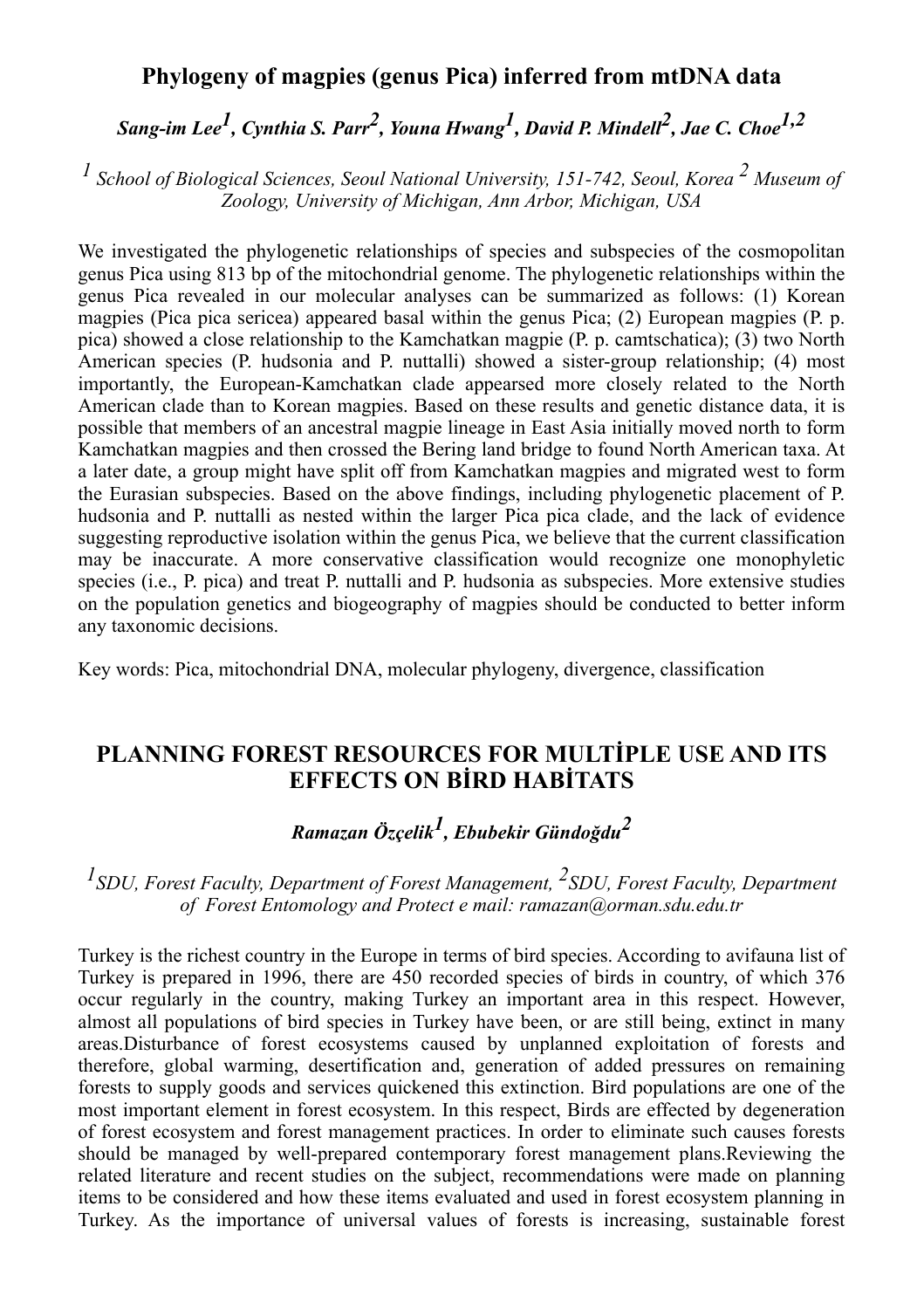## **Phylogeny of magpies (genus Pica) inferred from mtDNA data**

*Sang-im Lee1, Cynthia S. Parr2, Youna Hwang1, David P. Mindell2, Jae C. Choe1,2*

*1 School of Biological Sciences, Seoul National University, 151-742, Seoul, Korea 2 Museum of Zoology, University of Michigan, Ann Arbor, Michigan, USA*

We investigated the phylogenetic relationships of species and subspecies of the cosmopolitan genus Pica using 813 bp of the mitochondrial genome. The phylogenetic relationships within the genus Pica revealed in our molecular analyses can be summarized as follows: (1) Korean magpies (Pica pica sericea) appeared basal within the genus Pica; (2) European magpies (P. p. pica) showed a close relationship to the Kamchatkan magpie (P. p. camtschatica); (3) two North American species (P. hudsonia and P. nuttalli) showed a sister-group relationship; (4) most importantly, the European-Kamchatkan clade appearsed more closely related to the North American clade than to Korean magpies. Based on these results and genetic distance data, it is possible that members of an ancestral magpie lineage in East Asia initially moved north to form Kamchatkan magpies and then crossed the Bering land bridge to found North American taxa. At a later date, a group might have split off from Kamchatkan magpies and migrated west to form the Eurasian subspecies. Based on the above findings, including phylogenetic placement of P. hudsonia and P. nuttalli as nested within the larger Pica pica clade, and the lack of evidence suggesting reproductive isolation within the genus Pica, we believe that the current classification may be inaccurate. A more conservative classification would recognize one monophyletic species (i.e., P. pica) and treat P. nuttalli and P. hudsonia as subspecies. More extensive studies on the population genetics and biogeography of magpies should be conducted to better inform any taxonomic decisions.

Key words: Pica, mitochondrial DNA, molecular phylogeny, divergence, classification

## **PLANNING FOREST RESOURCES FOR MULTİPLE USE AND ITS EFFECTS ON BİRD HABİTATS**

## *Ramazan Özçelik1, Ebubekir Gündoğdu<sup>2</sup>*

*1SDU, Forest Faculty, Department of Forest Management, 2SDU, Forest Faculty, Department of Forest Entomology and Protect e mail: ramazan@orman.sdu.edu.tr*

Turkey is the richest country in the Europe in terms of bird species. According to avifauna list of Turkey is prepared in 1996, there are 450 recorded species of birds in country, of which 376 occur regularly in the country, making Turkey an important area in this respect. However, almost all populations of bird species in Turkey have been, or are still being, extinct in many areas.Disturbance of forest ecosystems caused by unplanned exploitation of forests and therefore, global warming, desertification and, generation of added pressures on remaining forests to supply goods and services quickened this extinction. Bird populations are one of the most important element in forest ecosystem. In this respect, Birds are effected by degeneration of forest ecosystem and forest management practices. In order to eliminate such causes forests should be managed by well-prepared contemporary forest management plans.Reviewing the related literature and recent studies on the subject, recommendations were made on planning items to be considered and how these items evaluated and used in forest ecosystem planning in Turkey. As the importance of universal values of forests is increasing, sustainable forest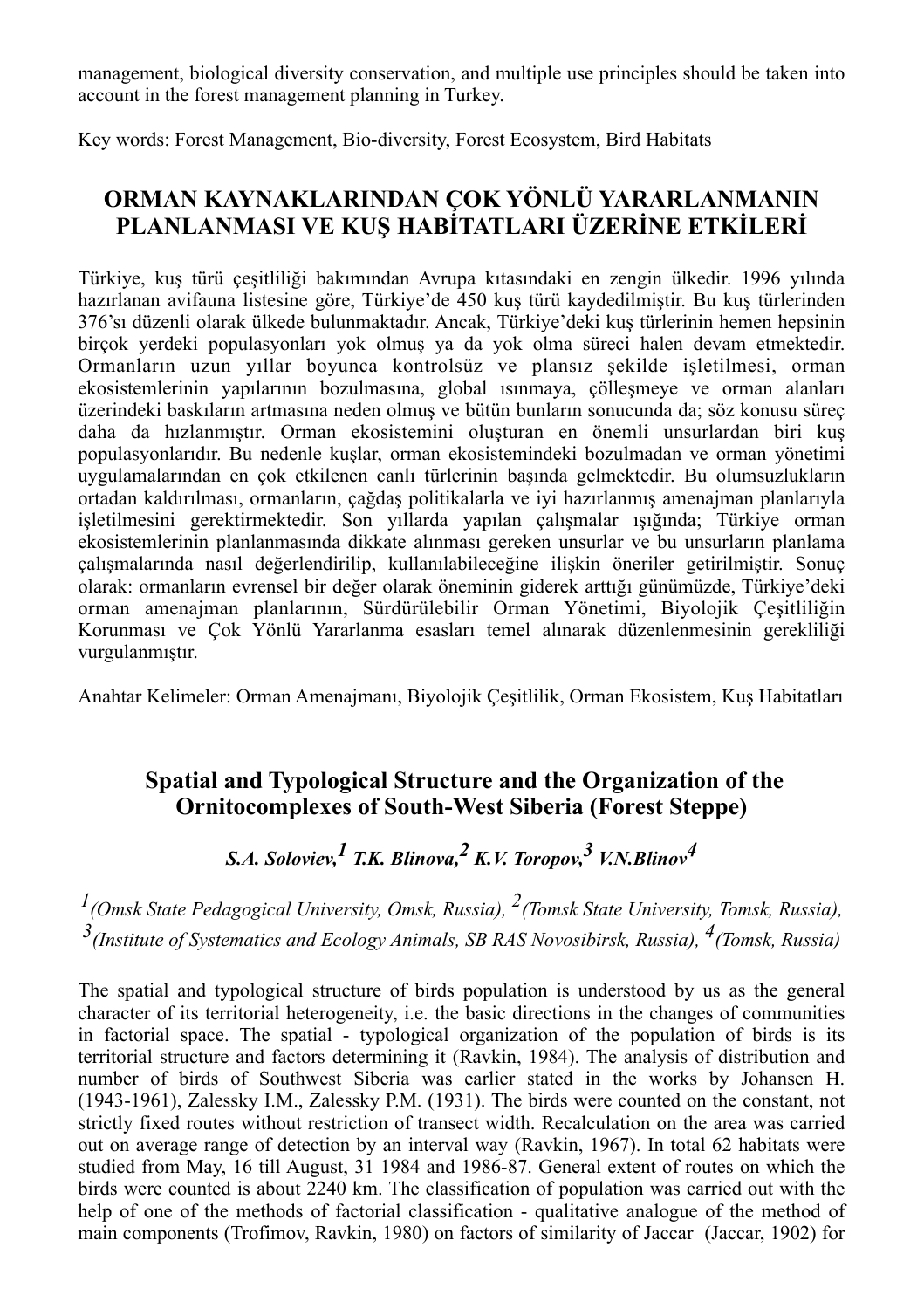management, biological diversity conservation, and multiple use principles should be taken into account in the forest management planning in Turkey.

Key words: Forest Management, Bio-diversity, Forest Ecosystem, Bird Habitats

## **ORMAN KAYNAKLARINDAN ÇOK YÖNLÜ YARARLANMANIN PLANLANMASI VE KUŞ HABİTATLARI ÜZERİNE ETKİLERİ**

Türkiye, kuş türü çeşitliliği bakımından Avrupa kıtasındaki en zengin ülkedir. 1996 yılında hazırlanan avifauna listesine göre, Türkiye'de 450 kuş türü kaydedilmiştir. Bu kuş türlerinden 376'sı düzenli olarak ülkede bulunmaktadır. Ancak, Türkiye'deki kuş türlerinin hemen hepsinin birçok yerdeki populasyonları yok olmuş ya da yok olma süreci halen devam etmektedir. Ormanların uzun yıllar boyunca kontrolsüz ve plansız şekilde işletilmesi, orman ekosistemlerinin yapılarının bozulmasına, global ısınmaya, çölleşmeye ve orman alanları üzerindeki baskıların artmasına neden olmuş ve bütün bunların sonucunda da; söz konusu süreç daha da hızlanmıştır. Orman ekosistemini oluşturan en önemli unsurlardan biri kuş populasyonlarıdır. Bu nedenle kuşlar, orman ekosistemindeki bozulmadan ve orman yönetimi uygulamalarından en çok etkilenen canlı türlerinin başında gelmektedir. Bu olumsuzlukların ortadan kaldırılması, ormanların, çağdaş politikalarla ve iyi hazırlanmış amenajman planlarıyla işletilmesini gerektirmektedir. Son yıllarda yapılan çalışmalar ışığında; Türkiye orman ekosistemlerinin planlanmasında dikkate alınması gereken unsurlar ve bu unsurların planlama çalışmalarında nasıl değerlendirilip, kullanılabileceğine ilişkin öneriler getirilmiştir. Sonuç olarak: ormanların evrensel bir değer olarak öneminin giderek arttığı günümüzde, Türkiye'deki orman amenajman planlarının, Sürdürülebilir Orman Yönetimi, Biyolojik Çeşitliliğin Korunması ve Çok Yönlü Yararlanma esasları temel alınarak düzenlenmesinin gerekliliği vurgulanmıştır.

Anahtar Kelimeler: Orman Amenajmanı, Biyolojik Çeşitlilik, Orman Ekosistem, Kuş Habitatları

## **Spatial and Typological Structure and the Organization of the Ornitocomplexes of South-West Siberia (Forest Steppe)**

## *S.A. Soloviev,1 T.K. Blinova,2 K.V. Toropov,3 V.N.Blinov4*

*1(Omsk State Pedagogical University, Omsk, Russia), 2(Tomsk State University, Tomsk, Russia), 3(Institute of Systematics and Ecology Animals, SB RAS Novosibirsk, Russia), 4(Tomsk, Russia)*

The spatial and typological structure of birds population is understood by us as the general character of its territorial heterogeneity, i.e. the basic directions in the changes of communities in factorial space. The spatial - typological organization of the population of birds is its territorial structure and factors determining it (Ravkin, 1984). The analysis of distribution and number of birds of Southwest Siberia was earlier stated in the works by Johansen H. (1943-1961), Zalessky I.M., Zalessky P.M. (1931). The birds were counted on the constant, not strictly fixed routes without restriction of transect width. Recalculation on the area was carried out on average range of detection by an interval way (Ravkin, 1967). In total 62 habitats were studied from May, 16 till August, 31 1984 and 1986-87. General extent of routes on which the birds were counted is about 2240 km. The classification of population was carried out with the help of one of the methods of factorial classification - qualitative analogue of the method of main components (Trofimov, Ravkin, 1980) on factors of similarity of Jaccar (Jaccar, 1902) for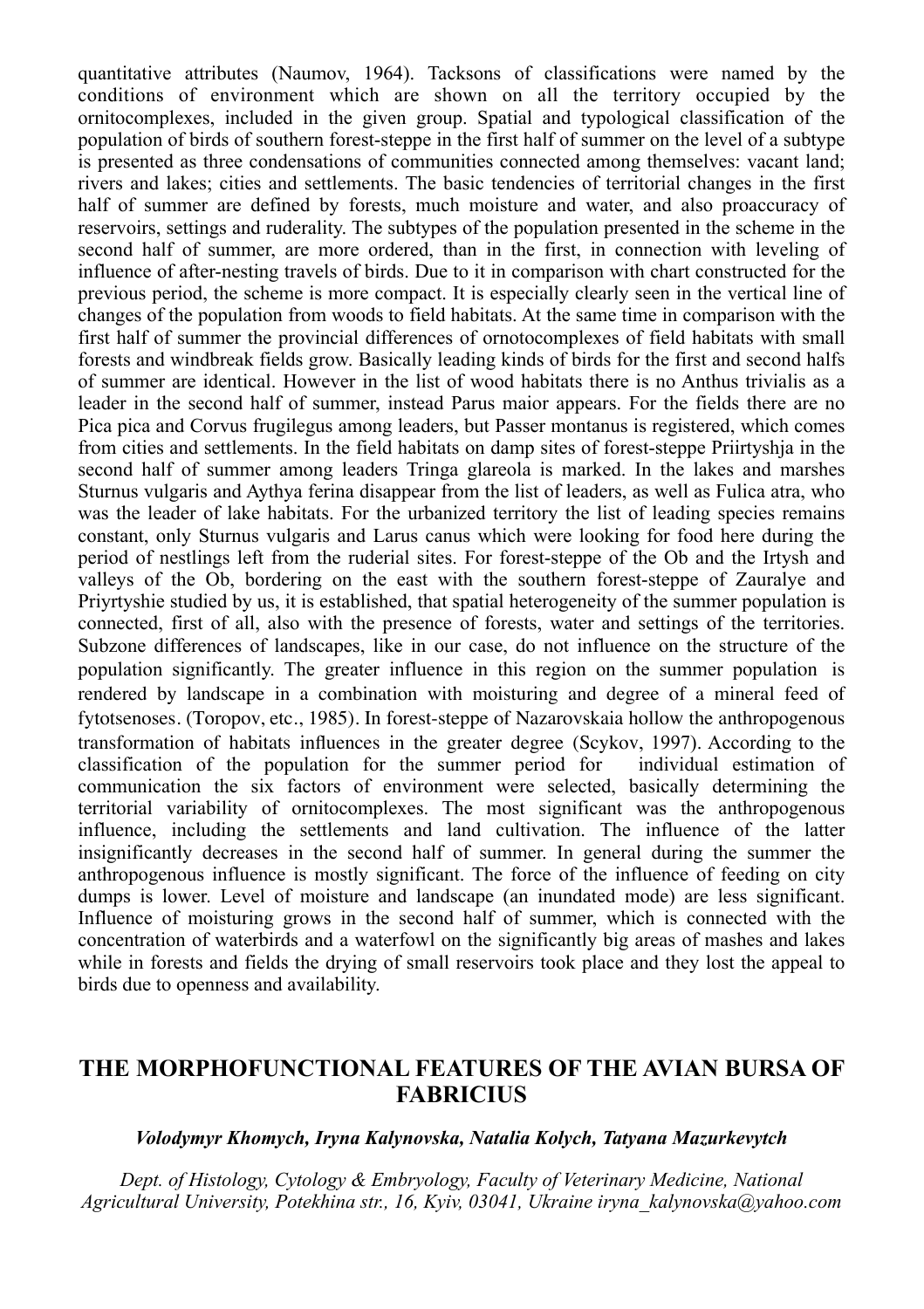quantitative attributes (Naumov, 1964). Tacksons of classifications were named by the conditions of environment which are shown on all the territory occupied by the ornitocomplexes, included in the given group. Spatial and typological classification of the population of birds of southern forest-steppe in the first half of summer on the level of a subtype is presented as three condensations of communities connected among themselves: vacant land; rivers and lakes; cities and settlements. The basic tendencies of territorial changes in the first half of summer are defined by forests, much moisture and water, and also proaccuracy of reservoirs, settings and ruderality. The subtypes of the population presented in the scheme in the second half of summer, are more ordered, than in the first, in connection with leveling of influence of after-nesting travels of birds. Due to it in comparison with chart constructed for the previous period, the scheme is more compact. It is especially clearly seen in the vertical line of changes of the population from woods to field habitats. At the same time in comparison with the first half of summer the provincial differences of ornotocomplexes of field habitats with small forests and windbreak fields grow. Basically leading kinds of birds for the first and second halfs of summer are identical. However in the list of wood habitats there is no Anthus trivialis as a leader in the second half of summer, instead Parus maior appears. For the fields there are no Pica pica and Corvus frugilegus among leaders, but Passer montanus is registered, which comes from cities and settlements. In the field habitats on damp sites of forest-steppe Priirtyshja in the second half of summer among leaders Tringa glareola is marked. In the lakes and marshes Sturnus vulgaris and Aythya ferina disappear from the list of leaders, as well as Fulica atra, who was the leader of lake habitats. For the urbanized territory the list of leading species remains constant, only Sturnus vulgaris and Larus canus which were looking for food here during the period of nestlings left from the ruderial sites. For forest-steppe of the Ob and the Irtysh and valleys of the Ob, bordering on the east with the southern forest-steppe of Zauralye and Priyrtyshie studied by us, it is established, that spatial heterogeneity of the summer population is connected, first of all, also with the presence of forests, water and settings of the territories. Subzone differences of landscapes, like in our case, do not influence on the structure of the population significantly. The greater influence in this region on the summer population is rendered by landscape in a combination with moisturing and degree of a mineral feed of fytotsenoses. (Тоropov, etc., 1985). In forest-steppe of Nazarovskaia hollow the anthropogenous transformation of habitats influences in the greater degree (Scykov, 1997). According to the classification of the population for the summer period for communication the six factors of environment were selected, basically determining the territorial variability of ornitocomplexes. The most significant was the anthropogenous influence, including the settlements and land cultivation. The influence of the latter insignificantly decreases in the second half of summer. In general during the summer the anthropogenous influence is mostly significant. The force of the influence of feeding on city dumps is lower. Level of moisture and landscape (an inundated mode) are less significant. Influence of moisturing grows in the second half of summer, which is connected with the concentration of waterbirds and a waterfowl on the significantly big areas of mashes and lakes while in forests and fields the drying of small reservoirs took place and they lost the appeal to birds due to openness and availability.

## **THE MORPHOFUNCTIONAL FEATURES OF THE AVIAN BURSA OF FABRICIUS**

#### *Volodymyr Khomych, Iryna Kalynovska, Natalia Kolych, Tatyana Mazurkevytch*

*Dept. of Histology, Cytology & Embryology, Faculty of Veterinary Medicine, National Agricultural University, Potekhina str., 16, Kyiv, 03041, Ukraine iryna\_kalynovska@yahoo.com*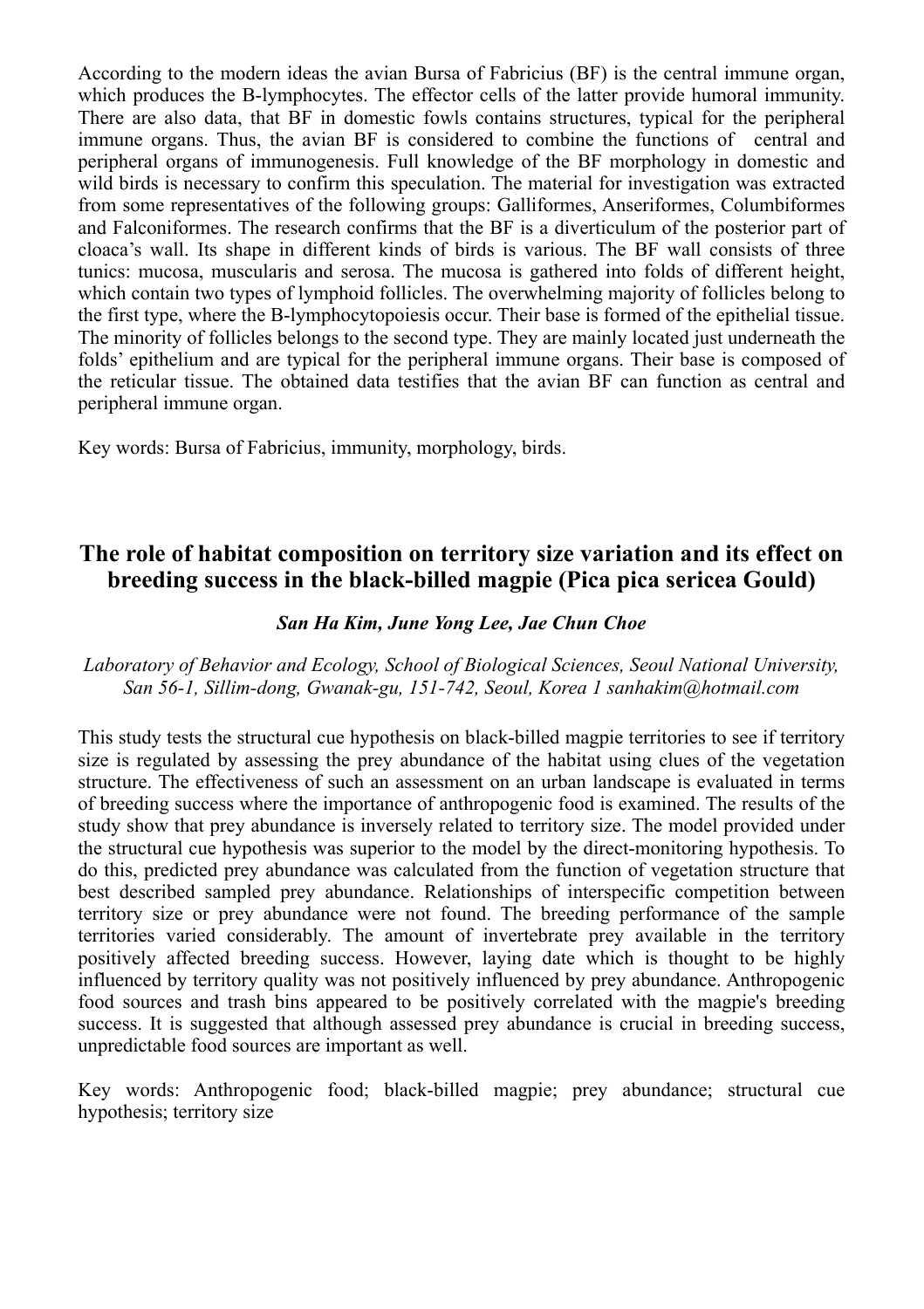According to the modern ideas the avian Bursa of Fabricius (BF) is the central immune organ, which produces the B-lymphocytes. The effector cells of the latter provide humoral immunity. There are also data, that BF in domestic fowls contains structures, typical for the peripheral immune organs. Thus, the avian BF is considered to combine the functions of central and peripheral organs of immunogenesis. Full knowledge of the BF morphology in domestic and wild birds is necessary to confirm this speculation. The material for investigation was extracted from some representatives of the following groups: Galliformes, Anseriformes, Columbiformes and Falconiformes. The research confirms that the BF is a diverticulum of the posterior part of cloaca's wall. Its shape in different kinds of birds is various. The BF wall consists of three tunics: mucosa, muscularis and serosa. The mucosa is gathered into folds of different height, which contain two types of lymphoid follicles. The overwhelming majority of follicles belong to the first type, where the B-lymphocytopoiesis occur. Their base is formed of the epithelial tissue. The minority of follicles belongs to the second type. They are mainly located just underneath the folds' epithelium and are typical for the peripheral immune organs. Their base is composed of the reticular tissue. The obtained data testifies that the avian BF can function as central and peripheral immune organ.

Key words: Bursa of Fabricius, immunity, morphology, birds.

## **The role of habitat composition on territory size variation and its effect on breeding success in the black-billed magpie (Pica pica sericea Gould)**

#### *San Ha Kim, June Yong Lee, Jae Chun Choe*

*Laboratory of Behavior and Ecology, School of Biological Sciences, Seoul National University, San 56-1, Sillim-dong, Gwanak-gu, 151-742, Seoul, Korea 1 sanhakim@hotmail.com*

This study tests the structural cue hypothesis on black-billed magpie territories to see if territory size is regulated by assessing the prey abundance of the habitat using clues of the vegetation structure. The effectiveness of such an assessment on an urban landscape is evaluated in terms of breeding success where the importance of anthropogenic food is examined. The results of the study show that prey abundance is inversely related to territory size. The model provided under the structural cue hypothesis was superior to the model by the direct-monitoring hypothesis. To do this, predicted prey abundance was calculated from the function of vegetation structure that best described sampled prey abundance. Relationships of interspecific competition between territory size or prey abundance were not found. The breeding performance of the sample territories varied considerably. The amount of invertebrate prey available in the territory positively affected breeding success. However, laying date which is thought to be highly influenced by territory quality was not positively influenced by prey abundance. Anthropogenic food sources and trash bins appeared to be positively correlated with the magpie's breeding success. It is suggested that although assessed prey abundance is crucial in breeding success, unpredictable food sources are important as well.

Key words: Anthropogenic food; black-billed magpie; prey abundance; structural cue hypothesis; territory size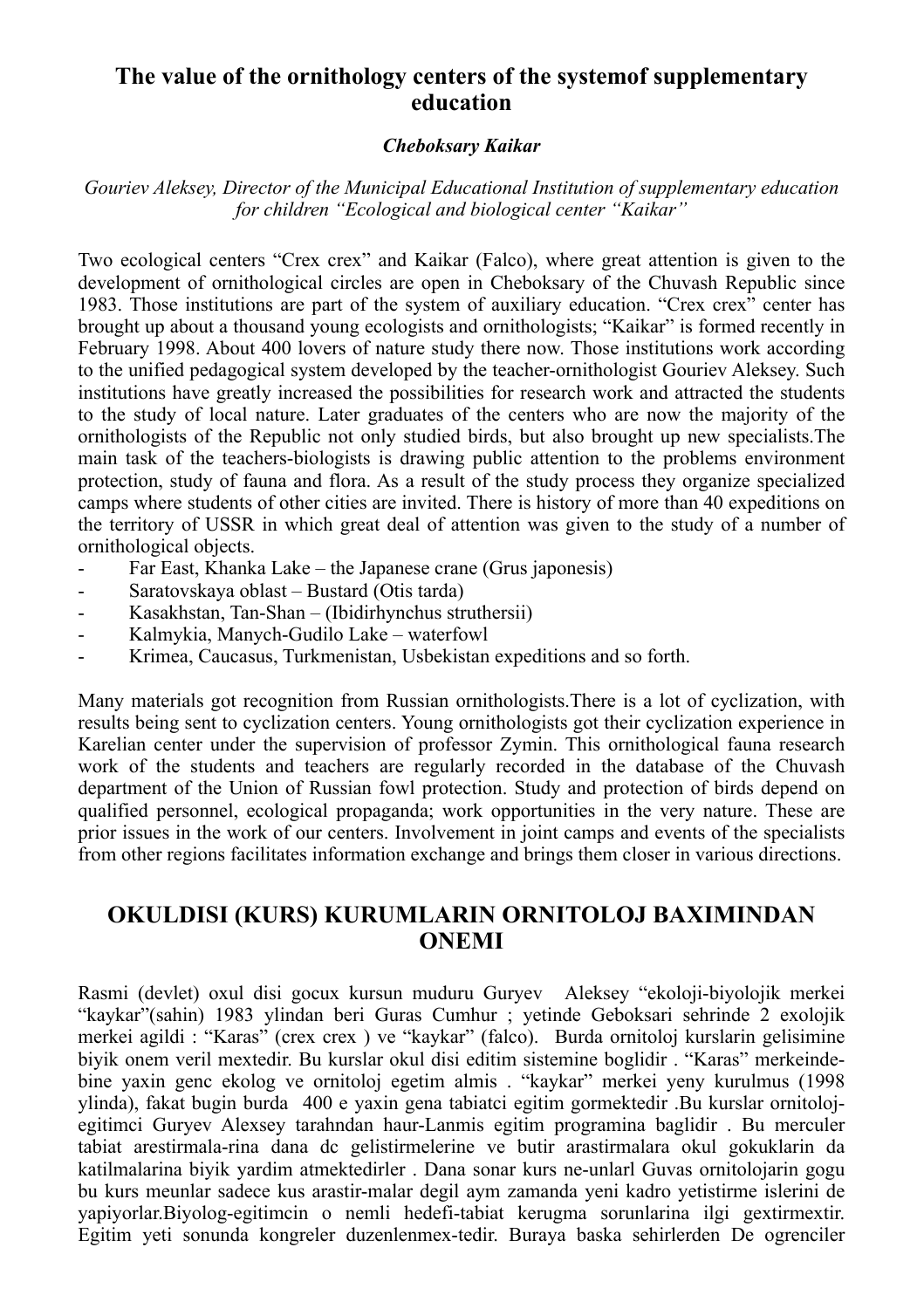## **The value of the ornithology centers of the systemof supplementary education**

#### *Cheboksary Kaikar*

*Gouriev Aleksey, Director of the Municipal Educational Institution of supplementary education for children "Ecological and biological center "Kaikar"*

Two ecological centers "Crex crex" and Kaikar (Falco), where great attention is given to the development of ornithological circles are open in Cheboksary of the Chuvash Republic since 1983. Those institutions are part of the system of auxiliary education. "Crex crex" center has brought up about a thousand young ecologists and ornithologists; "Kaikar" is formed recently in February 1998. About 400 lovers of nature study there now. Those institutions work according to the unified pedagogical system developed by the teacher-ornithologist Gouriev Aleksey. Such institutions have greatly increased the possibilities for research work and attracted the students to the study of local nature. Later graduates of the centers who are now the majority of the ornithologists of the Republic not only studied birds, but also brought up new specialists.The main task of the teachers-biologists is drawing public attention to the problems environment protection, study of fauna and flora. As a result of the study process they organize specialized camps where students of other cities are invited. There is history of more than 40 expeditions on the territory of USSR in which great deal of attention was given to the study of a number of ornithological objects.

- Far East, Khanka Lake the Japanese crane (Grus japonesis)
- Saratovskaya oblast Bustard (Otis tarda)
- Kasakhstan, Tan-Shan (Ibidirhynchus struthersii)
- Kalmykia, Manych-Gudilo Lake waterfowl
- Krimea, Caucasus, Turkmenistan, Usbekistan expeditions and so forth.

Many materials got recognition from Russian ornithologists.There is a lot of cyclization, with results being sent to cyclization centers. Young ornithologists got their cyclization experience in Karelian center under the supervision of professor Zymin. This ornithological fauna research work of the students and teachers are regularly recorded in the database of the Chuvash department of the Union of Russian fowl protection. Study and protection of birds depend on qualified personnel, ecological propaganda; work opportunities in the very nature. These are prior issues in the work of our centers. Involvement in joint camps and events of the specialists from other regions facilitates information exchange and brings them closer in various directions.

## **OKULDISI (KURS) KURUMLARIN ORNITOLOJ BAXIMINDAN ONEMI**

Rasmi (devlet) oxul disi gocux kursun muduru Guryev Aleksey "ekoloji-biyolojik merkei "kaykar"(sahin) 1983 ylindan beri Guras Cumhur ; yetinde Geboksari sehrinde 2 exolojik merkei agildi : "Karas" (crex crex ) ve "kaykar" (falco). Burda ornitoloj kurslarin gelisimine biyik onem veril mextedir. Bu kurslar okul disi editim sistemine boglidir . "Karas" merkeindebine yaxin genc ekolog ve ornitoloj egetim almis . "kaykar" merkei yeny kurulmus (1998 ylinda), fakat bugin burda 400 e yaxin gena tabiatci egitim gormektedir .Bu kurslar ornitolojegitimci Guryev Alexsey tarahndan haur-Lanmis egitim programina baglidir . Bu merculer tabiat arestirmala-rina dana dc gelistirmelerine ve butir arastirmalara okul gokuklarin da katilmalarina biyik yardim atmektedirler . Dana sonar kurs ne-unlarl Guvas ornitolojarin gogu bu kurs meunlar sadece kus arastir-malar degil aym zamanda yeni kadro yetistirme islerini de yapiyorlar.Biyolog-egitimcin o nemli hedefi-tabiat kerugma sorunlarina ilgi gextirmextir. Egitim yeti sonunda kongreler duzenlenmex-tedir. Buraya baska sehirlerden De ogrenciler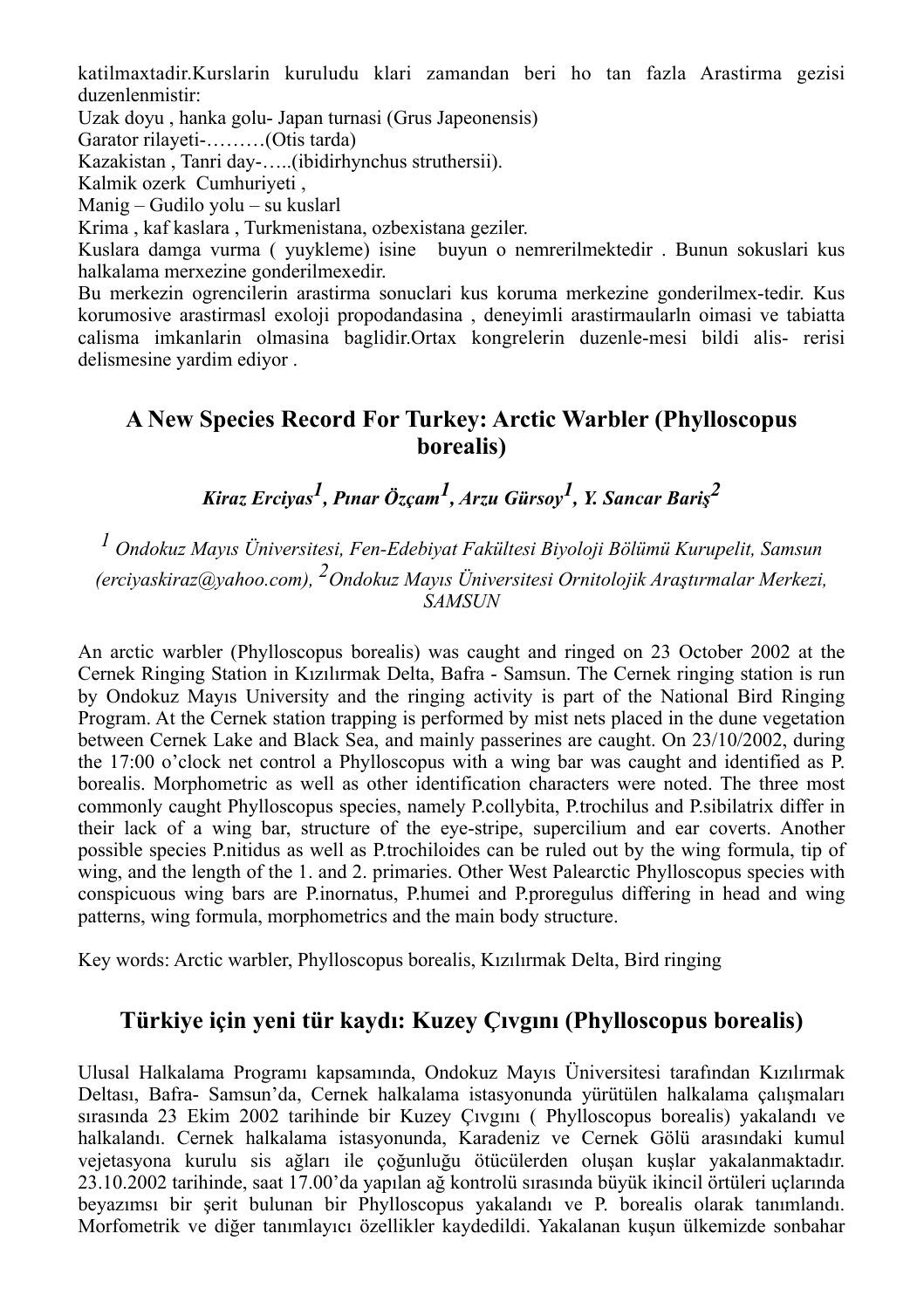katilmaxtadir.Kurslarin kuruludu klari zamandan beri ho tan fazla Arastirma gezisi duzenlenmistir:

Uzak doyu , hanka golu- Japan turnasi (Grus Japeonensis)

Garator rilayeti-………(Otis tarda)

Kazakistan , Tanri day-…..(ibidirhynchus struthersii).

Kalmik ozerk Cumhuriyeti ,

Manig – Gudilo yolu – su kuslarl

Krima , kaf kaslara , Turkmenistana, ozbexistana geziler.

Kuslara damga vurma ( yuykleme) isine buyun o nemrerilmektedir . Bunun sokuslari kus halkalama merxezine gonderilmexedir.

Bu merkezin ogrencilerin arastirma sonuclari kus koruma merkezine gonderilmex-tedir. Kus korumosive arastirmasl exoloji propodandasina , deneyimli arastirmaularln oimasi ve tabiatta calisma imkanlarin olmasina baglidir.Ortax kongrelerin duzenle-mesi bildi alis- rerisi delismesine yardim ediyor .

## **A New Species Record For Turkey: Arctic Warbler (Phylloscopus borealis)**

*Kiraz Erciyas1, Pınar Özçam1, Arzu Gürsoy1, Y. Sancar Bari<sup>ş</sup> 2*

*1 Ondokuz Mayıs Üniversitesi, Fen-Edebiyat Fakültesi Biyoloji Bölümü Kurupelit, Samsun (erciyaskiraz@yahoo.com), 2Ondokuz Mayıs Üniversitesi Ornitolojik Araştırmalar Merkezi, SAMSUN*

An arctic warbler (Phylloscopus borealis) was caught and ringed on 23 October 2002 at the Cernek Ringing Station in Kızılırmak Delta, Bafra - Samsun. The Cernek ringing station is run by Ondokuz Mayıs University and the ringing activity is part of the National Bird Ringing Program. At the Cernek station trapping is performed by mist nets placed in the dune vegetation between Cernek Lake and Black Sea, and mainly passerines are caught. On 23/10/2002, during the 17:00 o'clock net control a Phylloscopus with a wing bar was caught and identified as P. borealis. Morphometric as well as other identification characters were noted. The three most commonly caught Phylloscopus species, namely P.collybita, P.trochilus and P.sibilatrix differ in their lack of a wing bar, structure of the eye-stripe, supercilium and ear coverts. Another possible species P.nitidus as well as P.trochiloides can be ruled out by the wing formula, tip of wing, and the length of the 1. and 2. primaries. Other West Palearctic Phylloscopus species with conspicuous wing bars are P.inornatus, P.humei and P.proregulus differing in head and wing patterns, wing formula, morphometrics and the main body structure.

Key words: Arctic warbler, Phylloscopus borealis, Kızılırmak Delta, Bird ringing

## **Türkiye için yeni tür kaydı: Kuzey Çıvgını (Phylloscopus borealis)**

Ulusal Halkalama Programı kapsamında, Ondokuz Mayıs Üniversitesi tarafından Kızılırmak Deltası, Bafra- Samsun'da, Cernek halkalama istasyonunda yürütülen halkalama çalışmaları sırasında 23 Ekim 2002 tarihinde bir Kuzey Çıvgını ( Phylloscopus borealis) yakalandı ve halkalandı. Cernek halkalama istasyonunda, Karadeniz ve Cernek Gölü arasındaki kumul vejetasyona kurulu sis ağları ile çoğunluğu ötücülerden oluşan kuşlar yakalanmaktadır. 23.10.2002 tarihinde, saat 17.00'da yapılan ağ kontrolü sırasında büyük ikincil örtüleri uçlarında beyazımsı bir şerit bulunan bir Phylloscopus yakalandı ve P. borealis olarak tanımlandı. Morfometrik ve diğer tanımlayıcı özellikler kaydedildi. Yakalanan kuşun ülkemizde sonbahar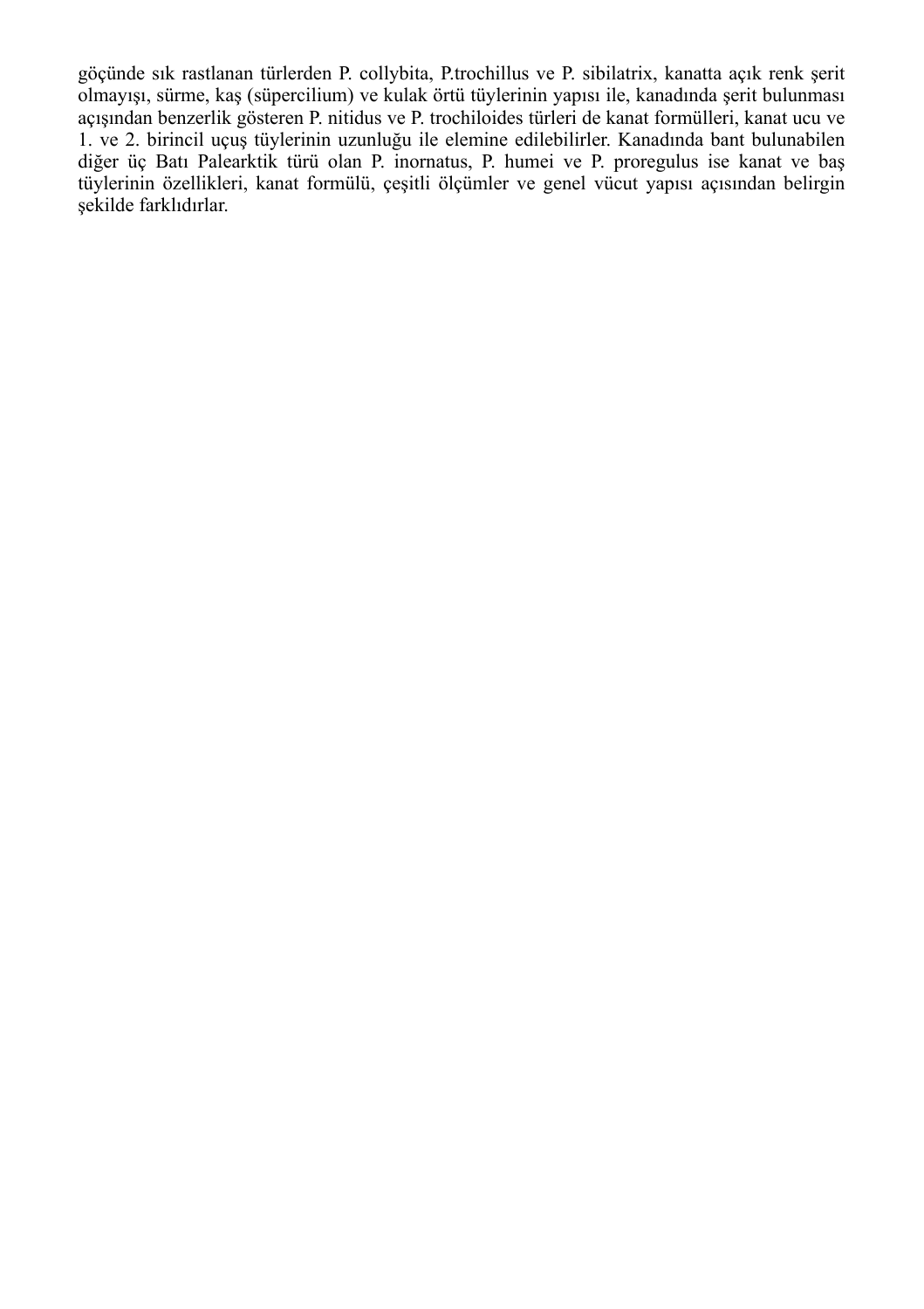göçünde sık rastlanan türlerden P. collybita, P.trochillus ve P. sibilatrix, kanatta açık renk şerit olmayışı, sürme, kaş (süpercilium) ve kulak örtü tüylerinin yapısı ile, kanadında şerit bulunması açışından benzerlik gösteren P. nitidus ve P. trochiloides türleri de kanat formülleri, kanat ucu ve 1. ve 2. birincil uçuş tüylerinin uzunluğu ile elemine edilebilirler. Kanadında bant bulunabilen diğer üç Batı Palearktik türü olan P. inornatus, P. humei ve P. proregulus ise kanat ve baş tüylerinin özellikleri, kanat formülü, çeşitli ölçümler ve genel vücut yapısı açısından belirgin şekilde farklıdırlar.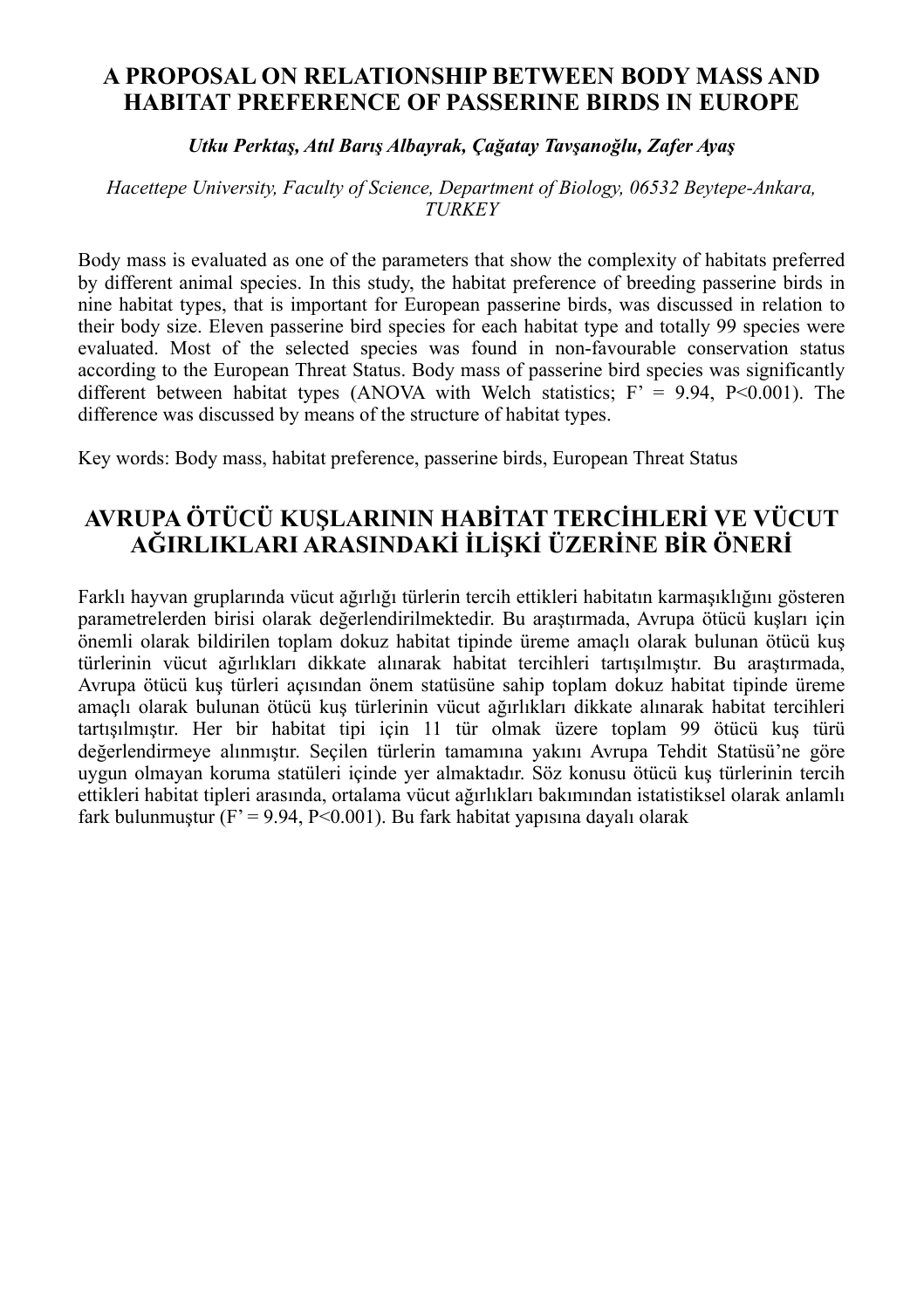## **A PROPOSAL ON RELATIONSHIP BETWEEN BODY MASS AND HABITAT PREFERENCE OF PASSERINE BIRDS IN EUROPE**

#### *Utku Perktaş, Atıl Barış Albayrak, Çağatay Tavşanoğlu, Zafer Ayaş*

#### *Hacettepe University, Faculty of Science, Department of Biology, 06532 Beytepe-Ankara, TURKEY*

Body mass is evaluated as one of the parameters that show the complexity of habitats preferred by different animal species. In this study, the habitat preference of breeding passerine birds in nine habitat types, that is important for European passerine birds, was discussed in relation to their body size. Eleven passerine bird species for each habitat type and totally 99 species were evaluated. Most of the selected species was found in non-favourable conservation status according to the European Threat Status. Body mass of passerine bird species was significantly different between habitat types (ANOVA with Welch statistics;  $F = 9.94$ , P<0.001). The difference was discussed by means of the structure of habitat types.

Key words: Body mass, habitat preference, passerine birds, European Threat Status

## **AVRUPA ÖTÜCÜ KUŞLARININ HABİTAT TERCİHLERİ VE VÜCUT AĞIRLIKLARI ARASINDAKİ İLİŞKİ ÜZERİNE BİR ÖNERİ**

Farklı hayvan gruplarında vücut ağırlığı türlerin tercih ettikleri habitatın karmaşıklığını gösteren parametrelerden birisi olarak değerlendirilmektedir. Bu araştırmada, Avrupa ötücü kuşları için önemli olarak bildirilen toplam dokuz habitat tipinde üreme amaçlı olarak bulunan ötücü kuş türlerinin vücut ağırlıkları dikkate alınarak habitat tercihleri tartışılmıştır. Bu araştırmada, Avrupa ötücü kuş türleri açısından önem statüsüne sahip toplam dokuz habitat tipinde üreme amaçlı olarak bulunan ötücü kuş türlerinin vücut ağırlıkları dikkate alınarak habitat tercihleri tartışılmıştır. Her bir habitat tipi için 11 tür olmak üzere toplam 99 ötücü kuş türü değerlendirmeye alınmıştır. Seçilen türlerin tamamına yakını Avrupa Tehdit Statüsü'ne göre uygun olmayan koruma statüleri içinde yer almaktadır. Söz konusu ötücü kuş türlerinin tercih ettikleri habitat tipleri arasında, ortalama vücut ağırlıkları bakımından istatistiksel olarak anlamlı fark bulunmuştur (F' = 9.94, P<0.001). Bu fark habitat yapısına dayalı olarak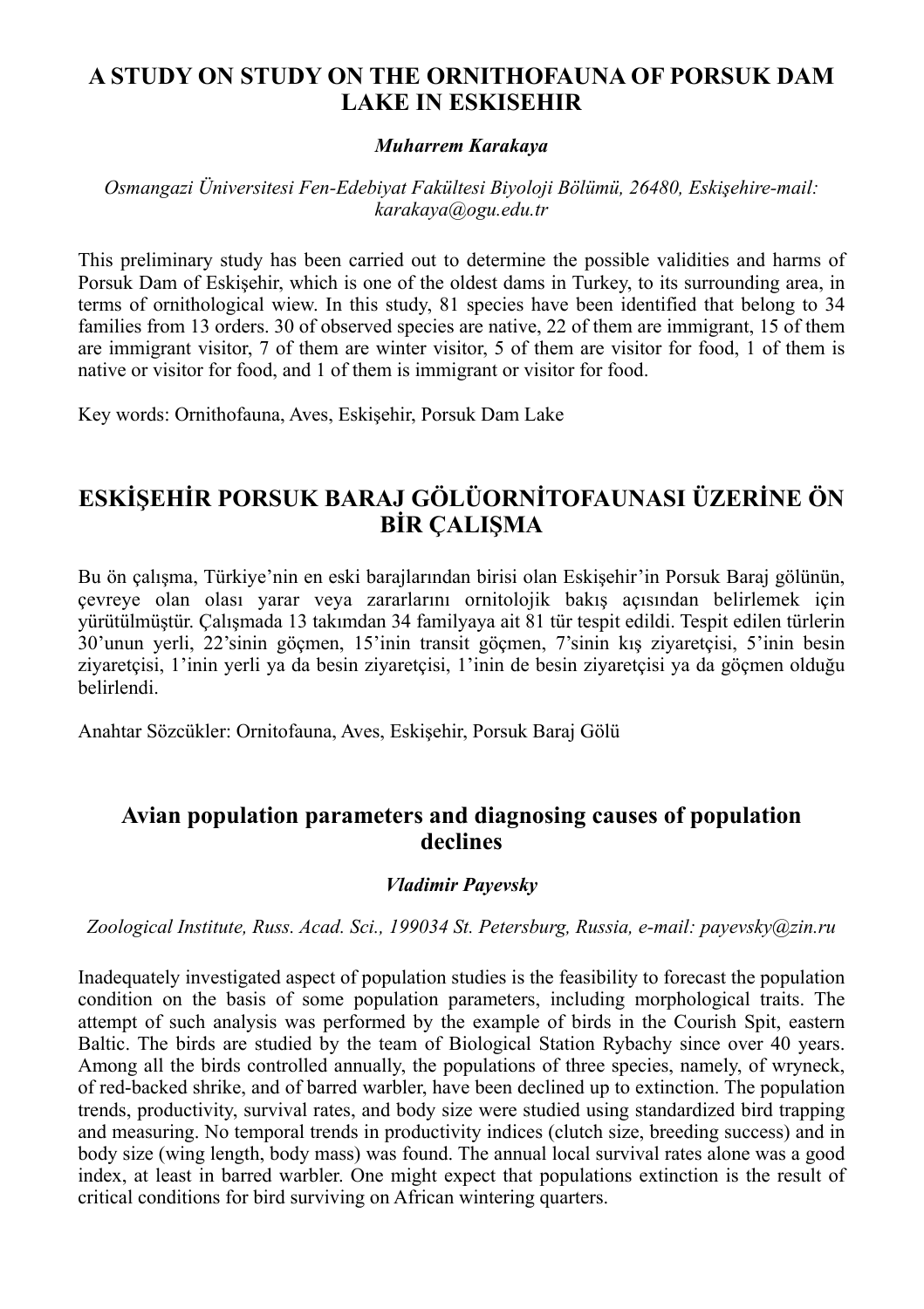## **A STUDY ON STUDY ON THE ORNITHOFAUNA OF PORSUK DAM LAKE IN ESKISEHIR**

#### *Muharrem Karakaya*

#### *Osmangazi Üniversitesi Fen-Edebiyat Fakültesi Biyoloji Bölümü, 26480, Eskişehire-mail: karakaya@ogu.edu.tr*

This preliminary study has been carried out to determine the possible validities and harms of Porsuk Dam of Eskişehir, which is one of the oldest dams in Turkey, to its surrounding area, in terms of ornithological wiew. In this study, 81 species have been identified that belong to 34 families from 13 orders. 30 of observed species are native, 22 of them are immigrant, 15 of them are immigrant visitor, 7 of them are winter visitor, 5 of them are visitor for food, 1 of them is native or visitor for food, and 1 of them is immigrant or visitor for food.

Key words: Ornithofauna, Aves, Eskişehir, Porsuk Dam Lake

## **ESKİŞEHİR PORSUK BARAJ GÖLÜORNİTOFAUNASI ÜZERİNE ÖN BİR ÇALIŞMA**

Bu ön çalışma, Türkiye'nin en eski barajlarından birisi olan Eskişehir'in Porsuk Baraj gölünün, çevreye olan olası yarar veya zararlarını ornitolojik bakış açısından belirlemek için yürütülmüştür. Çalışmada 13 takımdan 34 familyaya ait 81 tür tespit edildi. Tespit edilen türlerin 30'unun yerli, 22'sinin göçmen, 15'inin transit göçmen, 7'sinin kış ziyaretçisi, 5'inin besin ziyaretçisi, 1'inin yerli ya da besin ziyaretçisi, 1'inin de besin ziyaretçisi ya da göçmen olduğu belirlendi.

Anahtar Sözcükler: Ornitofauna, Aves, Eskişehir, Porsuk Baraj Gölü

## **Avian population parameters and diagnosing causes of population declines**

#### *Vladimir Payevsky*

*Zoological Institute, Russ. Acad. Sci., 199034 St. Petersburg, Russia, e-mail: payevsky@zin.ru*

Inadequately investigated aspect of population studies is the feasibility to forecast the population condition on the basis of some population parameters, including morphological traits. The attempt of such analysis was performed by the example of birds in the Courish Spit, eastern Baltic. The birds are studied by the team of Biological Station Rybachy since over 40 years. Among all the birds controlled annually, the populations of three species, namely, of wryneck, of red-backed shrike, and of barred warbler, have been declined up to extinction. The population trends, productivity, survival rates, and body size were studied using standardized bird trapping and measuring. No temporal trends in productivity indices (clutch size, breeding success) and in body size (wing length, body mass) was found. The annual local survival rates alone was a good index, at least in barred warbler. One might expect that populations extinction is the result of critical conditions for bird surviving on African wintering quarters.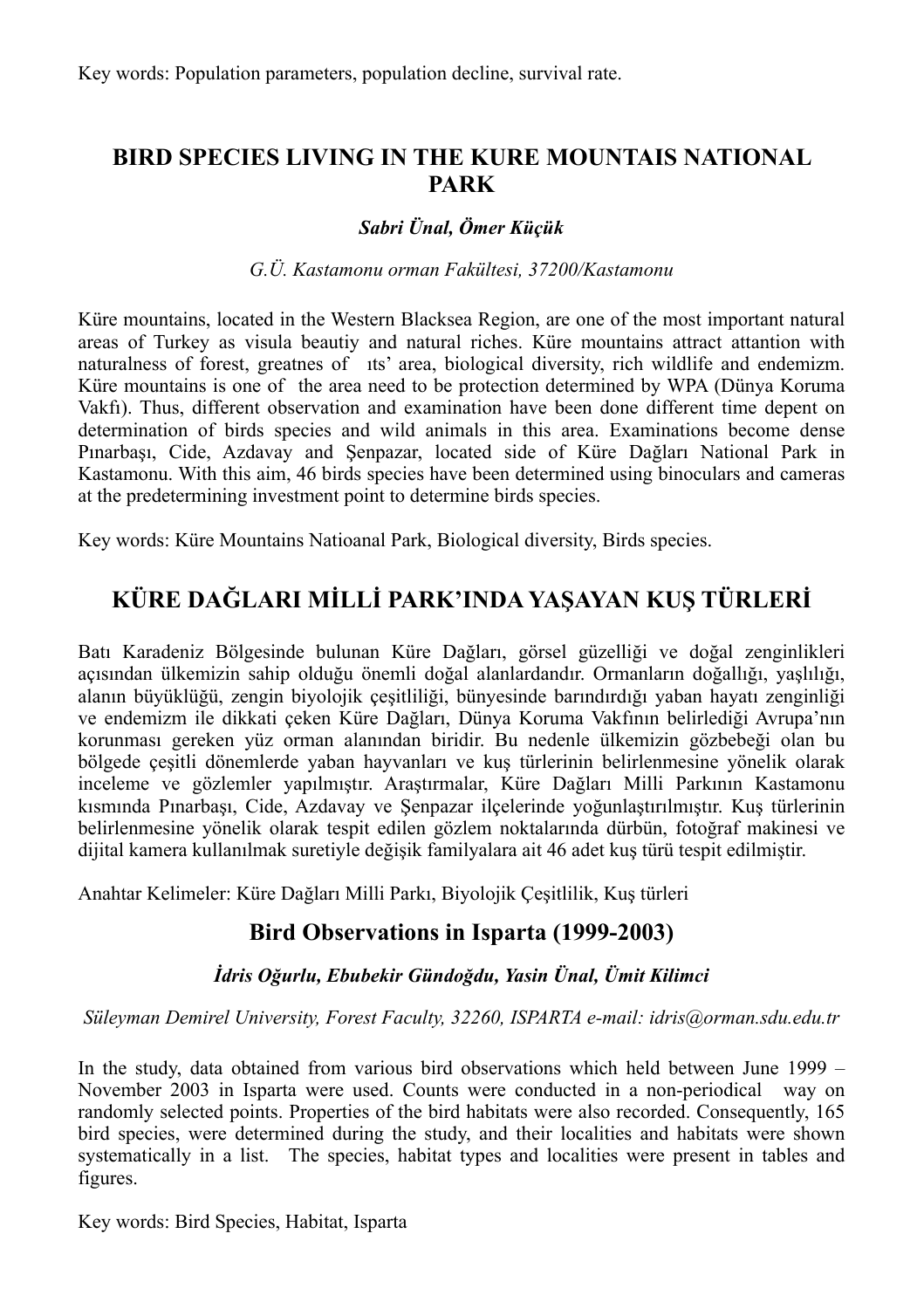## **BIRD SPECIES LIVING IN THE KURE MOUNTAIS NATIONAL PARK**

#### *Sabri Ünal, Ömer Küçük*

#### *G.Ü. Kastamonu orman Fakültesi, 37200/Kastamonu*

Küre mountains, located in the Western Blacksea Region, are one of the most important natural areas of Turkey as visula beautiy and natural riches. Küre mountains attract attantion with naturalness of forest, greatnes of ıts' area, biological diversity, rich wildlife and endemizm. Küre mountains is one of the area need to be protection determined by WPA (Dünya Koruma Vakfı). Thus, different observation and examination have been done different time depent on determination of birds species and wild animals in this area. Examinations become dense Pınarbaşı, Cide, Azdavay and Şenpazar, located side of Küre Dağları National Park in Kastamonu. With this aim, 46 birds species have been determined using binoculars and cameras at the predetermining investment point to determine birds species.

Key words: Küre Mountains Natioanal Park, Biological diversity, Birds species.

## **KÜRE DAĞLARI MİLLİ PARK'INDA YAŞAYAN KUŞ TÜRLERİ**

Batı Karadeniz Bölgesinde bulunan Küre Dağları, görsel güzelliği ve doğal zenginlikleri açısından ülkemizin sahip olduğu önemli doğal alanlardandır. Ormanların doğallığı, yaşlılığı, alanın büyüklüğü, zengin biyolojik çeşitliliği, bünyesinde barındırdığı yaban hayatı zenginliği ve endemizm ile dikkati çeken Küre Dağları, Dünya Koruma Vakfının belirlediği Avrupa'nın korunması gereken yüz orman alanından biridir. Bu nedenle ülkemizin gözbebeği olan bu bölgede çeşitli dönemlerde yaban hayvanları ve kuş türlerinin belirlenmesine yönelik olarak inceleme ve gözlemler yapılmıştır. Araştırmalar, Küre Dağları Milli Parkının Kastamonu kısmında Pınarbaşı, Cide, Azdavay ve Şenpazar ilçelerinde yoğunlaştırılmıştır. Kuş türlerinin belirlenmesine yönelik olarak tespit edilen gözlem noktalarında dürbün, fotoğraf makinesi ve dijital kamera kullanılmak suretiyle değişik familyalara ait 46 adet kuş türü tespit edilmiştir.

Anahtar Kelimeler: Küre Dağları Milli Parkı, Biyolojik Çeşitlilik, Kuş türleri

## **Bird Observations in Isparta (1999-2003)**

#### *İdris Oğurlu, Ebubekir Gündoğdu, Yasin Ünal, Ümit Kilimci*

#### *Süleyman Demirel University, Forest Faculty, 32260, ISPARTA e-mail: idris@orman.sdu.edu.tr*

In the study, data obtained from various bird observations which held between June 1999 – November 2003 in Isparta were used. Counts were conducted in a non-periodical way on randomly selected points. Properties of the bird habitats were also recorded. Consequently, 165 bird species, were determined during the study, and their localities and habitats were shown systematically in a list. The species, habitat types and localities were present in tables and figures.

Key words: Bird Species, Habitat, Isparta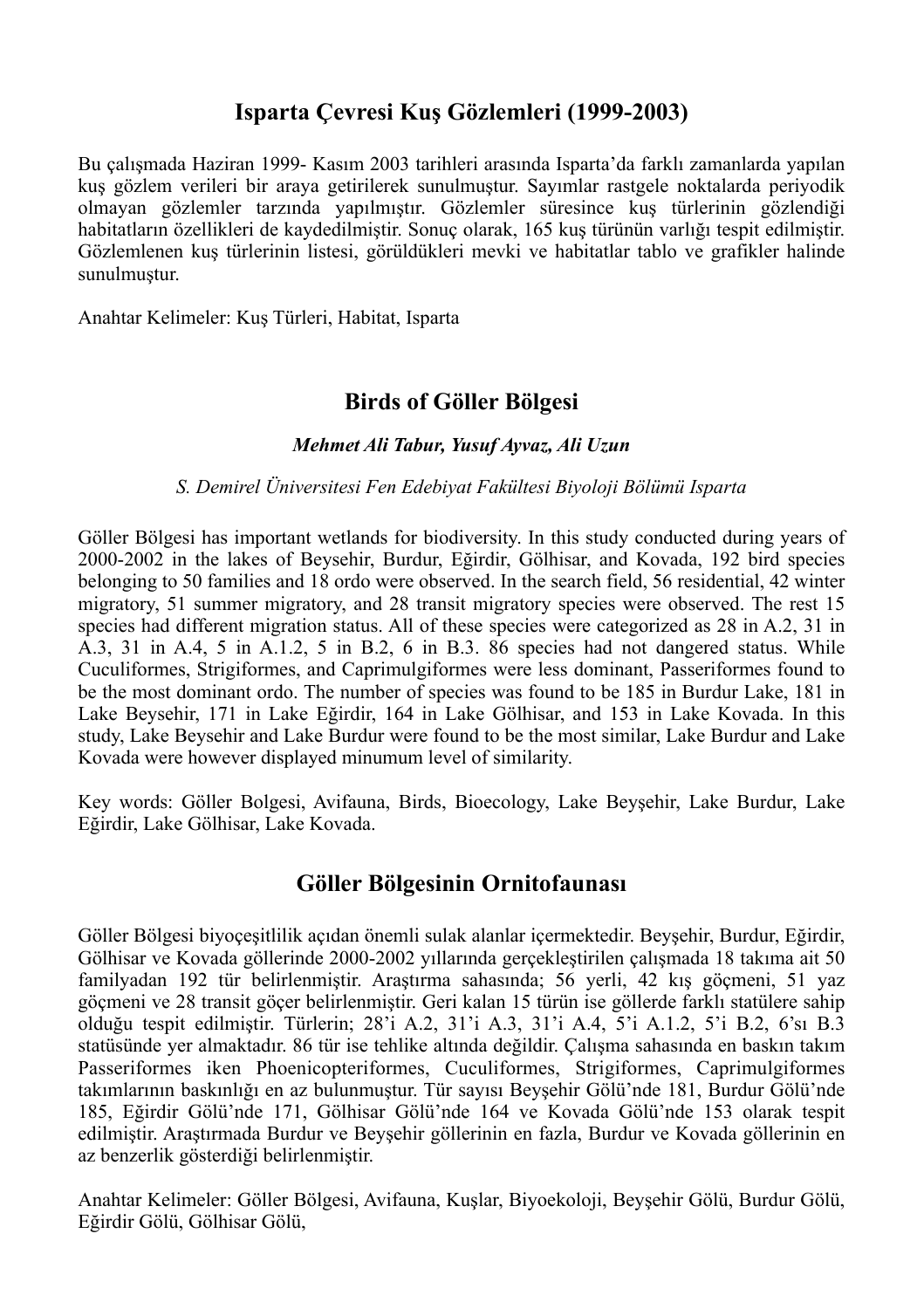## **Isparta Çevresi Kuş Gözlemleri (1999-2003)**

Bu çalışmada Haziran 1999- Kasım 2003 tarihleri arasında Isparta'da farklı zamanlarda yapılan kuş gözlem verileri bir araya getirilerek sunulmuştur. Sayımlar rastgele noktalarda periyodik olmayan gözlemler tarzında yapılmıştır. Gözlemler süresince kuş türlerinin gözlendiği habitatların özellikleri de kaydedilmiştir. Sonuç olarak, 165 kuş türünün varlığı tespit edilmiştir. Gözlemlenen kuş türlerinin listesi, görüldükleri mevki ve habitatlar tablo ve grafikler halinde sunulmuştur.

Anahtar Kelimeler: Kuş Türleri, Habitat, Isparta

## **Birds of Göller Bölgesi**

#### *Mehmet Ali Tabur, Yusuf Ayvaz, Ali Uzun*

#### *S. Demirel Üniversitesi Fen Edebiyat Fakültesi Biyoloji Bölümü Isparta*

Göller Bölgesi has important wetlands for biodiversity. In this study conducted during years of 2000-2002 in the lakes of Beysehir, Burdur, Eğirdir, Gölhisar, and Kovada, 192 bird species belonging to 50 families and 18 ordo were observed. In the search field, 56 residential, 42 winter migratory, 51 summer migratory, and 28 transit migratory species were observed. The rest 15 species had different migration status. All of these species were categorized as 28 in A.2, 31 in A.3, 31 in A.4, 5 in A.1.2, 5 in B.2, 6 in B.3. 86 species had not dangered status. While Cuculiformes, Strigiformes, and Caprimulgiformes were less dominant, Passeriformes found to be the most dominant ordo. The number of species was found to be 185 in Burdur Lake, 181 in Lake Beysehir, 171 in Lake Eğirdir, 164 in Lake Gölhisar, and 153 in Lake Kovada. In this study, Lake Beysehir and Lake Burdur were found to be the most similar, Lake Burdur and Lake Kovada were however displayed minumum level of similarity.

Key words: Göller Bolgesi, Avifauna, Birds, Bioecology, Lake Beyşehir, Lake Burdur, Lake Eğirdir, Lake Gölhisar, Lake Kovada.

## **Göller Bölgesinin Ornitofaunası**

Göller Bölgesi biyoçeşitlilik açıdan önemli sulak alanlar içermektedir. Beyşehir, Burdur, Eğirdir, Gölhisar ve Kovada göllerinde 2000-2002 yıllarında gerçekleştirilen çalışmada 18 takıma ait 50 familyadan 192 tür belirlenmiştir. Araştırma sahasında; 56 yerli, 42 kış göçmeni, 51 yaz göçmeni ve 28 transit göçer belirlenmiştir. Geri kalan 15 türün ise göllerde farklı statülere sahip olduğu tespit edilmiştir. Türlerin; 28'i A.2, 31'i A.3, 31'i A.4, 5'i A.1.2, 5'i B.2, 6'sı B.3 statüsünde yer almaktadır. 86 tür ise tehlike altında değildir. Çalışma sahasında en baskın takım Passeriformes iken Phoenicopteriformes, Cuculiformes, Strigiformes, Caprimulgiformes takımlarının baskınlığı en az bulunmuştur. Tür sayısı Beyşehir Gölü'nde 181, Burdur Gölü'nde 185, Eğirdir Gölü'nde 171, Gölhisar Gölü'nde 164 ve Kovada Gölü'nde 153 olarak tespit edilmiştir. Araştırmada Burdur ve Beyşehir göllerinin en fazla, Burdur ve Kovada göllerinin en az benzerlik gösterdiği belirlenmiştir.

Anahtar Kelimeler: Göller Bölgesi, Avifauna, Kuşlar, Biyoekoloji, Beyşehir Gölü, Burdur Gölü, Eğirdir Gölü, Gölhisar Gölü,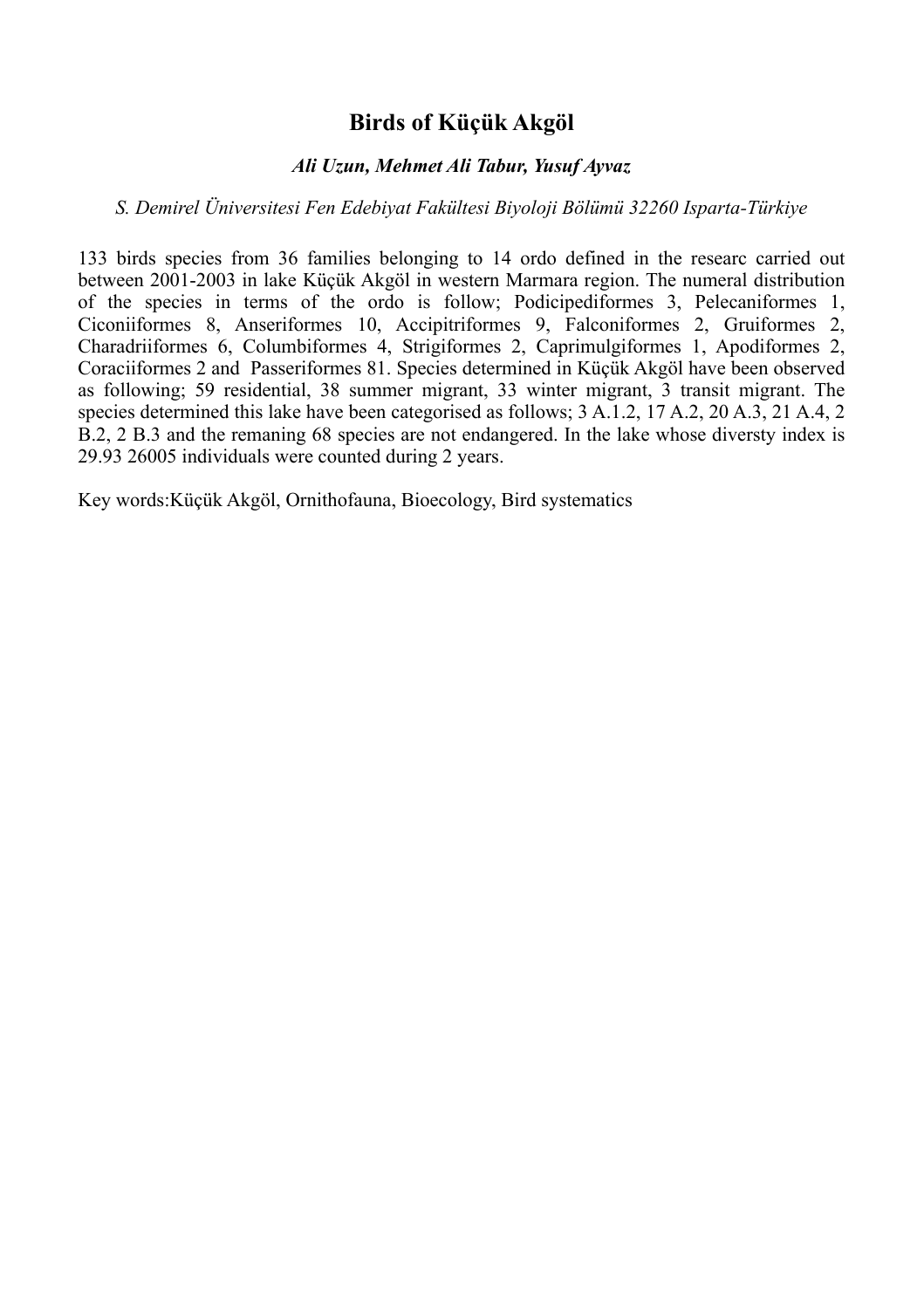## **Birds of Küçük Akgöl**

#### *Ali Uzun, Mehmet Ali Tabur, Yusuf Ayvaz*

#### *S. Demirel Üniversitesi Fen Edebiyat Fakültesi Biyoloji Bölümü 32260 Isparta-Türkiye*

133 birds species from 36 families belonging to 14 ordo defined in the researc carried out between 2001-2003 in lake Küçük Akgöl in western Marmara region. The numeral distribution of the species in terms of the ordo is follow; Podicipediformes 3, Pelecaniformes 1, Ciconiiformes 8, Anseriformes 10, Accipitriformes 9, Falconiformes 2, Gruiformes 2, Charadriiformes 6, Columbiformes 4, Strigiformes 2, Caprimulgiformes 1, Apodiformes 2, Coraciiformes 2 and Passeriformes 81. Species determined in Küçük Akgöl have been observed as following; 59 residential, 38 summer migrant, 33 winter migrant, 3 transit migrant. The species determined this lake have been categorised as follows; 3 A.1.2, 17 A.2, 20 A.3, 21 A.4, 2 B.2, 2 B.3 and the remaning 68 species are not endangered. In the lake whose diversty index is 29.93 26005 individuals were counted during 2 years.

Key words:Küçük Akgöl, Ornithofauna, Bioecology, Bird systematics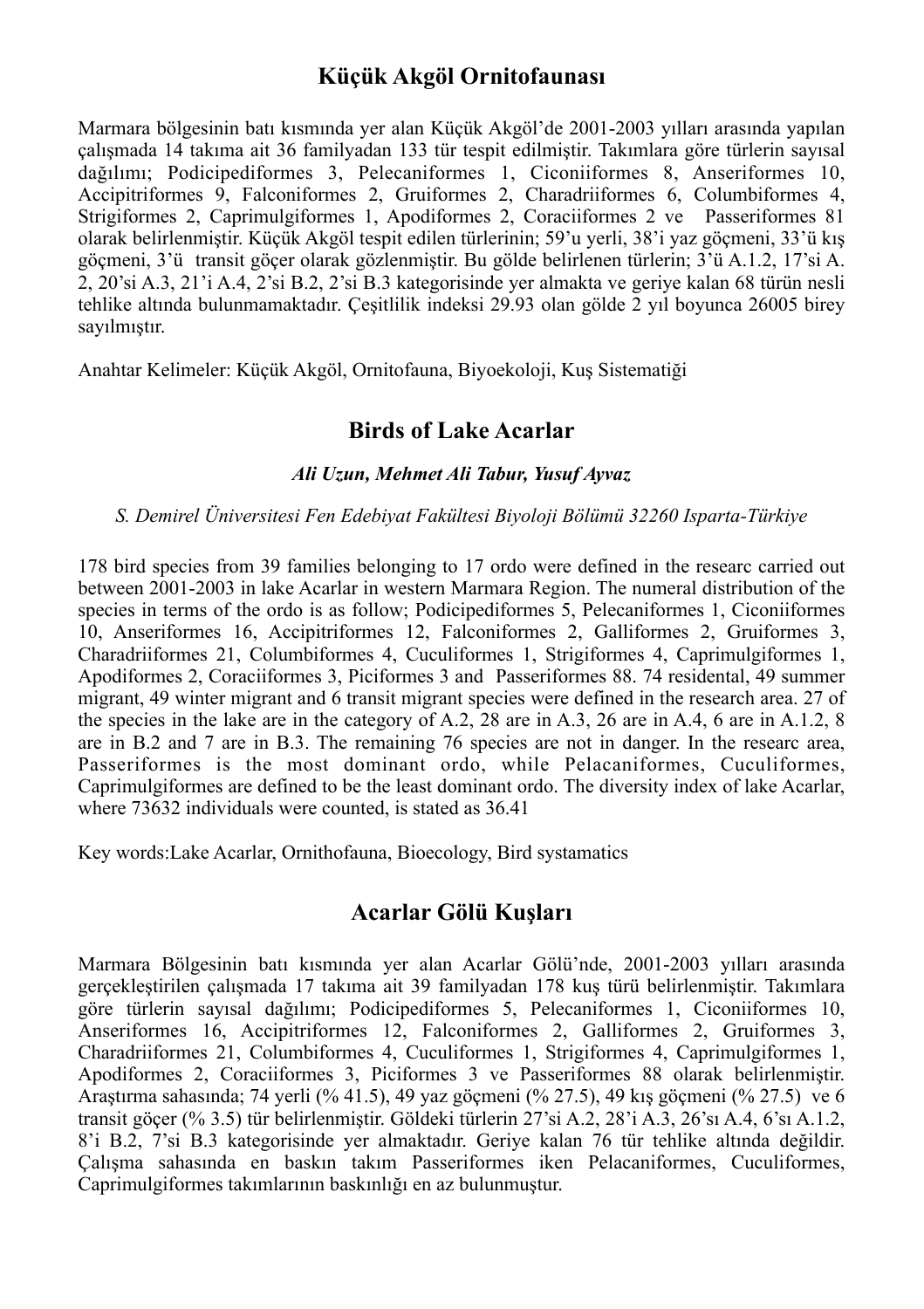### **Küçük Akgöl Ornitofaunası**

Marmara bölgesinin batı kısmında yer alan Küçük Akgöl'de 2001-2003 yılları arasında yapılan çalışmada 14 takıma ait 36 familyadan 133 tür tespit edilmiştir. Takımlara göre türlerin sayısal dağılımı; Podicipediformes 3, Pelecaniformes 1, Ciconiiformes 8, Anseriformes 10, Accipitriformes 9, Falconiformes 2, Gruiformes 2, Charadriiformes 6, Columbiformes 4, Strigiformes 2, Caprimulgiformes 1, Apodiformes 2, Coraciiformes 2 ve Passeriformes 81 olarak belirlenmiştir. Küçük Akgöl tespit edilen türlerinin; 59'u yerli, 38'i yaz göçmeni, 33'ü kış göçmeni, 3'ü transit göçer olarak gözlenmiştir. Bu gölde belirlenen türlerin; 3'ü A.1.2, 17'si A. 2, 20'si A.3, 21'i A.4, 2'si B.2, 2'si B.3 kategorisinde yer almakta ve geriye kalan 68 türün nesli tehlike altında bulunmamaktadır. Çeşitlilik indeksi 29.93 olan gölde 2 yıl boyunca 26005 birey sayılmıştır.

Anahtar Kelimeler: Küçük Akgöl, Ornitofauna, Biyoekoloji, Kuş Sistematiği

### **Birds of Lake Acarlar**

#### *Ali Uzun, Mehmet Ali Tabur, Yusuf Ayvaz*

#### *S. Demirel Üniversitesi Fen Edebiyat Fakültesi Biyoloji Bölümü 32260 Isparta-Türkiye*

178 bird species from 39 families belonging to 17 ordo were defined in the researc carried out between 2001-2003 in lake Acarlar in western Marmara Region. The numeral distribution of the species in terms of the ordo is as follow; Podicipediformes 5, Pelecaniformes 1, Ciconiiformes 10, Anseriformes 16, Accipitriformes 12, Falconiformes 2, Galliformes 2, Gruiformes 3, Charadriiformes 21, Columbiformes 4, Cuculiformes 1, Strigiformes 4, Caprimulgiformes 1, Apodiformes 2, Coraciiformes 3, Piciformes 3 and Passeriformes 88. 74 residental, 49 summer migrant, 49 winter migrant and 6 transit migrant species were defined in the research area. 27 of the species in the lake are in the category of A.2, 28 are in A.3, 26 are in A.4, 6 are in A.1.2, 8 are in B.2 and 7 are in B.3. The remaining 76 species are not in danger. In the researc area, Passeriformes is the most dominant ordo, while Pelacaniformes, Cuculiformes, Caprimulgiformes are defined to be the least dominant ordo. The diversity index of lake Acarlar, where 73632 individuals were counted, is stated as 36.41

Key words:Lake Acarlar, Ornithofauna, Bioecology, Bird systamatics

## **Acarlar Gölü Kuşları**

Marmara Bölgesinin batı kısmında yer alan Acarlar Gölü'nde, 2001-2003 yılları arasında gerçekleştirilen çalışmada 17 takıma ait 39 familyadan 178 kuş türü belirlenmiştir. Takımlara göre türlerin sayısal dağılımı; Podicipediformes 5, Pelecaniformes 1, Ciconiiformes 10, Anseriformes 16, Accipitriformes 12, Falconiformes 2, Galliformes 2, Gruiformes 3, Charadriiformes 21, Columbiformes 4, Cuculiformes 1, Strigiformes 4, Caprimulgiformes 1, Apodiformes 2, Coraciiformes 3, Piciformes 3 ve Passeriformes 88 olarak belirlenmiştir. Araştırma sahasında; 74 yerli (% 41.5), 49 yaz göçmeni (% 27.5), 49 kış göçmeni (% 27.5) ve 6 transit göçer (% 3.5) tür belirlenmiştir. Göldeki türlerin 27'si A.2, 28'i A.3, 26'sı A.4, 6'sı A.1.2, 8'i B.2, 7'si B.3 kategorisinde yer almaktadır. Geriye kalan 76 tür tehlike altında değildir. Çalışma sahasında en baskın takım Passeriformes iken Pelacaniformes, Cuculiformes, Caprimulgiformes takımlarının baskınlığı en az bulunmuştur.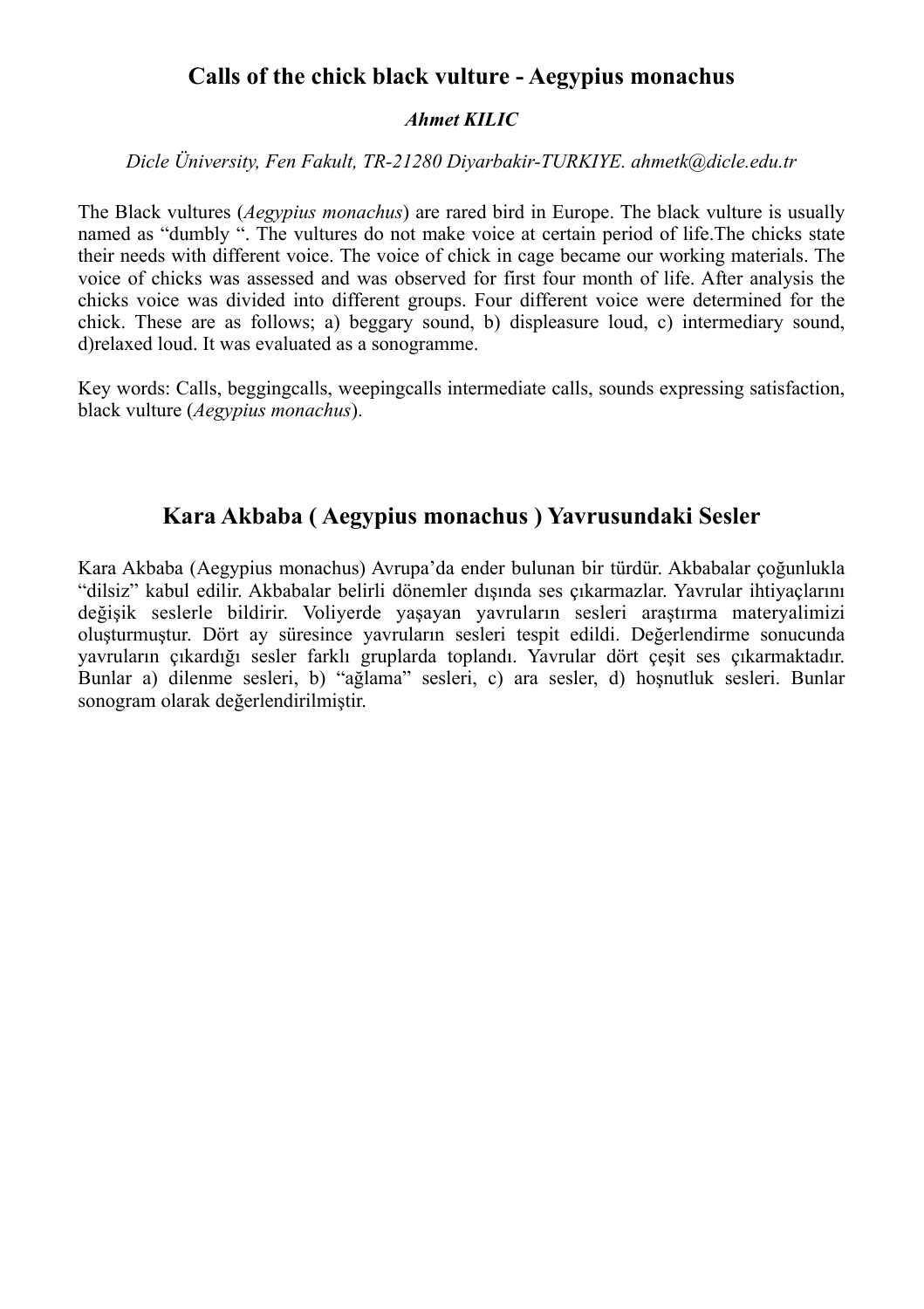## **Calls of the chick black vulture - Aegypius monachus**

#### *Ahmet KILIC*

*Dicle Üniversity, Fen Fakult, TR-21280 Diyarbakir-TURKIYE. ahmetk@dicle.edu.tr*

The Black vultures (*Aegypius monachus*) are rared bird in Europe. The black vulture is usually named as "dumbly ". The vultures do not make voice at certain period of life. The chicks state their needs with different voice. The voice of chick in cage became our working materials. The voice of chicks was assessed and was observed for first four month of life. After analysis the chicks voice was divided into different groups. Four different voice were determined for the chick. These are as follows; a) beggary sound, b) displeasure loud, c) intermediary sound, d)relaxed loud. It was evaluated as a sonogramme.

Key words: Calls, beggingcalls, weepingcalls intermediate calls, sounds expressing satisfaction, black vulture (*Aegypius monachus*).

## **Kara Akbaba ( Aegypius monachus ) Yavrusundaki Sesler**

Kara Akbaba (Aegypius monachus) Avrupa'da ender bulunan bir türdür. Akbabalar çoğunlukla "dilsiz" kabul edilir. Akbabalar belirli dönemler dışında ses çıkarmazlar. Yavrular ihtiyaçlarını değişik seslerle bildirir. Voliyerde yaşayan yavruların sesleri araştırma materyalimizi oluşturmuştur. Dört ay süresince yavruların sesleri tespit edildi. Değerlendirme sonucunda yavruların çıkardığı sesler farklı gruplarda toplandı. Yavrular dört çeşit ses çıkarmaktadır. Bunlar a) dilenme sesleri, b) "ağlama" sesleri, c) ara sesler, d) hoşnutluk sesleri. Bunlar sonogram olarak değerlendirilmiştir.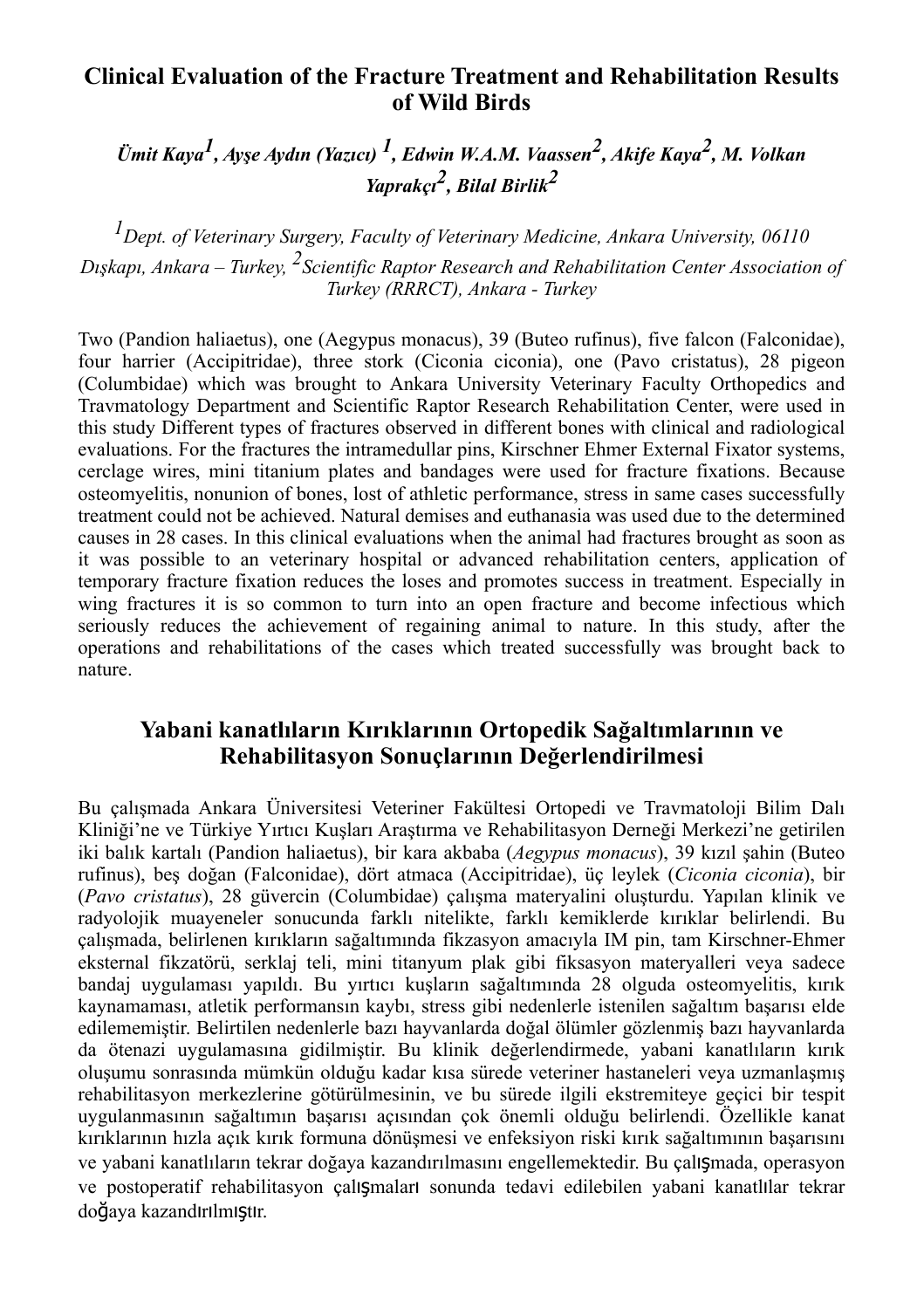## **Clinical Evaluation of the Fracture Treatment and Rehabilitation Results of Wild Birds**

*Ümit Kaya1, Ayşe Aydın (Yazıcı) 1, Edwin W.A.M. Vaassen2, Akife Kaya2, M. Volkan Yaprakçı2, Bilal Birlik2*

*1Dept. of Veterinary Surgery, Faculty of Veterinary Medicine, Ankara University, 06110 Dışkapı, Ankara – Turkey, 2Scientific Raptor Research and Rehabilitation Center Association of Turkey (RRRCT), Ankara - Turkey*

Two (Pandion haliaetus), one (Aegypus monacus), 39 (Buteo rufinus), five falcon (Falconidae), four harrier (Accipitridae), three stork (Ciconia ciconia), one (Pavo cristatus), 28 pigeon (Columbidae) which was brought to Ankara University Veterinary Faculty Orthopedics and Travmatology Department and Scientific Raptor Research Rehabilitation Center, were used in this study Different types of fractures observed in different bones with clinical and radiological evaluations. For the fractures the intramedullar pins, Kirschner Ehmer External Fixator systems, cerclage wires, mini titanium plates and bandages were used for fracture fixations. Because osteomyelitis, nonunion of bones, lost of athletic performance, stress in same cases successfully treatment could not be achieved. Natural demises and euthanasia was used due to the determined causes in 28 cases. In this clinical evaluations when the animal had fractures brought as soon as it was possible to an veterinary hospital or advanced rehabilitation centers, application of temporary fracture fixation reduces the loses and promotes success in treatment. Especially in wing fractures it is so common to turn into an open fracture and become infectious which seriously reduces the achievement of regaining animal to nature. In this study, after the operations and rehabilitations of the cases which treated successfully was brought back to nature.

## **Yabani kanatlıların Kırıklarının Ortopedik Sağaltımlarının ve Rehabilitasyon Sonuçlarının Değerlendirilmesi**

Bu çalışmada Ankara Üniversitesi Veteriner Fakültesi Ortopedi ve Travmatoloji Bilim Dalı Kliniği'ne ve Türkiye Yırtıcı Kuşları Araştırma ve Rehabilitasyon Derneği Merkezi'ne getirilen iki balık kartalı (Pandion haliaetus), bir kara akbaba (*Aegypus monacus*), 39 kızıl şahin (Buteo rufinus), beş doğan (Falconidae), dört atmaca (Accipitridae), üç leylek (*Ciconia ciconia*), bir (*Pavo cristatus*), 28 güvercin (Columbidae) çalışma materyalini oluşturdu. Yapılan klinik ve radyolojik muayeneler sonucunda farklı nitelikte, farklı kemiklerde kırıklar belirlendi. Bu çalışmada, belirlenen kırıkların sağaltımında fikzasyon amacıyla IM pin, tam Kirschner-Ehmer eksternal fikzatörü, serklaj teli, mini titanyum plak gibi fiksasyon materyalleri veya sadece bandaj uygulaması yapıldı. Bu yırtıcı kuşların sağaltımında 28 olguda osteomyelitis, kırık kaynamaması, atletik performansın kaybı, stress gibi nedenlerle istenilen sağaltım başarısı elde edilememiştir. Belirtilen nedenlerle bazı hayvanlarda doğal ölümler gözlenmiş bazı hayvanlarda da ötenazi uygulamasına gidilmiştir. Bu klinik değerlendirmede, yabani kanatlıların kırık oluşumu sonrasında mümkün olduğu kadar kısa sürede veteriner hastaneleri veya uzmanlaşmış rehabilitasyon merkezlerine götürülmesinin, ve bu sürede ilgili ekstremiteye geçici bir tespit uygulanmasının sağaltımın başarısı açısından çok önemli olduğu belirlendi. Özellikle kanat kırıklarının hızla açık kırık formuna dönüşmesi ve enfeksiyon riski kırık sağaltımının başarısını ve yabani kanatlıların tekrar doğaya kazandırılmasını engellemektedir. Bu çalışmada, operasyon ve postoperatif rehabilitasyon çalışmaları sonunda tedavi edilebilen yabani kanatlılar tekrar doğaya kazandırılmıştır.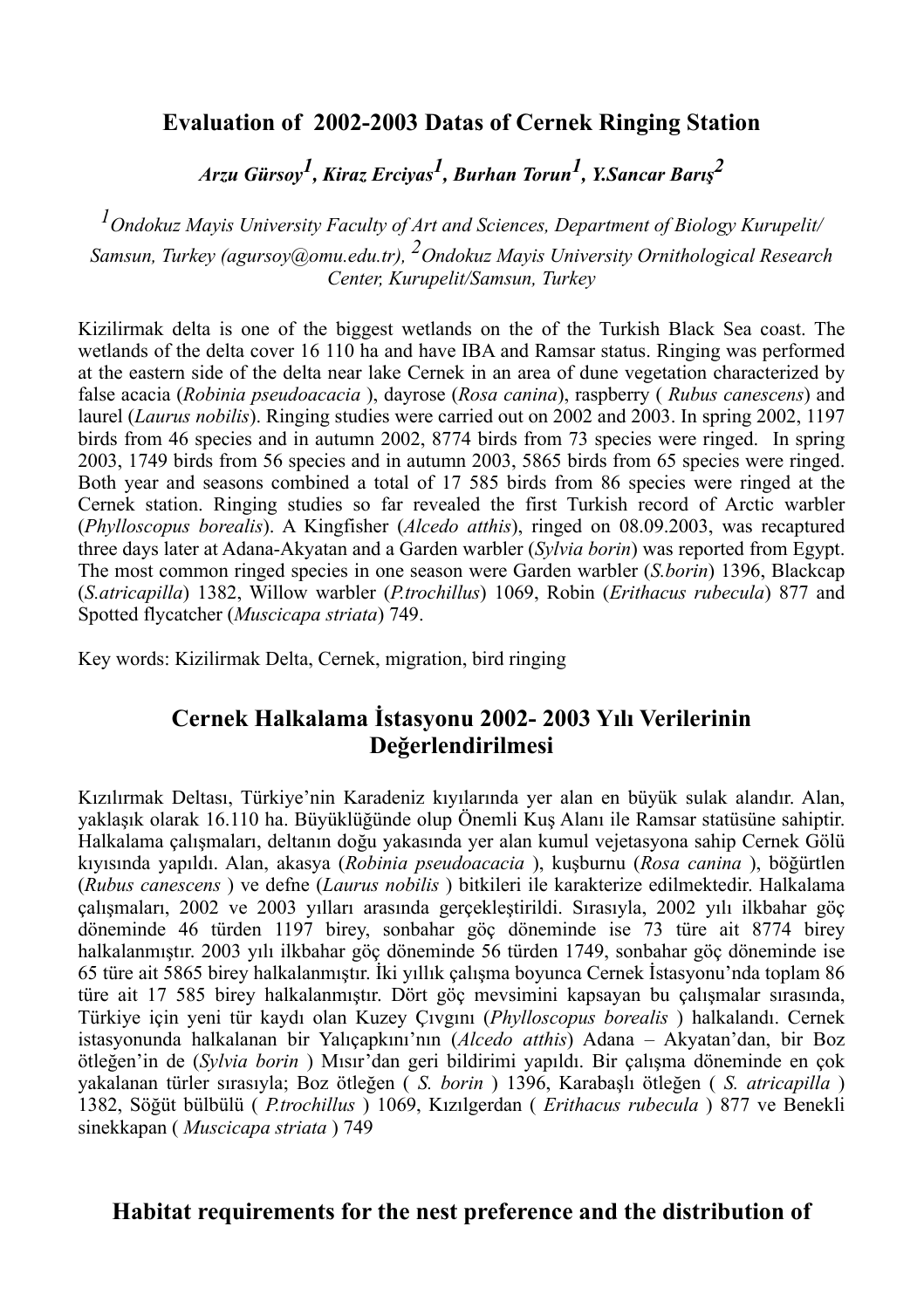## **Evaluation of 2002-2003 Datas of Cernek Ringing Station**

*Arzu Gürsoy1, Kiraz Erciyas1, Burhan Torun1, Y.Sancar Barı<sup>ş</sup> 2*

*1Ondokuz Mayis University Faculty of Art and Sciences, Department of Biology Kurupelit/ Samsun, Turkey (agursoy@omu.edu.tr), 2Ondokuz Mayis University Ornithological Research Center, Kurupelit/Samsun, Turkey*

Kizilirmak delta is one of the biggest wetlands on the of the Turkish Black Sea coast. The wetlands of the delta cover 16 110 ha and have IBA and Ramsar status. Ringing was performed at the eastern side of the delta near lake Cernek in an area of dune vegetation characterized by false acacia (*Robinia pseudoacacia* ), dayrose (*Rosa canina*), raspberry ( *Rubus canescens*) and laurel (*Laurus nobilis*). Ringing studies were carried out on 2002 and 2003. In spring 2002, 1197 birds from 46 species and in autumn 2002, 8774 birds from 73 species were ringed. In spring 2003, 1749 birds from 56 species and in autumn 2003, 5865 birds from 65 species were ringed. Both year and seasons combined a total of 17 585 birds from 86 species were ringed at the Cernek station. Ringing studies so far revealed the first Turkish record of Arctic warbler (*Phylloscopus borealis*). A Kingfisher (*Alcedo atthis*), ringed on 08.09.2003, was recaptured three days later at Adana-Akyatan and a Garden warbler (*Sylvia borin*) was reported from Egypt. The most common ringed species in one season were Garden warbler (*S.borin*) 1396, Blackcap (*S.atricapilla*) 1382, Willow warbler (*P.trochillus*) 1069, Robin (*Erithacus rubecula*) 877 and Spotted flycatcher (*Muscicapa striata*) 749.

Key words: Kizilirmak Delta, Cernek, migration, bird ringing

## **Cernek Halkalama İstasyonu 2002- 2003 Yılı Verilerinin Değerlendirilmesi**

Kızılırmak Deltası, Türkiye'nin Karadeniz kıyılarında yer alan en büyük sulak alandır. Alan, yaklaşık olarak 16.110 ha. Büyüklüğünde olup Önemli Kuş Alanı ile Ramsar statüsüne sahiptir. Halkalama çalışmaları, deltanın doğu yakasında yer alan kumul vejetasyona sahip Cernek Gölü kıyısında yapıldı. Alan, akasya (*Robinia pseudoacacia* ), kuşburnu (*Rosa canina* ), böğürtlen (*Rubus canescens* ) ve defne (*Laurus nobilis* ) bitkileri ile karakterize edilmektedir. Halkalama çalışmaları, 2002 ve 2003 yılları arasında gerçekleştirildi. Sırasıyla, 2002 yılı ilkbahar göç döneminde 46 türden 1197 birey, sonbahar göç döneminde ise 73 türe ait 8774 birey halkalanmıştır. 2003 yılı ilkbahar göç döneminde 56 türden 1749, sonbahar göç döneminde ise 65 türe ait 5865 birey halkalanmıştır. İki yıllık çalışma boyunca Cernek İstasyonu'nda toplam 86 türe ait 17 585 birey halkalanmıştır. Dört göç mevsimini kapsayan bu çalışmalar sırasında, Türkiye için yeni tür kaydı olan Kuzey Çıvgını (*Phylloscopus borealis* ) halkalandı. Cernek istasyonunda halkalanan bir Yalıçapkını'nın (*Alcedo atthis*) Adana – Akyatan'dan, bir Boz ötleğen'in de (*Sylvia borin* ) Mısır'dan geri bildirimi yapıldı. Bir çalışma döneminde en çok yakalanan türler sırasıyla; Boz ötleğen ( *S. borin* ) 1396, Karabaşlı ötleğen ( *S. atricapilla* ) 1382, Söğüt bülbülü ( *P.trochillus* ) 1069, Kızılgerdan ( *Erithacus rubecula* ) 877 ve Benekli sinekkapan ( *Muscicapa striata* ) 749

## **Habitat requirements for the nest preference and the distribution of**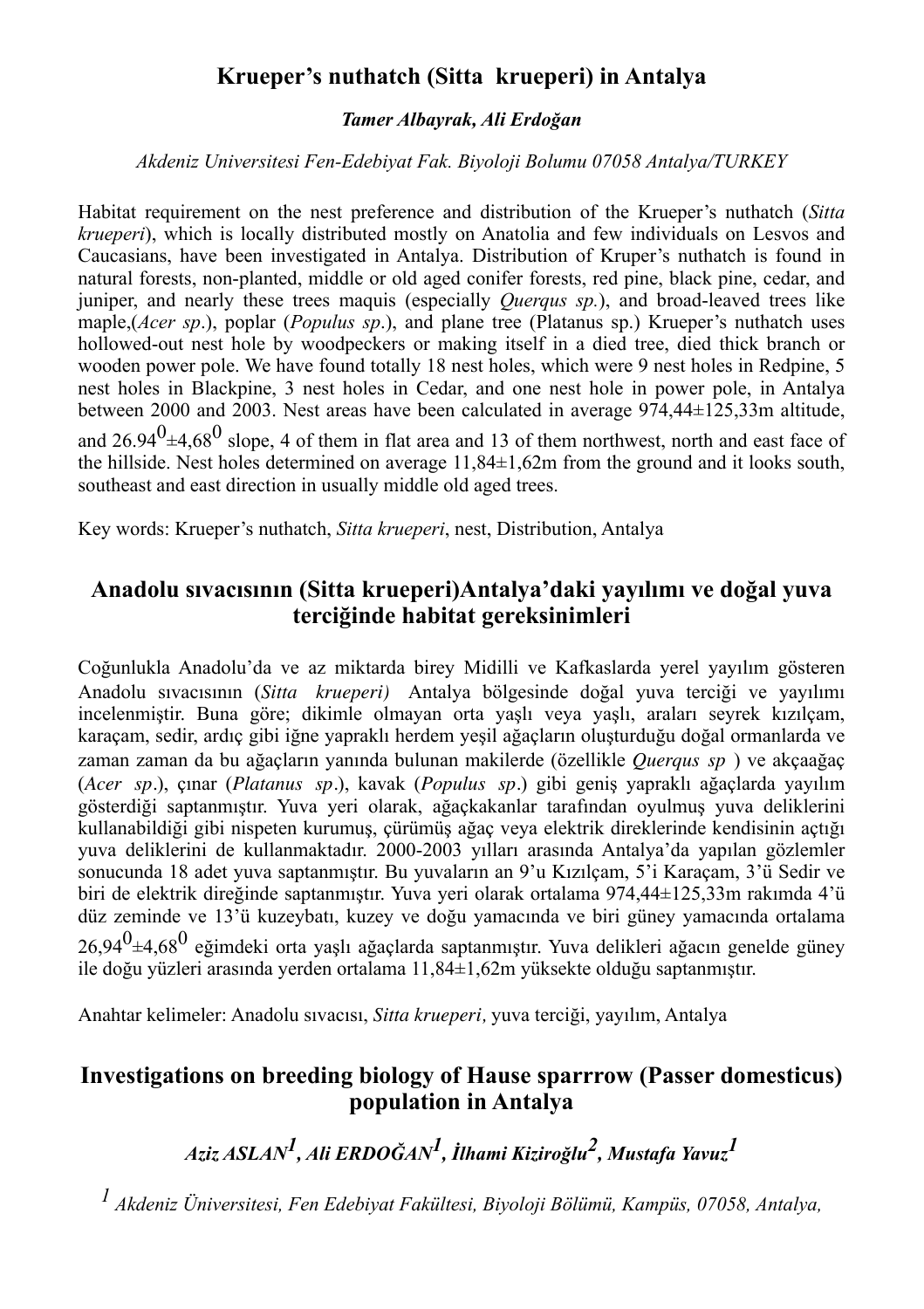## **Krueper's nuthatch (Sitta krueperi) in Antalya**

#### *Tamer Albayrak, Ali Erdoğan*

#### *Akdeniz Universitesi Fen-Edebiyat Fak. Biyoloji Bolumu 07058 Antalya/TURKEY*

Habitat requirement on the nest preference and distribution of the Krueper's nuthatch (*Sitta krueperi*), which is locally distributed mostly on Anatolia and few individuals on Lesvos and Caucasians, have been investigated in Antalya. Distribution of Kruper's nuthatch is found in natural forests, non-planted, middle or old aged conifer forests, red pine, black pine, cedar, and juniper, and nearly these trees maquis (especially *Querqus sp.*), and broad-leaved trees like maple,(*Acer sp*.), poplar (*Populus sp*.), and plane tree (Platanus sp.) Krueper's nuthatch uses hollowed-out nest hole by woodpeckers or making itself in a died tree, died thick branch or wooden power pole. We have found totally 18 nest holes, which were 9 nest holes in Redpine, 5 nest holes in Blackpine, 3 nest holes in Cedar, and one nest hole in power pole, in Antalya between 2000 and 2003. Nest areas have been calculated in average 974,44±125,33m altitude, and  $26.94<sup>0</sup>\pm4.68<sup>0</sup>$  slope, 4 of them in flat area and 13 of them northwest, north and east face of the hillside. Nest holes determined on average 11,84±1,62m from the ground and it looks south, southeast and east direction in usually middle old aged trees.

Key words: Krueper's nuthatch, *Sitta krueperi*, nest, Distribution, Antalya

## **Anadolu sıvacısının (Sitta krueperi)Antalya'daki yayılımı ve doğal yuva terciğinde habitat gereksinimleri**

Coğunlukla Anadolu'da ve az miktarda birey Midilli ve Kafkaslarda yerel yayılım gösteren Anadolu sıvacısının (*Sitta krueperi)* Antalya bölgesinde doğal yuva terciği ve yayılımı incelenmiştir. Buna göre; dikimle olmayan orta yaşlı veya yaşlı, araları seyrek kızılçam, karaçam, sedir, ardıç gibi iğne yapraklı herdem yeşil ağaçların oluşturduğu doğal ormanlarda ve zaman zaman da bu ağaçların yanında bulunan makilerde (özellikle *Querqus sp* ) ve akçaağaç (*Acer sp.*), çınar (*Platanus sp.*), kavak (*Populus sp.*) gibi geniş yapraklı ağaçlarda yayılım gösterdiği saptanmıştır. Yuva yeri olarak, ağaçkakanlar tarafından oyulmuş yuva deliklerini kullanabildiği gibi nispeten kurumuş, çürümüş ağaç veya elektrik direklerinde kendisinin açtığı yuva deliklerini de kullanmaktadır. 2000-2003 yılları arasında Antalya'da yapılan gözlemler sonucunda 18 adet yuva saptanmıştır. Bu yuvaların an 9'u Kızılçam, 5'i Karaçam, 3'ü Sedir ve biri de elektrik direğinde saptanmıştır. Yuva yeri olarak ortalama 974,44±125,33m rakımda 4'ü düz zeminde ve 13'ü kuzeybatı, kuzey ve doğu yamacında ve biri güney yamacında ortalama  $2694<sup>0</sup>±4.68<sup>0</sup>$  eğimdeki orta yaşlı ağaçlarda saptanmıştır. Yuva delikleri ağacın genelde güney ile doğu yüzleri arasında yerden ortalama 11,84±1,62m yüksekte olduğu saptanmıştır.

Anahtar kelimeler: Anadolu sıvacısı, *Sitta krueperi,* yuva terciği, yayılım, Antalya

## **Investigations on breeding biology of Hause sparrrow (Passer domesticus) population in Antalya**

*Aziz ASLAN1, Ali ERDOĞAN1, İlhami Kiziroğlu2, Mustafa Yavuz1*

*1 Akdeniz Üniversitesi, Fen Edebiyat Fakültesi, Biyoloji Bölümü, Kampüs, 07058, Antalya,*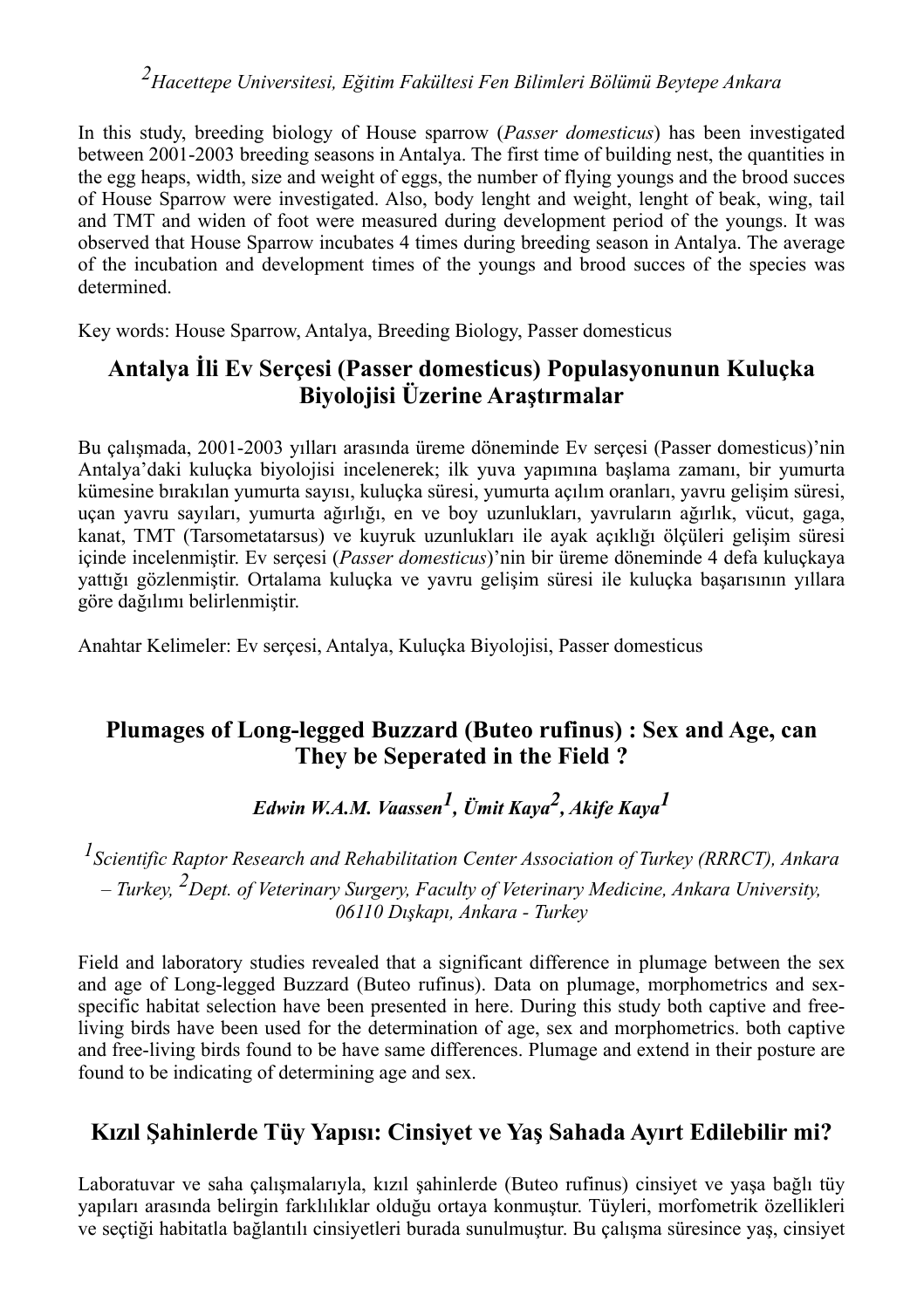*2Hacettepe Universitesi, Eğitim Fakültesi Fen Bilimleri Bölümü Beytepe Ankara*

In this study, breeding biology of House sparrow (*Passer domesticus*) has been investigated between 2001-2003 breeding seasons in Antalya. The first time of building nest, the quantities in the egg heaps, width, size and weight of eggs, the number of flying youngs and the brood succes of House Sparrow were investigated. Also, body lenght and weight, lenght of beak, wing, tail and TMT and widen of foot were measured during development period of the youngs. It was observed that House Sparrow incubates 4 times during breeding season in Antalya. The average of the incubation and development times of the youngs and brood succes of the species was determined.

Key words: House Sparrow, Antalya, Breeding Biology, Passer domesticus

## **Antalya İli Ev Serçesi (Passer domesticus) Populasyonunun Kuluçka Biyolojisi Üzerine Araştırmalar**

Bu çalışmada, 2001-2003 yılları arasında üreme döneminde Ev serçesi (Passer domesticus)'nin Antalya'daki kuluçka biyolojisi incelenerek; ilk yuva yapımına başlama zamanı, bir yumurta kümesine bırakılan yumurta sayısı, kuluçka süresi, yumurta açılım oranları, yavru gelişim süresi, uçan yavru sayıları, yumurta ağırlığı, en ve boy uzunlukları, yavruların ağırlık, vücut, gaga, kanat, TMT (Tarsometatarsus) ve kuyruk uzunlukları ile ayak açıklığı ölçüleri gelişim süresi içinde incelenmiştir. Ev serçesi (*Passer domesticus*)'nin bir üreme döneminde 4 defa kuluçkaya yattığı gözlenmiştir. Ortalama kuluçka ve yavru gelişim süresi ile kuluçka başarısının yıllara göre dağılımı belirlenmiştir.

Anahtar Kelimeler: Ev serçesi, Antalya, Kuluçka Biyolojisi, Passer domesticus

## **Plumages of Long-legged Buzzard (Buteo rufinus) : Sex and Age, can They be Seperated in the Field ?**

*Edwin W.A.M. Vaassen1, Ümit Kaya2, Akife Kaya1*

*1Scientific Raptor Research and Rehabilitation Center Association of Turkey (RRRCT), Ankara – Turkey, 2Dept. of Veterinary Surgery, Faculty of Veterinary Medicine, Ankara University, 06110 Dışkapı, Ankara - Turkey*

Field and laboratory studies revealed that a significant difference in plumage between the sex and age of Long-legged Buzzard (Buteo rufinus). Data on plumage, morphometrics and sexspecific habitat selection have been presented in here. During this study both captive and freeliving birds have been used for the determination of age, sex and morphometrics. both captive and free-living birds found to be have same differences. Plumage and extend in their posture are found to be indicating of determining age and sex.

## **Kızıl Şahinlerde Tüy Yapısı: Cinsiyet ve Yaş Sahada Ayırt Edilebilir mi?**

Laboratuvar ve saha çalışmalarıyla, kızıl şahinlerde (Buteo rufinus) cinsiyet ve yaşa bağlı tüy yapıları arasında belirgin farklılıklar olduğu ortaya konmuştur. Tüyleri, morfometrik özellikleri ve seçtiği habitatla bağlantılı cinsiyetleri burada sunulmuştur. Bu çalışma süresince yaş, cinsiyet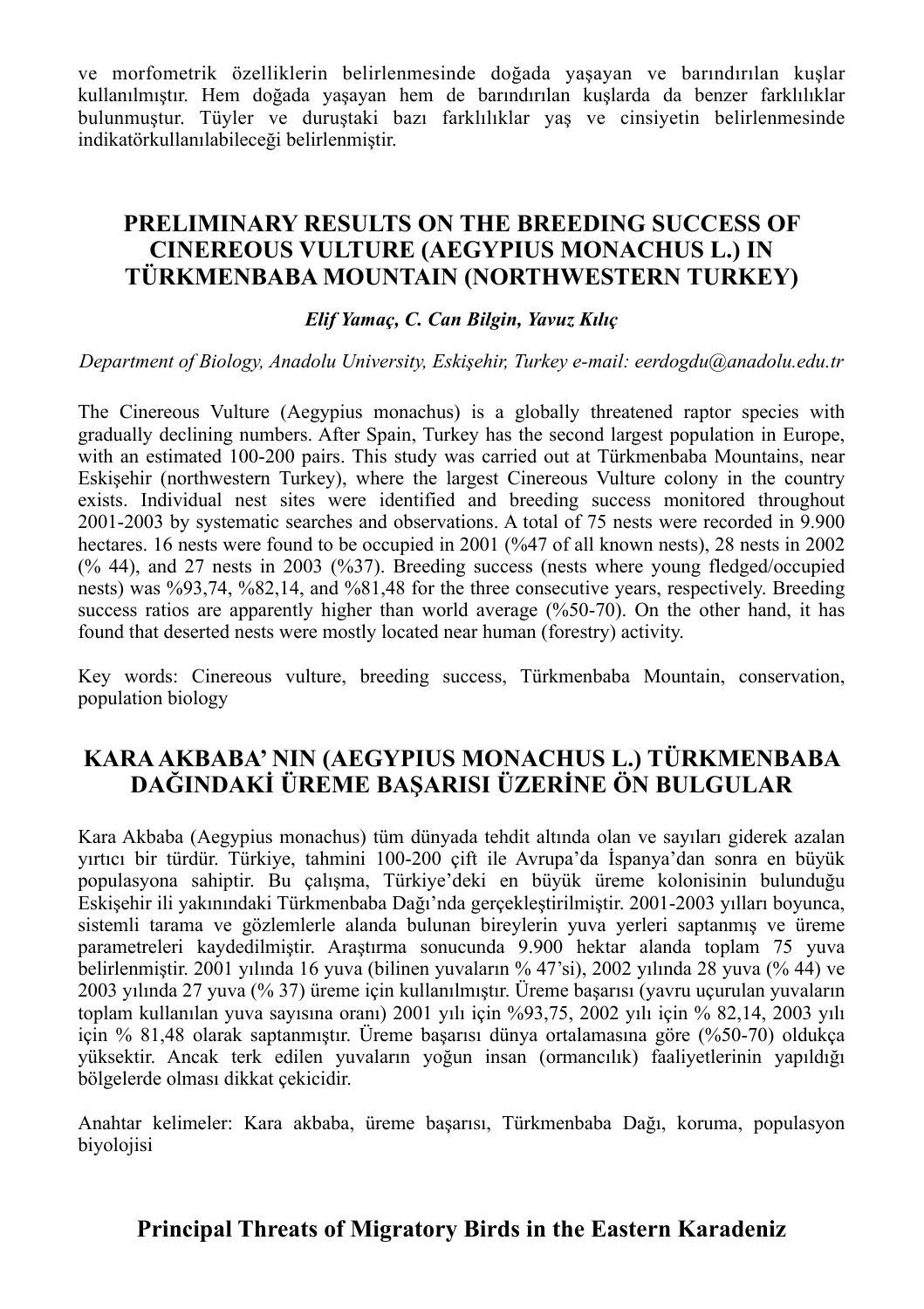ve morfometrik özelliklerin belirlenmesinde doğada yaşayan ve barındırılan kuşlar kullanılmıştır. Hem doğada yaşayan hem de barındırılan kuşlarda da benzer farklılıklar bulunmuştur. Tüyler ve duruştaki bazı farklılıklar yaş ve cinsiyetin belirlenmesinde indikatörkullanılabileceği belirlenmiştir.

## **PRELIMINARY RESULTS ON THE BREEDING SUCCESS OF CINEREOUS VULTURE (AEGYPIUS MONACHUS L.) IN TÜRKMENBABA MOUNTAIN (NORTHWESTERN TURKEY)**

#### *Elif Yamaç, C. Can Bilgin, Yavuz Kılıç*

#### *Department of Biology, Anadolu University, Eskişehir, Turkey e-mail: eerdogdu@anadolu.edu.tr*

The Cinereous Vulture (Aegypius monachus) is a globally threatened raptor species with gradually declining numbers. After Spain, Turkey has the second largest population in Europe, with an estimated 100-200 pairs. This study was carried out at Türkmenbaba Mountains, near Eskişehir (northwestern Turkey), where the largest Cinereous Vulture colony in the country exists. Individual nest sites were identified and breeding success monitored throughout 2001-2003 by systematic searches and observations. A total of 75 nests were recorded in 9.900 hectares. 16 nests were found to be occupied in 2001 (%47 of all known nests), 28 nests in 2002 (% 44), and 27 nests in 2003 (%37). Breeding success (nests where young fledged/occupied nests) was %93,74, %82,14, and %81,48 for the three consecutive years, respectively. Breeding success ratios are apparently higher than world average (%50-70). On the other hand, it has found that deserted nests were mostly located near human (forestry) activity.

Key words: Cinereous vulture, breeding success, Türkmenbaba Mountain, conservation, population biology

## **KARA AKBABA' NIN (AEGYPIUS MONACHUS L.) TÜRKMENBABA DAĞINDAKİ ÜREME BAŞARISI ÜZERİNE ÖN BULGULAR**

Kara Akbaba (Aegypius monachus) tüm dünyada tehdit altında olan ve sayıları giderek azalan yırtıcı bir türdür. Türkiye, tahmini 100-200 çift ile Avrupa'da İspanya'dan sonra en büyük populasyona sahiptir. Bu çalışma, Türkiye'deki en büyük üreme kolonisinin bulunduğu Eskişehir ili yakınındaki Türkmenbaba Dağı'nda gerçekleştirilmiştir. 2001-2003 yılları boyunca, sistemli tarama ve gözlemlerle alanda bulunan bireylerin yuva yerleri saptanmış ve üreme parametreleri kaydedilmiştir. Araştırma sonucunda 9.900 hektar alanda toplam 75 yuva belirlenmiştir. 2001 yılında 16 yuva (bilinen yuvaların % 47'si), 2002 yılında 28 yuva (% 44) ve 2003 yılında 27 yuva (% 37) üreme için kullanılmıştır. Üreme başarısı (yavru uçurulan yuvaların toplam kullanılan yuva sayısına oranı) 2001 yılı için %93,75, 2002 yılı için % 82,14, 2003 yılı için % 81,48 olarak saptanmıştır. Üreme başarısı dünya ortalamasına göre (%50-70) oldukça yüksektir. Ancak terk edilen yuvaların yoğun insan (ormancılık) faaliyetlerinin yapıldığı bölgelerde olması dikkat çekicidir.

Anahtar kelimeler: Kara akbaba, üreme başarısı, Türkmenbaba Dağı, koruma, populasyon biyolojisi

## **Principal Threats of Migratory Birds in the Eastern Karadeniz**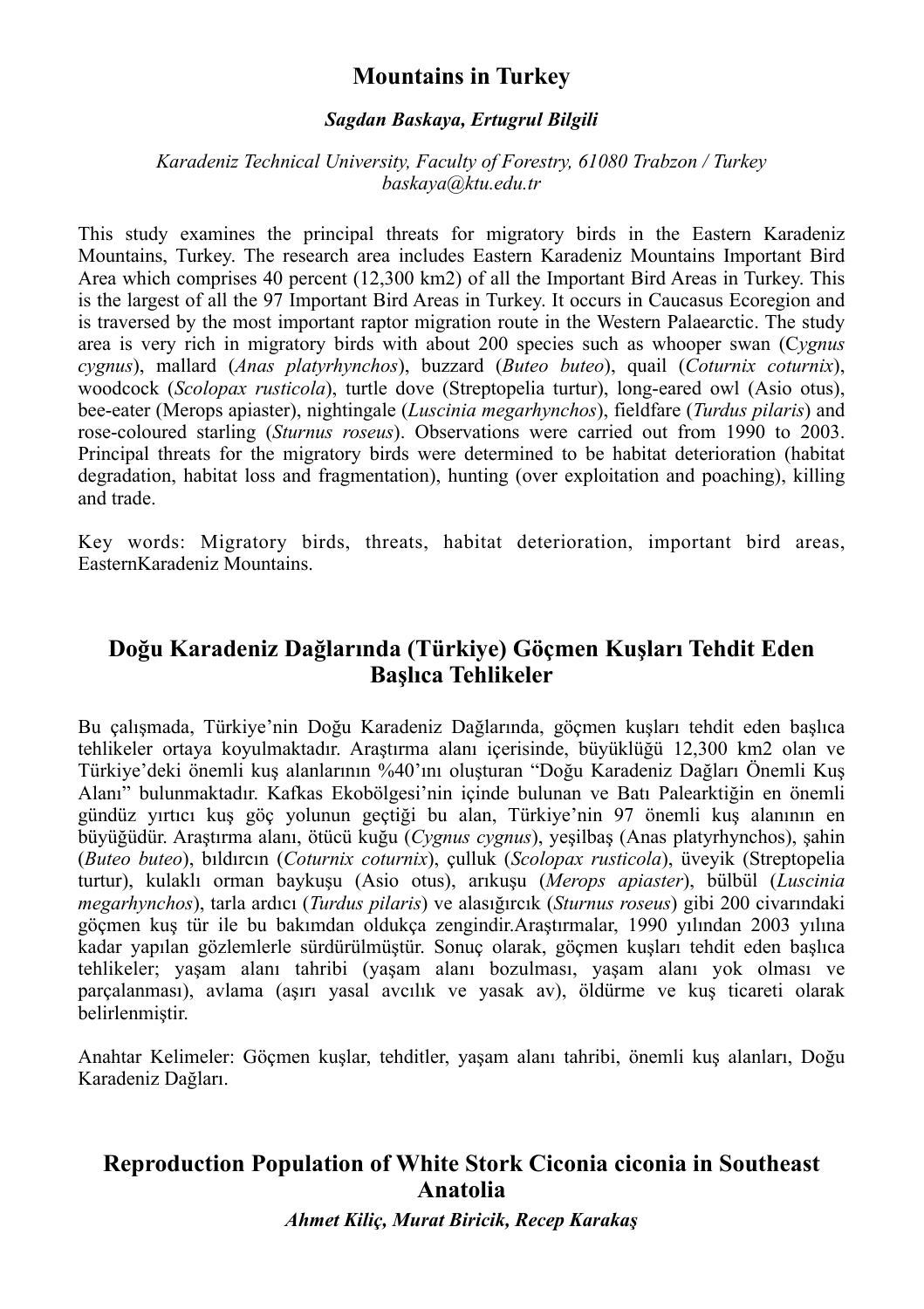## **Mountains in Turkey**

#### *Sagdan Baskaya, Ertugrul Bilgili*

#### *Karadeniz Technical University, Faculty of Forestry, 61080 Trabzon / Turkey baskaya@ktu.edu.tr*

This study examines the principal threats for migratory birds in the Eastern Karadeniz Mountains, Turkey. The research area includes Eastern Karadeniz Mountains Important Bird Area which comprises 40 percent (12,300 km2) of all the Important Bird Areas in Turkey. This is the largest of all the 97 Important Bird Areas in Turkey. It occurs in Caucasus Ecoregion and is traversed by the most important raptor migration route in the Western Palaearctic. The study area is very rich in migratory birds with about 200 species such as whooper swan (C*ygnus cygnus*), mallard (*Anas platyrhynchos*), buzzard (*Buteo buteo*), quail (*Coturnix coturnix*), woodcock (*Scolopax rusticola*), turtle dove (Streptopelia turtur), long-eared owl (Asio otus), bee-eater (Merops apiaster), nightingale (*Luscinia megarhynchos*), fieldfare (*Turdus pilaris*) and rose-coloured starling (*Sturnus roseus*). Observations were carried out from 1990 to 2003. Principal threats for the migratory birds were determined to be habitat deterioration (habitat degradation, habitat loss and fragmentation), hunting (over exploitation and poaching), killing and trade.

Key words: Migratory birds, threats, habitat deterioration, important bird areas, EasternKaradeniz Mountains.

## **Doğu Karadeniz Dağlarında (Türkiye) Göçmen Kuşları Tehdit Eden Başlıca Tehlikeler**

Bu çalışmada, Türkiye'nin Doğu Karadeniz Dağlarında, göçmen kuşları tehdit eden başlıca tehlikeler ortaya koyulmaktadır. Araştırma alanı içerisinde, büyüklüğü 12,300 km2 olan ve Türkiye'deki önemli kuş alanlarının %40'ını oluşturan "Doğu Karadeniz Dağları Önemli Kuş Alanı" bulunmaktadır. Kafkas Ekobölgesi'nin içinde bulunan ve Batı Palearktiğin en önemli gündüz yırtıcı kuş göç yolunun geçtiği bu alan, Türkiye'nin 97 önemli kuş alanının en büyüğüdür. Araştırma alanı, ötücü kuğu (*Cygnus cygnus*), yeşilbaş (Anas platyrhynchos), şahin (*Buteo buteo*), bıldırcın (*Coturnix coturnix*), çulluk (*Scolopax rusticola*), üveyik (Streptopelia turtur), kulaklı orman baykuşu (Asio otus), arıkuşu (*Merops apiaster*), bülbül (*Luscinia megarhynchos*), tarla ardıcı (*Turdus pilaris*) ve alasığırcık (*Sturnus roseus*) gibi 200 civarındaki göçmen kuş tür ile bu bakımdan oldukça zengindir.Araştırmalar, 1990 yılından 2003 yılına kadar yapılan gözlemlerle sürdürülmüştür. Sonuç olarak, göçmen kuşları tehdit eden başlıca tehlikeler; yaşam alanı tahribi (yaşam alanı bozulması, yaşam alanı yok olması ve parçalanması), avlama (aşırı yasal avcılık ve yasak av), öldürme ve kuş ticareti olarak belirlenmiştir.

Anahtar Kelimeler: Göçmen kuşlar, tehditler, yaşam alanı tahribi, önemli kuş alanları, Doğu Karadeniz Dağları.

## **Reproduction Population of White Stork Ciconia ciconia in Southeast Anatolia**

*Ahmet Kiliç, Murat Biricik, Recep Karakaş*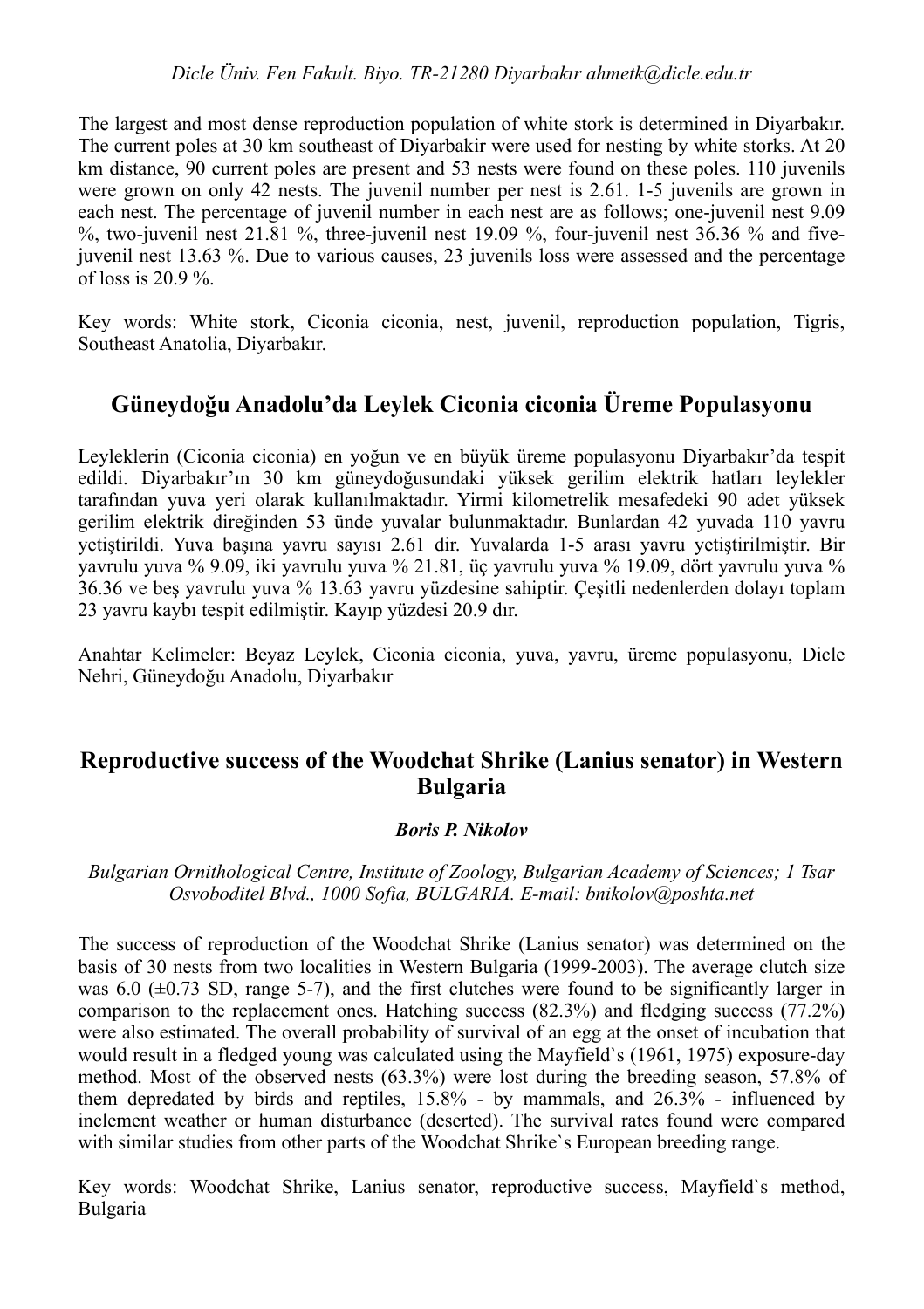*Dicle Üniv. Fen Fakult. Biyo. TR-21280 Diyarbakır ahmetk@dicle.edu.tr*

The largest and most dense reproduction population of white stork is determined in Diyarbakır. The current poles at 30 km southeast of Diyarbakir were used for nesting by white storks. At 20 km distance, 90 current poles are present and 53 nests were found on these poles. 110 juvenils were grown on only 42 nests. The juvenil number per nest is 2.61. 1-5 juvenils are grown in each nest. The percentage of juvenil number in each nest are as follows; one-juvenil nest 9.09  $\%$ , two-juvenil nest 21.81 %, three-juvenil nest 19.09 %, four-juvenil nest 36.36 % and fivejuvenil nest 13.63 %. Due to various causes, 23 juvenils loss were assessed and the percentage of loss is  $20.9\%$ 

Key words: White stork, Ciconia ciconia, nest, juvenil, reproduction population, Tigris, Southeast Anatolia, Diyarbakır.

## **Güneydoğu Anadolu'da Leylek Ciconia ciconia Üreme Populasyonu**

Leyleklerin (Ciconia ciconia) en yoğun ve en büyük üreme populasyonu Diyarbakır'da tespit edildi. Diyarbakır'ın 30 km güneydoğusundaki yüksek gerilim elektrik hatları leylekler tarafından yuva yeri olarak kullanılmaktadır. Yirmi kilometrelik mesafedeki 90 adet yüksek gerilim elektrik direğinden 53 ünde yuvalar bulunmaktadır. Bunlardan 42 yuvada 110 yavru yetiştirildi. Yuva başına yavru sayısı 2.61 dir. Yuvalarda 1-5 arası yavru yetiştirilmiştir. Bir yavrulu yuva % 9.09, iki yavrulu yuva % 21.81, üç yavrulu yuva % 19.09, dört yavrulu yuva % 36.36 ve beş yavrulu yuva % 13.63 yavru yüzdesine sahiptir. Çeşitli nedenlerden dolayı toplam 23 yavru kaybı tespit edilmiştir. Kayıp yüzdesi 20.9 dır.

Anahtar Kelimeler: Beyaz Leylek, Ciconia ciconia, yuva, yavru, üreme populasyonu, Dicle Nehri, Güneydoğu Anadolu, Diyarbakır

## **Reproductive success of the Woodchat Shrike (Lanius senator) in Western Bulgaria**

#### *Boris P. Nikolov*

#### *Bulgarian Ornithological Centre, Institute of Zoology, Bulgarian Academy of Sciences; 1 Tsar Osvoboditel Blvd., 1000 Sofia, BULGARIA. E-mail: bnikolov@poshta.net*

The success of reproduction of the Woodchat Shrike (Lanius senator) was determined on the basis of 30 nests from two localities in Western Bulgaria (1999-2003). The average clutch size was 6.0  $(\pm 0.73$  SD, range 5-7), and the first clutches were found to be significantly larger in comparison to the replacement ones. Hatching success (82.3%) and fledging success (77.2%) were also estimated. The overall probability of survival of an egg at the onset of incubation that would result in a fledged young was calculated using the Mayfield`s (1961, 1975) exposure-day method. Most of the observed nests (63.3%) were lost during the breeding season, 57.8% of them depredated by birds and reptiles, 15.8% - by mammals, and 26.3% - influenced by inclement weather or human disturbance (deserted). The survival rates found were compared with similar studies from other parts of the Woodchat Shrike`s European breeding range.

Key words: Woodchat Shrike, Lanius senator, reproductive success, Mayfield`s method, Bulgaria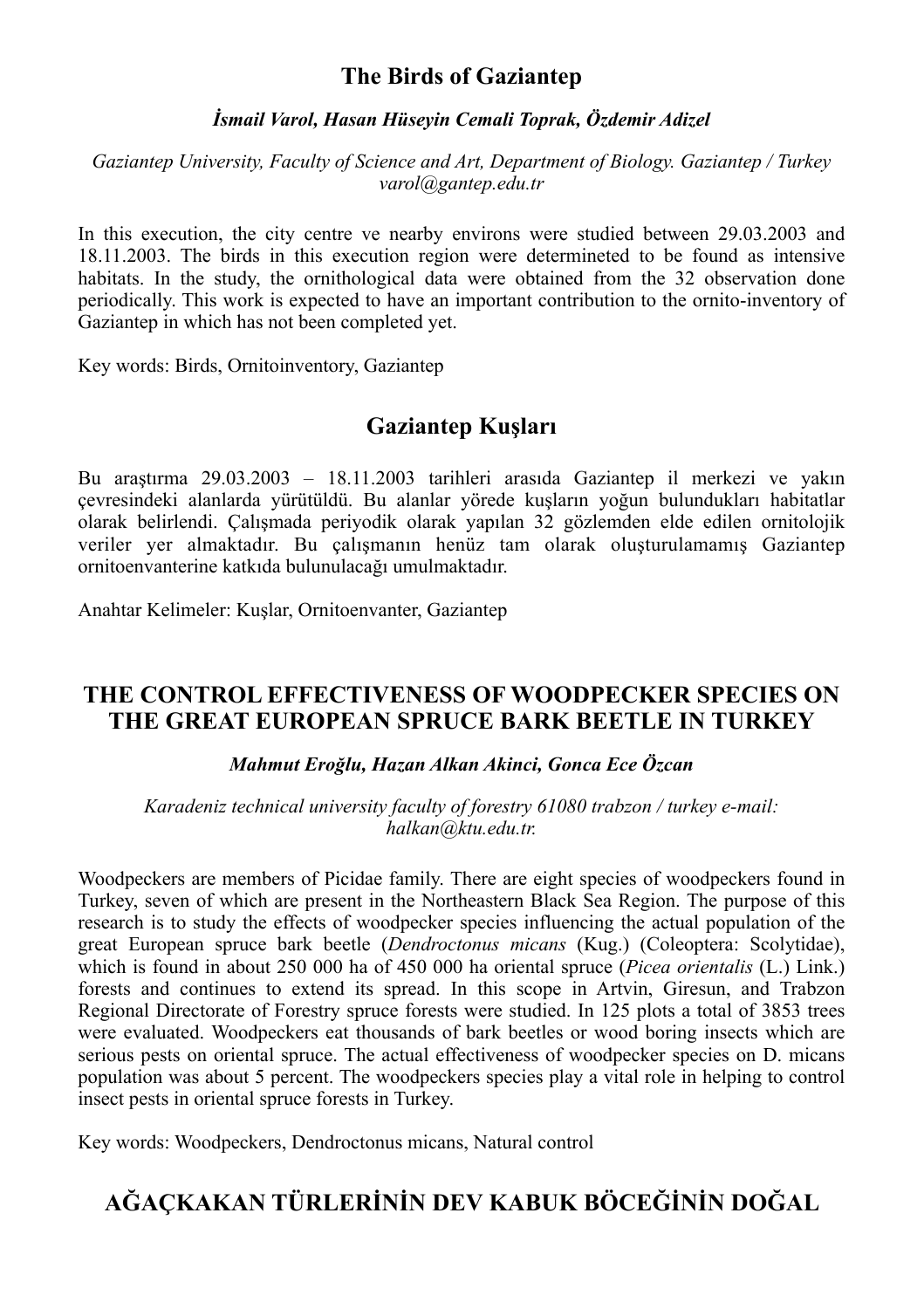## **The Birds of Gaziantep**

#### *İsmail Varol, Hasan Hüseyin Cemali Toprak, Özdemir Adizel*

*Gaziantep University, Faculty of Science and Art, Department of Biology. Gaziantep / Turkey varol@gantep.edu.tr*

In this execution, the city centre ve nearby environs were studied between 29.03.2003 and 18.11.2003. The birds in this execution region were determineted to be found as intensive habitats. In the study, the ornithological data were obtained from the 32 observation done periodically. This work is expected to have an important contribution to the ornito-inventory of Gaziantep in which has not been completed yet.

Key words: Birds, Ornitoinventory, Gaziantep

## **Gaziantep Kuşları**

Bu araştırma 29.03.2003 – 18.11.2003 tarihleri arasıda Gaziantep il merkezi ve yakın çevresindeki alanlarda yürütüldü. Bu alanlar yörede kuşların yoğun bulundukları habitatlar olarak belirlendi. Çalışmada periyodik olarak yapılan 32 gözlemden elde edilen ornitolojik veriler yer almaktadır. Bu çalışmanın henüz tam olarak oluşturulamamış Gaziantep ornitoenvanterine katkıda bulunulacağı umulmaktadır.

Anahtar Kelimeler: Kuşlar, Ornitoenvanter, Gaziantep

## **THE CONTROL EFFECTIVENESS OF WOODPECKER SPECIES ON THE GREAT EUROPEAN SPRUCE BARK BEETLE IN TURKEY**

#### *Mahmut Eroğlu, Hazan Alkan Akinci, Gonca Ece Özcan*

*Karadeniz technical university faculty of forestry 61080 trabzon / turkey e-mail: halkan@ktu.edu.tr.*

Woodpeckers are members of Picidae family. There are eight species of woodpeckers found in Turkey, seven of which are present in the Northeastern Black Sea Region. The purpose of this research is to study the effects of woodpecker species influencing the actual population of the great European spruce bark beetle (*Dendroctonus micans* (Kug.) (Coleoptera: Scolytidae), which is found in about 250 000 ha of 450 000 ha oriental spruce (*Picea orientalis* (L.) Link.) forests and continues to extend its spread. In this scope in Artvin, Giresun, and Trabzon Regional Directorate of Forestry spruce forests were studied. In 125 plots a total of 3853 trees were evaluated. Woodpeckers eat thousands of bark beetles or wood boring insects which are serious pests on oriental spruce. The actual effectiveness of woodpecker species on D. micans population was about 5 percent. The woodpeckers species play a vital role in helping to control insect pests in oriental spruce forests in Turkey.

Key words: Woodpeckers, Dendroctonus micans, Natural control

## **AĞAÇKAKAN TÜRLERİNİN DEV KABUK BÖCEĞİNİN DOĞAL**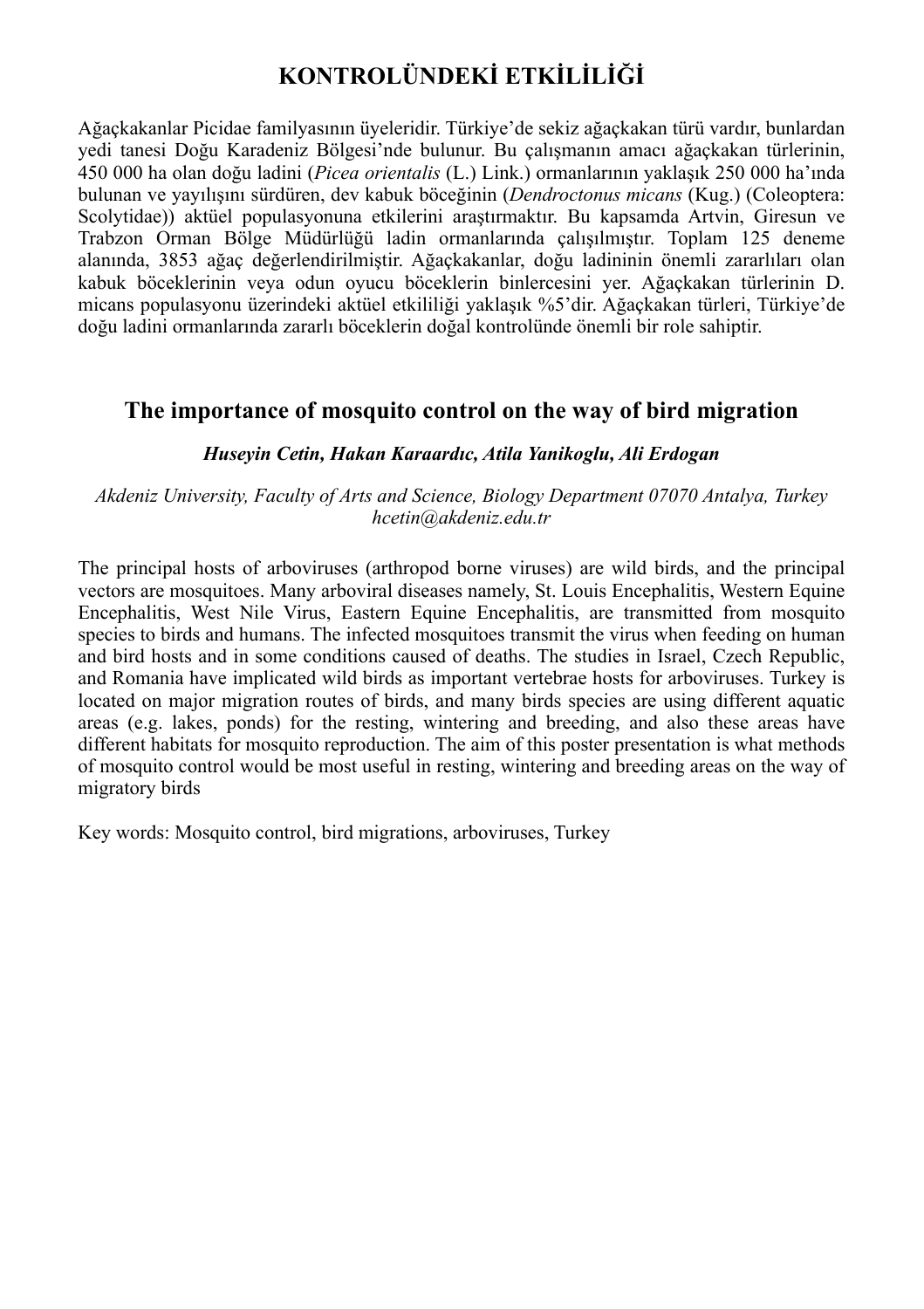## **KONTROLÜNDEKİ ETKİLİLİĞİ**

Ağaçkakanlar Picidae familyasının üyeleridir. Türkiye'de sekiz ağaçkakan türü vardır, bunlardan yedi tanesi Doğu Karadeniz Bölgesi'nde bulunur. Bu çalışmanın amacı ağaçkakan türlerinin, 450 000 ha olan doğu ladini (*Picea orientalis* (L.) Link.) ormanlarının yaklaşık 250 000 ha'ında bulunan ve yayılışını sürdüren, dev kabuk böceğinin (*Dendroctonus micans* (Kug.) (Coleoptera: Scolytidae)) aktüel populasyonuna etkilerini araştırmaktır. Bu kapsamda Artvin, Giresun ve Trabzon Orman Bölge Müdürlüğü ladin ormanlarında çalışılmıştır. Toplam 125 deneme alanında, 3853 ağaç değerlendirilmiştir. Ağaçkakanlar, doğu ladininin önemli zararlıları olan kabuk böceklerinin veya odun oyucu böceklerin binlercesini yer. Ağaçkakan türlerinin D. micans populasyonu üzerindeki aktüel etkililiği yaklaşık %5'dir. Ağaçkakan türleri, Türkiye'de doğu ladini ormanlarında zararlı böceklerin doğal kontrolünde önemli bir role sahiptir.

## **The importance of mosquito control on the way of bird migration**

#### *Huseyin Cetin, Hakan Karaardıc, Atila Yanikoglu, Ali Erdogan*

#### *Akdeniz University, Faculty of Arts and Science, Biology Department 07070 Antalya, Turkey hcetin@akdeniz.edu.tr*

The principal hosts of arboviruses (arthropod borne viruses) are wild birds, and the principal vectors are mosquitoes. Many arboviral diseases namely, St. Louis Encephalitis, Western Equine Encephalitis, West Nile Virus, Eastern Equine Encephalitis, are transmitted from mosquito species to birds and humans. The infected mosquitoes transmit the virus when feeding on human and bird hosts and in some conditions caused of deaths. The studies in Israel, Czech Republic, and Romania have implicated wild birds as important vertebrae hosts for arboviruses. Turkey is located on major migration routes of birds, and many birds species are using different aquatic areas (e.g. lakes, ponds) for the resting, wintering and breeding, and also these areas have different habitats for mosquito reproduction. The aim of this poster presentation is what methods of mosquito control would be most useful in resting, wintering and breeding areas on the way of migratory birds

Key words: Mosquito control, bird migrations, arboviruses, Turkey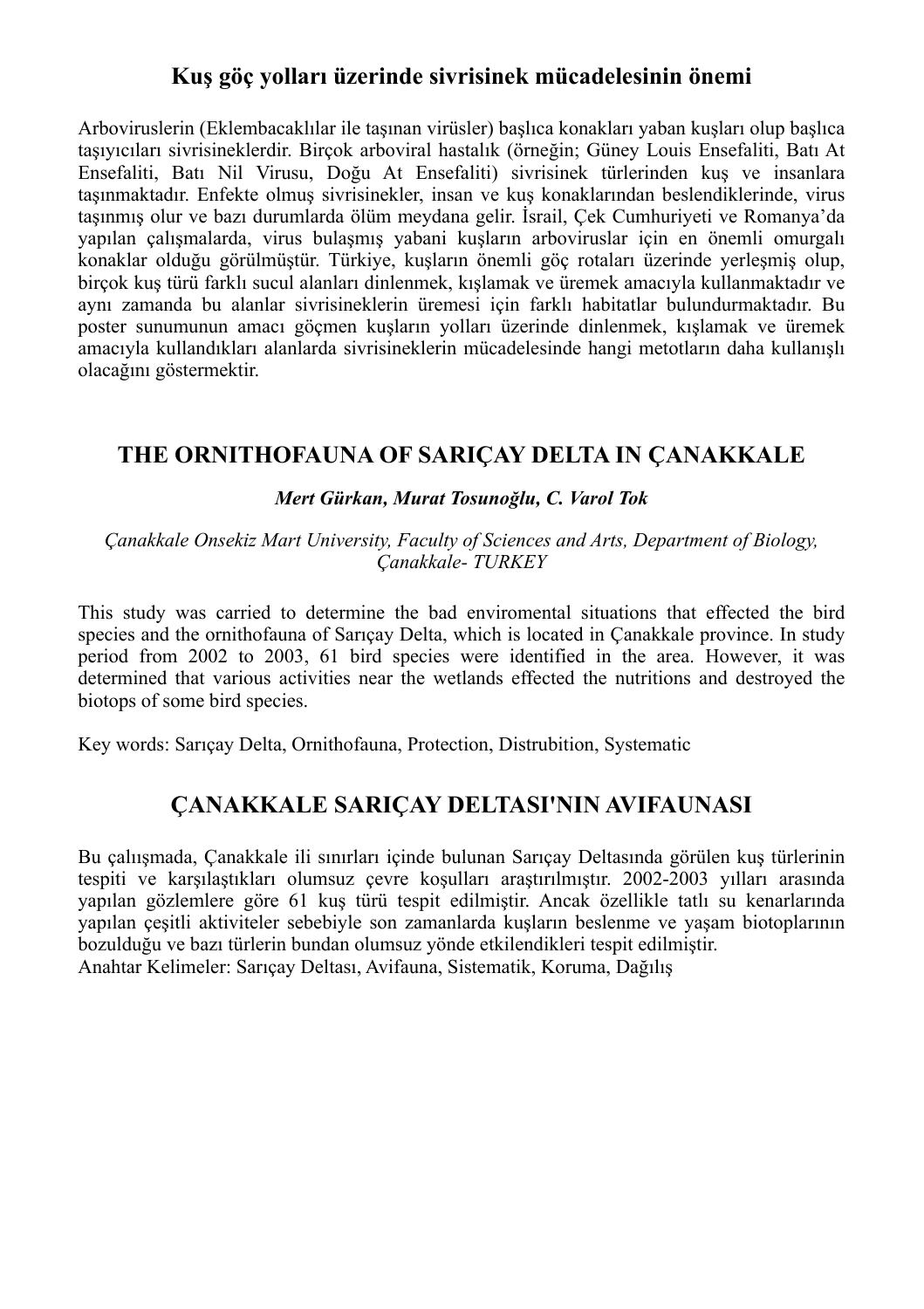## **Kuş göç yolları üzerinde sivrisinek mücadelesinin önemi**

Arboviruslerin (Eklembacaklılar ile taşınan virüsler) başlıca konakları yaban kuşları olup başlıca taşıyıcıları sivrisineklerdir. Birçok arboviral hastalık (örneğin; Güney Louis Ensefaliti, Batı At Ensefaliti, Batı Nil Virusu, Doğu At Ensefaliti) sivrisinek türlerinden kuş ve insanlara taşınmaktadır. Enfekte olmuş sivrisinekler, insan ve kuş konaklarından beslendiklerinde, virus taşınmış olur ve bazı durumlarda ölüm meydana gelir. İsrail, Çek Cumhuriyeti ve Romanya'da yapılan çalışmalarda, virus bulaşmış yabani kuşların arboviruslar için en önemli omurgalı konaklar olduğu görülmüştür. Türkiye, kuşların önemli göç rotaları üzerinde yerleşmiş olup, birçok kuş türü farklı sucul alanları dinlenmek, kışlamak ve üremek amacıyla kullanmaktadır ve aynı zamanda bu alanlar sivrisineklerin üremesi için farklı habitatlar bulundurmaktadır. Bu poster sunumunun amacı göçmen kuşların yolları üzerinde dinlenmek, kışlamak ve üremek amacıyla kullandıkları alanlarda sivrisineklerin mücadelesinde hangi metotların daha kullanışlı olacağını göstermektir.

## **THE ORNITHOFAUNA OF SARIÇAY DELTA IN ÇANAKKALE**

#### *Mert Gürkan, Murat Tosunoğlu, C. Varol Tok*

*Çanakkale Onsekiz Mart University, Faculty of Sciences and Arts, Department of Biology, Çanakkale- TURKEY*

This study was carried to determine the bad enviromental situations that effected the bird species and the ornithofauna of Sarıcay Delta, which is located in Canakkale province. In study period from 2002 to 2003, 61 bird species were identified in the area. However, it was determined that various activities near the wetlands effected the nutritions and destroyed the biotops of some bird species.

Key words: Sarıçay Delta, Ornithofauna, Protection, Distrubition, Systematic

## **ÇANAKKALE SARIÇAY DELTASI'NIN AVIFAUNASI**

Bu çalıışmada, Çanakkale ili sınırları içinde bulunan Sarıçay Deltasında görülen kuş türlerinin tespiti ve karşılaştıkları olumsuz çevre koşulları araştırılmıştır. 2002-2003 yılları arasında yapılan gözlemlere göre 61 kuş türü tespit edilmiştir. Ancak özellikle tatlı su kenarlarında yapılan çeşitli aktiviteler sebebiyle son zamanlarda kuşların beslenme ve yaşam biotoplarının bozulduğu ve bazı türlerin bundan olumsuz yönde etkilendikleri tespit edilmiştir. Anahtar Kelimeler: Sarıçay Deltası, Avifauna, Sistematik, Koruma, Dağılış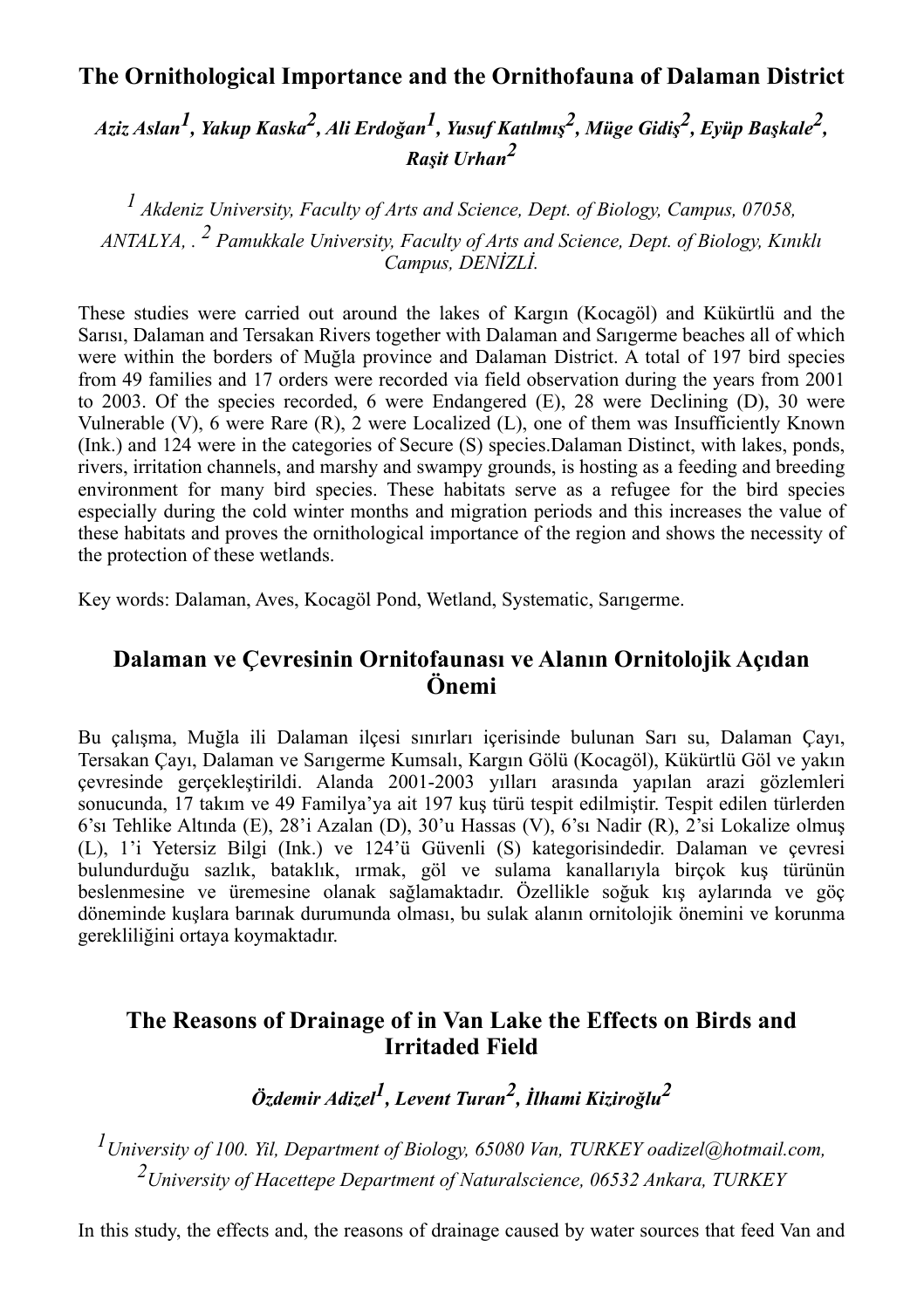## **The Ornithological Importance and the Ornithofauna of Dalaman District**

*Aziz Aslan1, Yakup Kaska2, Ali Erdoğan1, Yusuf Katılmı<sup>ş</sup> 2, Müge Gidi<sup>ş</sup> 2, Eyüp Başkale2, Raşit Urhan<sup>2</sup>*

*1 Akdeniz University, Faculty of Arts and Science, Dept. of Biology, Campus, 07058, ANTALYA, . 2 Pamukkale University, Faculty of Arts and Science, Dept. of Biology, Kınıklı Campus, DENİZLİ.*

These studies were carried out around the lakes of Kargın (Kocagöl) and Kükürtlü and the Sarısı, Dalaman and Tersakan Rivers together with Dalaman and Sarıgerme beaches all of which were within the borders of Muğla province and Dalaman District. A total of 197 bird species from 49 families and 17 orders were recorded via field observation during the years from 2001 to 2003. Of the species recorded, 6 were Endangered (E), 28 were Declining (D), 30 were Vulnerable (V), 6 were Rare (R), 2 were Localized (L), one of them was Insufficiently Known (Ink.) and 124 were in the categories of Secure (S) species.Dalaman Distinct, with lakes, ponds, rivers, irritation channels, and marshy and swampy grounds, is hosting as a feeding and breeding environment for many bird species. These habitats serve as a refugee for the bird species especially during the cold winter months and migration periods and this increases the value of these habitats and proves the ornithological importance of the region and shows the necessity of the protection of these wetlands.

Key words: Dalaman, Aves, Kocagöl Pond, Wetland, Systematic, Sarıgerme.

## **Dalaman ve Çevresinin Ornitofaunası ve Alanın Ornitolojik Açıdan Önemi**

Bu çalışma, Muğla ili Dalaman ilçesi sınırları içerisinde bulunan Sarı su, Dalaman Çayı, Tersakan Çayı, Dalaman ve Sarıgerme Kumsalı, Kargın Gölü (Kocagöl), Kükürtlü Göl ve yakın çevresinde gerçekleştirildi. Alanda 2001-2003 yılları arasında yapılan arazi gözlemleri sonucunda, 17 takım ve 49 Familya'ya ait 197 kuş türü tespit edilmiştir. Tespit edilen türlerden 6'sı Tehlike Altında (E), 28'i Azalan (D), 30'u Hassas (V), 6'sı Nadir (R), 2'si Lokalize olmuş (L), 1'i Yetersiz Bilgi (Ink.) ve 124'ü Güvenli (S) kategorisindedir. Dalaman ve çevresi bulundurduğu sazlık, bataklık, ırmak, göl ve sulama kanallarıyla birçok kuş türünün beslenmesine ve üremesine olanak sağlamaktadır. Özellikle soğuk kış aylarında ve göç döneminde kuşlara barınak durumunda olması, bu sulak alanın ornitolojik önemini ve korunma gerekliliğini ortaya koymaktadır.

## **The Reasons of Drainage of in Van Lake the Effects on Birds and Irritaded Field**

*Özdemir Adizel1, Levent Turan2, İlhami Kiziroğlu<sup>2</sup>*

*1University of 100. Yil, Department of Biology, 65080 Van, TURKEY oadizel@hotmail.com, 2University of Hacettepe Department of Naturalscience, 06532 Ankara, TURKEY*

In this study, the effects and, the reasons of drainage caused by water sources that feed Van and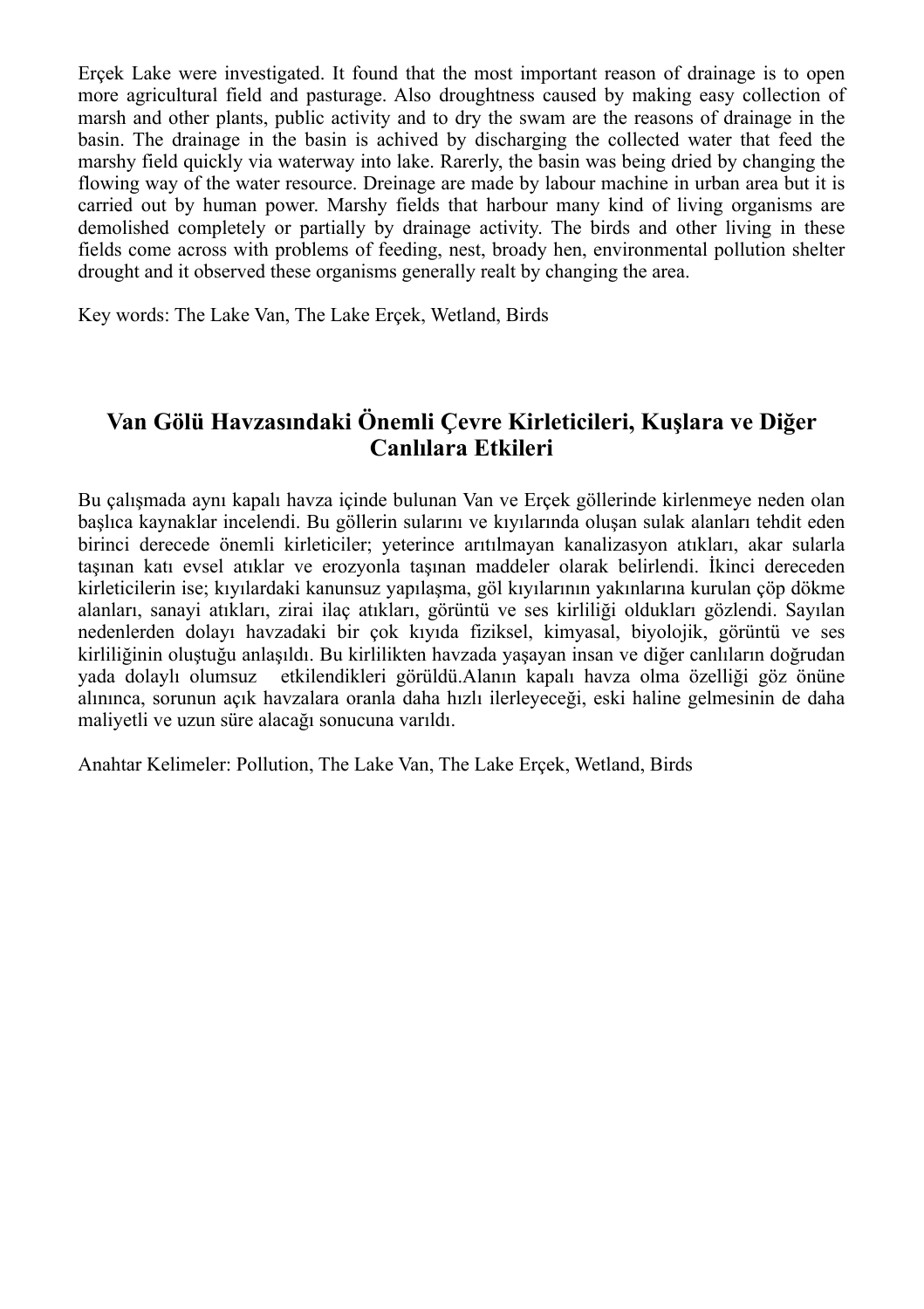Erçek Lake were investigated. It found that the most important reason of drainage is to open more agricultural field and pasturage. Also droughtness caused by making easy collection of marsh and other plants, public activity and to dry the swam are the reasons of drainage in the basin. The drainage in the basin is achived by discharging the collected water that feed the marshy field quickly via waterway into lake. Rarerly, the basin was being dried by changing the flowing way of the water resource. Dreinage are made by labour machine in urban area but it is carried out by human power. Marshy fields that harbour many kind of living organisms are demolished completely or partially by drainage activity. The birds and other living in these fields come across with problems of feeding, nest, broady hen, environmental pollution shelter drought and it observed these organisms generally realt by changing the area.

Key words: The Lake Van, The Lake Erçek, Wetland, Birds

## **Van Gölü Havzasındaki Önemli Çevre Kirleticileri, Kuşlara ve Diğer Canlılara Etkileri**

Bu çalışmada aynı kapalı havza içinde bulunan Van ve Erçek göllerinde kirlenmeye neden olan başlıca kaynaklar incelendi. Bu göllerin sularını ve kıyılarında oluşan sulak alanları tehdit eden birinci derecede önemli kirleticiler; yeterince arıtılmayan kanalizasyon atıkları, akar sularla taşınan katı evsel atıklar ve erozyonla taşınan maddeler olarak belirlendi. İkinci dereceden kirleticilerin ise; kıyılardaki kanunsuz yapılaşma, göl kıyılarının yakınlarına kurulan çöp dökme alanları, sanayi atıkları, zirai ilaç atıkları, görüntü ve ses kirliliği oldukları gözlendi. Sayılan nedenlerden dolayı havzadaki bir çok kıyıda fiziksel, kimyasal, biyolojik, görüntü ve ses kirliliğinin oluştuğu anlaşıldı. Bu kirlilikten havzada yaşayan insan ve diğer canlıların doğrudan yada dolaylı olumsuz etkilendikleri görüldü.Alanın kapalı havza olma özelliği göz önüne alınınca, sorunun açık havzalara oranla daha hızlı ilerleyeceği, eski haline gelmesinin de daha maliyetli ve uzun süre alacağı sonucuna varıldı.

Anahtar Kelimeler: Pollution, The Lake Van, The Lake Erçek, Wetland, Birds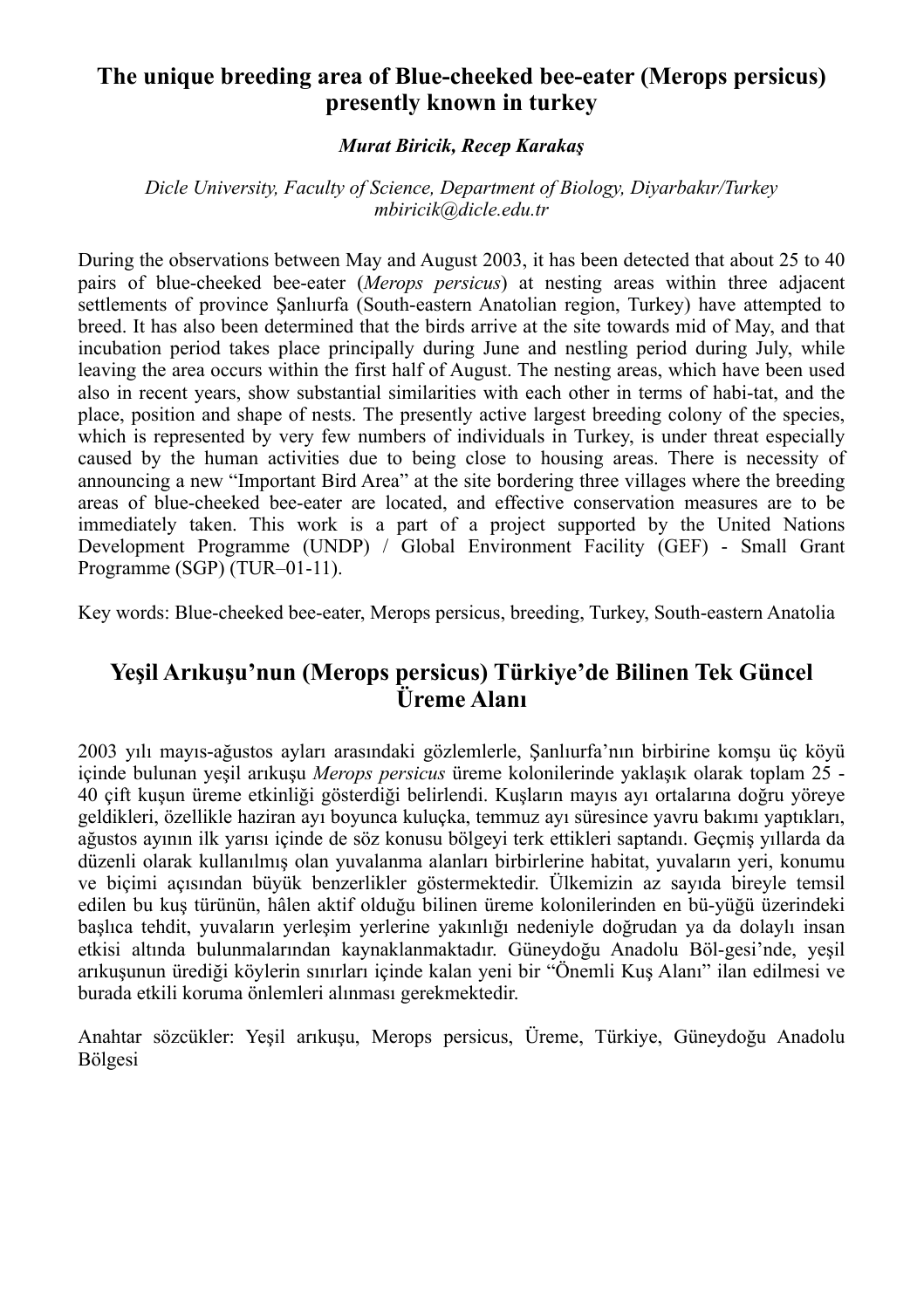## **The unique breeding area of Blue-cheeked bee-eater (Merops persicus) presently known in turkey**

#### *Murat Biricik, Recep Karakaş*

*Dicle University, Faculty of Science, Department of Biology, Diyarbakır/Turkey mbiricik@dicle.edu.tr*

During the observations between May and August 2003, it has been detected that about 25 to 40 pairs of blue-cheeked bee-eater (*Merops persicus*) at nesting areas within three adjacent settlements of province Şanlıurfa (South-eastern Anatolian region, Turkey) have attempted to breed. It has also been determined that the birds arrive at the site towards mid of May, and that incubation period takes place principally during June and nestling period during July, while leaving the area occurs within the first half of August. The nesting areas, which have been used also in recent years, show substantial similarities with each other in terms of habi-tat, and the place, position and shape of nests. The presently active largest breeding colony of the species, which is represented by very few numbers of individuals in Turkey, is under threat especially caused by the human activities due to being close to housing areas. There is necessity of announcing a new "Important Bird Area" at the site bordering three villages where the breeding areas of blue-cheeked bee-eater are located, and effective conservation measures are to be immediately taken. This work is a part of a project supported by the United Nations Development Programme (UNDP) / Global Environment Facility (GEF) - Small Grant Programme (SGP) (TUR–01-11).

Key words: Blue-cheeked bee-eater, Merops persicus, breeding, Turkey, South-eastern Anatolia

## **Yeşil Arıkuşu'nun (Merops persicus) Türkiye'de Bilinen Tek Güncel Üreme Alanı**

2003 yılı mayıs-ağustos ayları arasındaki gözlemlerle, Şanlıurfa'nın birbirine komşu üç köyü içinde bulunan yeşil arıkuşu *Merops persicus* üreme kolonilerinde yaklaşık olarak toplam 25 - 40 çift kuşun üreme etkinliği gösterdiği belirlendi. Kuşların mayıs ayı ortalarına doğru yöreye geldikleri, özellikle haziran ayı boyunca kuluçka, temmuz ayı süresince yavru bakımı yaptıkları, ağustos ayının ilk yarısı içinde de söz konusu bölgeyi terk ettikleri saptandı. Geçmiş yıllarda da düzenli olarak kullanılmış olan yuvalanma alanları birbirlerine habitat, yuvaların yeri, konumu ve biçimi açısından büyük benzerlikler göstermektedir. Ülkemizin az sayıda bireyle temsil edilen bu kuş türünün, hâlen aktif olduğu bilinen üreme kolonilerinden en bü-yüğü üzerindeki başlıca tehdit, yuvaların yerleşim yerlerine yakınlığı nedeniyle doğrudan ya da dolaylı insan etkisi altında bulunmalarından kaynaklanmaktadır. Güneydoğu Anadolu Böl-gesi'nde, yeşil arıkuşunun ürediği köylerin sınırları içinde kalan yeni bir "Önemli Kuş Alanı" ilan edilmesi ve burada etkili koruma önlemleri alınması gerekmektedir.

Anahtar sözcükler: Yeşil arıkuşu, Merops persicus, Üreme, Türkiye, Güneydoğu Anadolu Bölgesi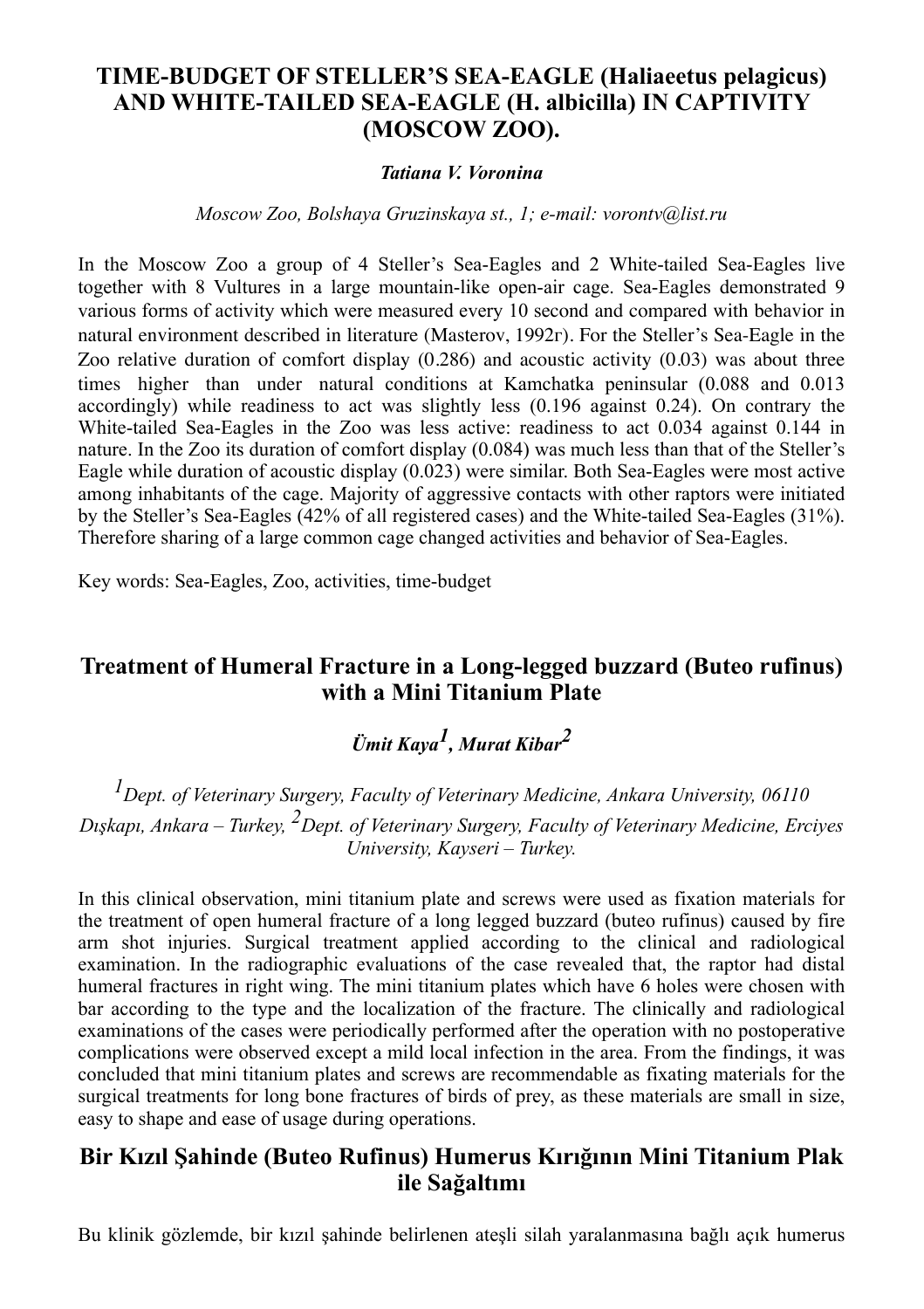## **TIME-BUDGET OF STELLER'S SEA-EAGLE (Haliaeetus pelagicus) AND WHITE-TAILED SEA-EAGLE (H. albicilla) IN CAPTIVITY (MOSCOW ZOO).**

#### *Tatiana V. Voronina*

*Moscow Zoo, Bolshaya Gruzinskaya st., 1; e-mail: vorontv@list.ru*

In the Moscow Zoo a group of 4 Steller's Sea-Eagles and 2 White-tailed Sea-Eagles live together with 8 Vultures in a large mountain-like open-air cage. Sea-Eagles demonstrated 9 various forms of activity which were measured every 10 second and compared with behavior in natural environment described in literature (Masterov, 1992г). For the Steller's Sea-Eagle in the Zoo relative duration of comfort display (0.286) and acoustic activity (0.03) was about three times higher than under natural conditions at Kamchatka peninsular (0.088 and 0.013 accordingly) while readiness to act was slightly less (0.196 against 0.24). On contrary the White-tailed Sea-Eagles in the Zoo was less active: readiness to act 0.034 against 0.144 in nature. In the Zoo its duration of comfort display (0.084) was much less than that of the Steller's Eagle while duration of acoustic display (0.023) were similar. Both Sea-Eagles were most active among inhabitants of the cage. Majority of aggressive contacts with other raptors were initiated by the Steller's Sea-Eagles (42% of all registered cases) and the White-tailed Sea-Eagles (31%). Therefore sharing of a large common cage changed activities and behavior of Sea-Eagles.

Key words: Sea-Eagles, Zoo, activities, time-budget

## **Treatment of Humeral Fracture in a Long-legged buzzard (Buteo rufinus) with a Mini Titanium Plate**

## *Ümit Kaya1, Murat Kibar2*

*1Dept. of Veterinary Surgery, Faculty of Veterinary Medicine, Ankara University, 06110 Dışkapı, Ankara – Turkey, 2Dept. of Veterinary Surgery, Faculty of Veterinary Medicine, Erciyes University, Kayseri – Turkey.*

In this clinical observation, mini titanium plate and screws were used as fixation materials for the treatment of open humeral fracture of a long legged buzzard (buteo rufinus) caused by fire arm shot injuries. Surgical treatment applied according to the clinical and radiological examination. In the radiographic evaluations of the case revealed that, the raptor had distal humeral fractures in right wing. The mini titanium plates which have 6 holes were chosen with bar according to the type and the localization of the fracture. The clinically and radiological examinations of the cases were periodically performed after the operation with no postoperative complications were observed except a mild local infection in the area. From the findings, it was concluded that mini titanium plates and screws are recommendable as fixating materials for the surgical treatments for long bone fractures of birds of prey, as these materials are small in size, easy to shape and ease of usage during operations.

## **Bir Kızıl Şahinde (Buteo Rufinus) Humerus Kırığının Mini Titanium Plak ile Sağaltımı**

Bu klinik gözlemde, bir kızıl şahinde belirlenen ateşli silah yaralanmasına bağlı açık humerus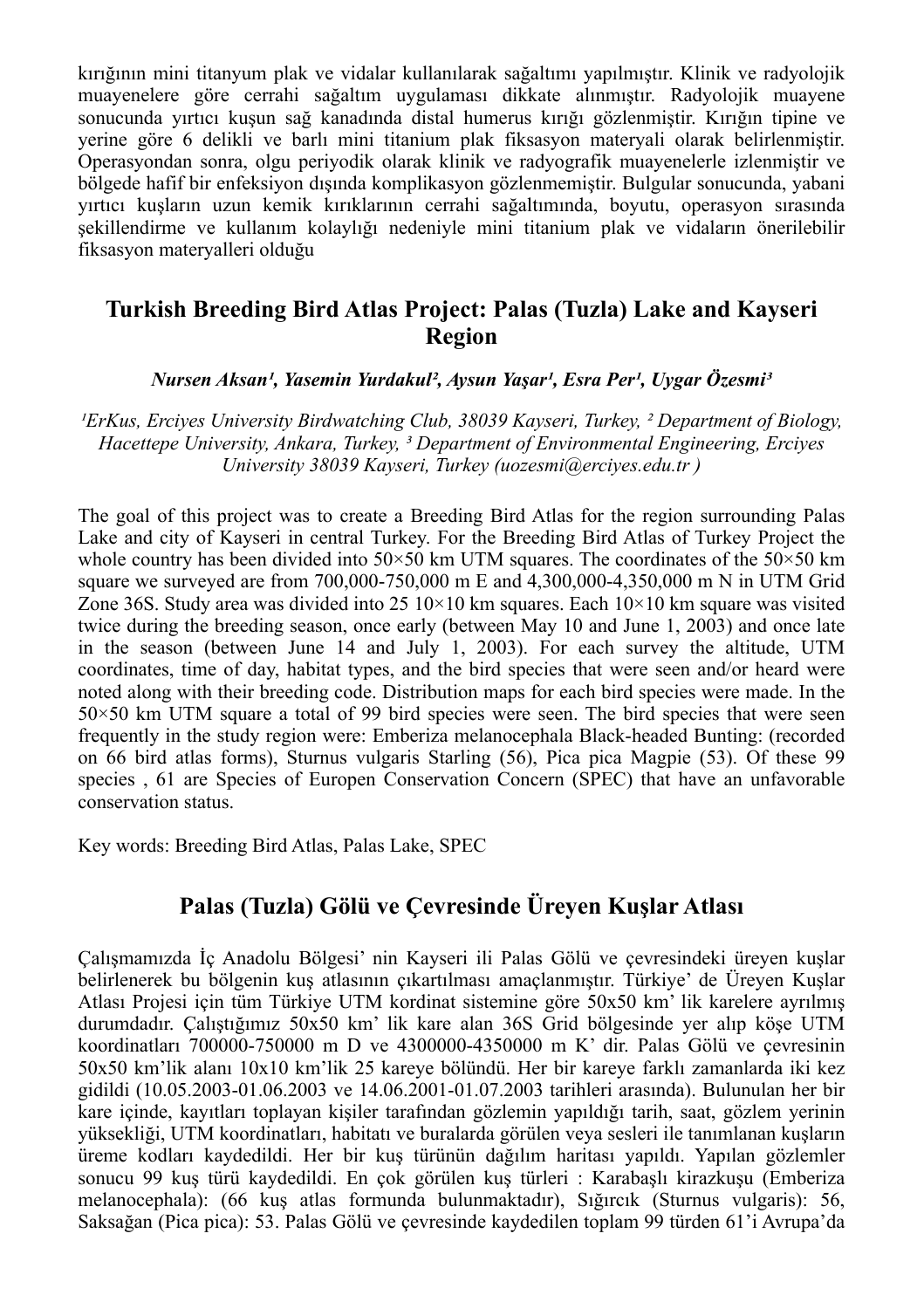kırığının mini titanyum plak ve vidalar kullanılarak sağaltımı yapılmıştır. Klinik ve radyolojik muayenelere göre cerrahi sağaltım uygulaması dikkate alınmıştır. Radyolojik muayene sonucunda yırtıcı kuşun sağ kanadında distal humerus kırığı gözlenmiştir. Kırığın tipine ve yerine göre 6 delikli ve barlı mini titanium plak fiksasyon materyali olarak belirlenmiştir. Operasyondan sonra, olgu periyodik olarak klinik ve radyografik muayenelerle izlenmiştir ve bölgede hafif bir enfeksiyon dışında komplikasyon gözlenmemiştir. Bulgular sonucunda, yabani yırtıcı kuşların uzun kemik kırıklarının cerrahi sağaltımında, boyutu, operasyon sırasında şekillendirme ve kullanım kolaylığı nedeniyle mini titanium plak ve vidaların önerilebilir fiksasyon materyalleri olduğu

## **Turkish Breeding Bird Atlas Project: Palas (Tuzla) Lake and Kayseri Region**

*Nursen Aksan¹, Yasemin Yurdakul², Aysun Yaşar¹, Esra Per¹, Uygar Özesmi³*

*¹ErKus, Erciyes University Birdwatching Club, 38039 Kayseri, Turkey, ² Department of Biology, Hacettepe University, Ankara, Turkey, ³ Department of Environmental Engineering, Erciyes University 38039 Kayseri, Turkey (uozesmi@erciyes.edu.tr )*

The goal of this project was to create a Breeding Bird Atlas for the region surrounding Palas Lake and city of Kayseri in central Turkey. For the Breeding Bird Atlas of Turkey Project the whole country has been divided into  $50 \times 50$  km UTM squares. The coordinates of the  $50 \times 50$  km square we surveyed are from 700,000-750,000 m E and 4,300,000-4,350,000 m N in UTM Grid Zone 36S. Study area was divided into 25  $10 \times 10$  km squares. Each  $10 \times 10$  km square was visited twice during the breeding season, once early (between May 10 and June 1, 2003) and once late in the season (between June 14 and July 1, 2003). For each survey the altitude, UTM coordinates, time of day, habitat types, and the bird species that were seen and/or heard were noted along with their breeding code. Distribution maps for each bird species were made. In the  $50\times50$  km UTM square a total of 99 bird species were seen. The bird species that were seen frequently in the study region were: Emberiza melanocephala Black-headed Bunting: (recorded on 66 bird atlas forms), Sturnus vulgaris Starling (56), Pica pica Magpie (53). Of these 99 species , 61 are Species of Europen Conservation Concern (SPEC) that have an unfavorable conservation status.

Key words: Breeding Bird Atlas, Palas Lake, SPEC

## **Palas (Tuzla) Gölü ve Çevresinde Üreyen Kuşlar Atlası**

Çalışmamızda İç Anadolu Bölgesi' nin Kayseri ili Palas Gölü ve çevresindeki üreyen kuşlar belirlenerek bu bölgenin kuş atlasının çıkartılması amaçlanmıştır. Türkiye' de Üreyen Kuşlar Atlası Projesi için tüm Türkiye UTM kordinat sistemine göre 50x50 km' lik karelere ayrılmış durumdadır. Çalıştığımız 50x50 km' lik kare alan 36S Grid bölgesinde yer alıp köşe UTM koordinatları 700000-750000 m D ve 4300000-4350000 m K' dir. Palas Gölü ve çevresinin 50x50 km'lik alanı 10x10 km'lik 25 kareye bölündü. Her bir kareye farklı zamanlarda iki kez gidildi (10.05.2003-01.06.2003 ve 14.06.2001-01.07.2003 tarihleri arasında). Bulunulan her bir kare içinde, kayıtları toplayan kişiler tarafından gözlemin yapıldığı tarih, saat, gözlem yerinin yüksekliği, UTM koordinatları, habitatı ve buralarda görülen veya sesleri ile tanımlanan kuşların üreme kodları kaydedildi. Her bir kuş türünün dağılım haritası yapıldı. Yapılan gözlemler sonucu 99 kuş türü kaydedildi. En çok görülen kuş türleri : Karabaşlı kirazkuşu (Emberiza melanocephala): (66 kuş atlas formunda bulunmaktadır), Sığırcık (Sturnus vulgaris): 56, Saksağan (Pica pica): 53. Palas Gölü ve çevresinde kaydedilen toplam 99 türden 61'i Avrupa'da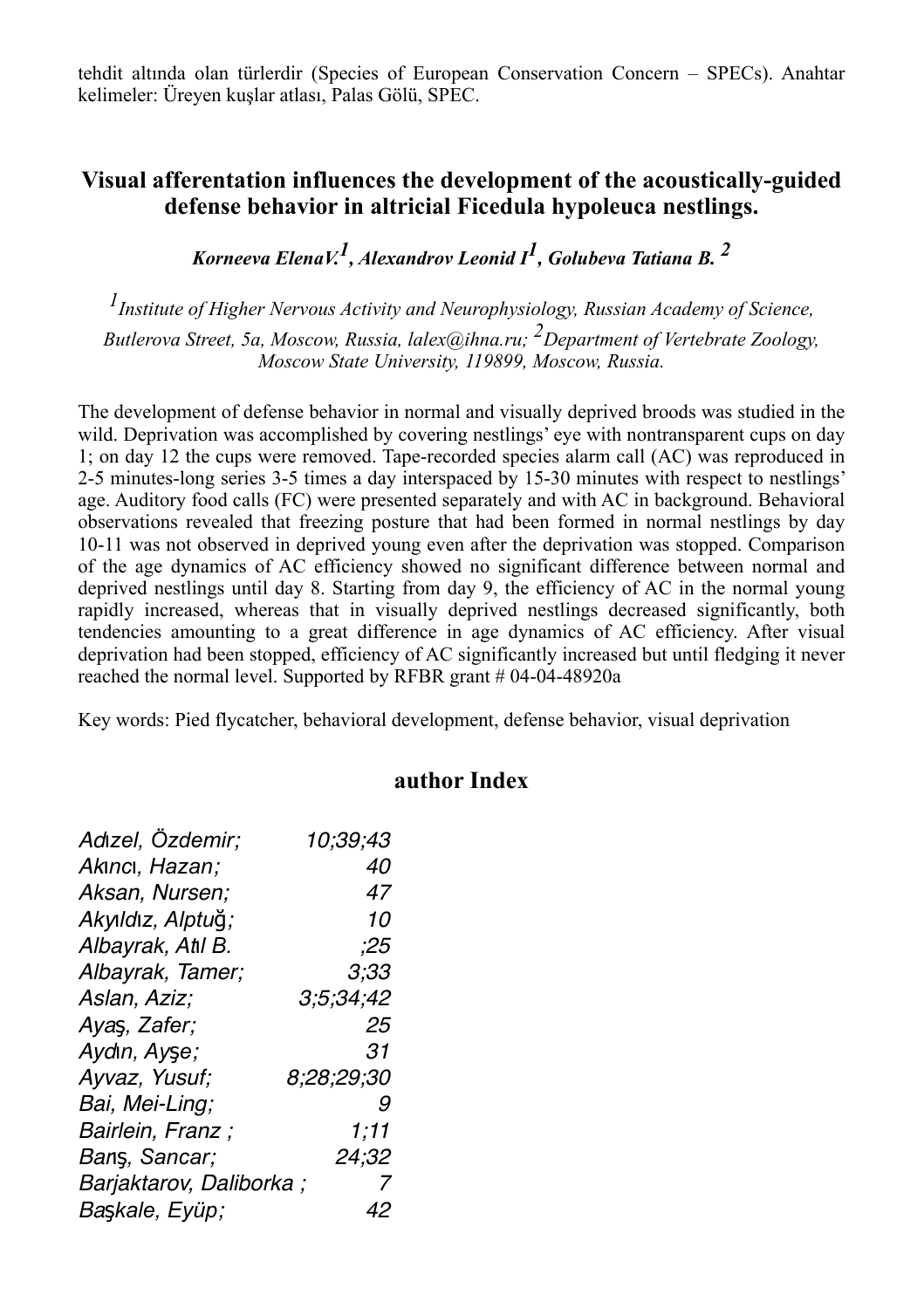tehdit altında olan türlerdir (Species of European Conservation Concern – SPECs). Anahtar kelimeler: Üreyen kuşlar atlası, Palas Gölü, SPEC.

## **Visual afferentation influences the development of the acoustically-guided defense behavior in altricial Ficedula hypoleuca nestlings.**

*Korneeva ElenaV.1, Alexandrov Leonid I1, Golubeva Tatiana B. 2*

*1Institute of Higher Nervous Activity and Neurophysiology, Russian Academy of Science,* 

*Butlerova Street, 5a, Moscow, Russia, lalex@ihna.ru; 2Department of Vertebrate Zoology, Moscow State University, 119899, Moscow, Russia.*

The development of defense behavior in normal and visually deprived broods was studied in the wild. Deprivation was accomplished by covering nestlings' eye with nontransparent cups on day 1; on day 12 the cups were removed. Tape-recorded species alarm call (AC) was reproduced in 2-5 minutes-long series 3-5 times a day interspaced by 15-30 minutes with respect to nestlings' age. Auditory food calls (FC) were presented separately and with AC in background. Behavioral observations revealed that freezing posture that had been formed in normal nestlings by day 10-11 was not observed in deprived young even after the deprivation was stopped. Comparison of the age dynamics of AC efficiency showed no significant difference between normal and deprived nestlings until day 8. Starting from day 9, the efficiency of AC in the normal young rapidly increased, whereas that in visually deprived nestlings decreased significantly, both tendencies amounting to a great difference in age dynamics of AC efficiency. After visual deprivation had been stopped, efficiency of AC significantly increased but until fledging it never reached the normal level. Supported by RFBR grant # 04-04-48920a

Key words: Pied flycatcher, behavioral development, defense behavior, visual deprivation

#### **author Index**

| Adızel, Özdemir;        | 10;39;43   |
|-------------------------|------------|
| Akıncı, Hazan;          | 40         |
| Aksan, Nursen;          | 47         |
| Akyıldız, Alptuğ;       | 10         |
| Albayrak, Atl B.        | ;25        |
| Albayrak, Tamer;        | 3;33       |
| Aslan, Aziz;            | 3:5:34:42  |
| Ayas, Zafer;            | 25         |
| Aydın, Ayşe;            | 31         |
| Ayvaz, Yusuf;           | 8;28;29;30 |
| Bai, Mei-Ling;          | 9          |
| Bairlein, Franz;        | 1,11       |
| Bans, Sancar;           | 24:32      |
| Barjaktarov, Daliborka; | 7          |
| Başkale, Eyüp;          | 42         |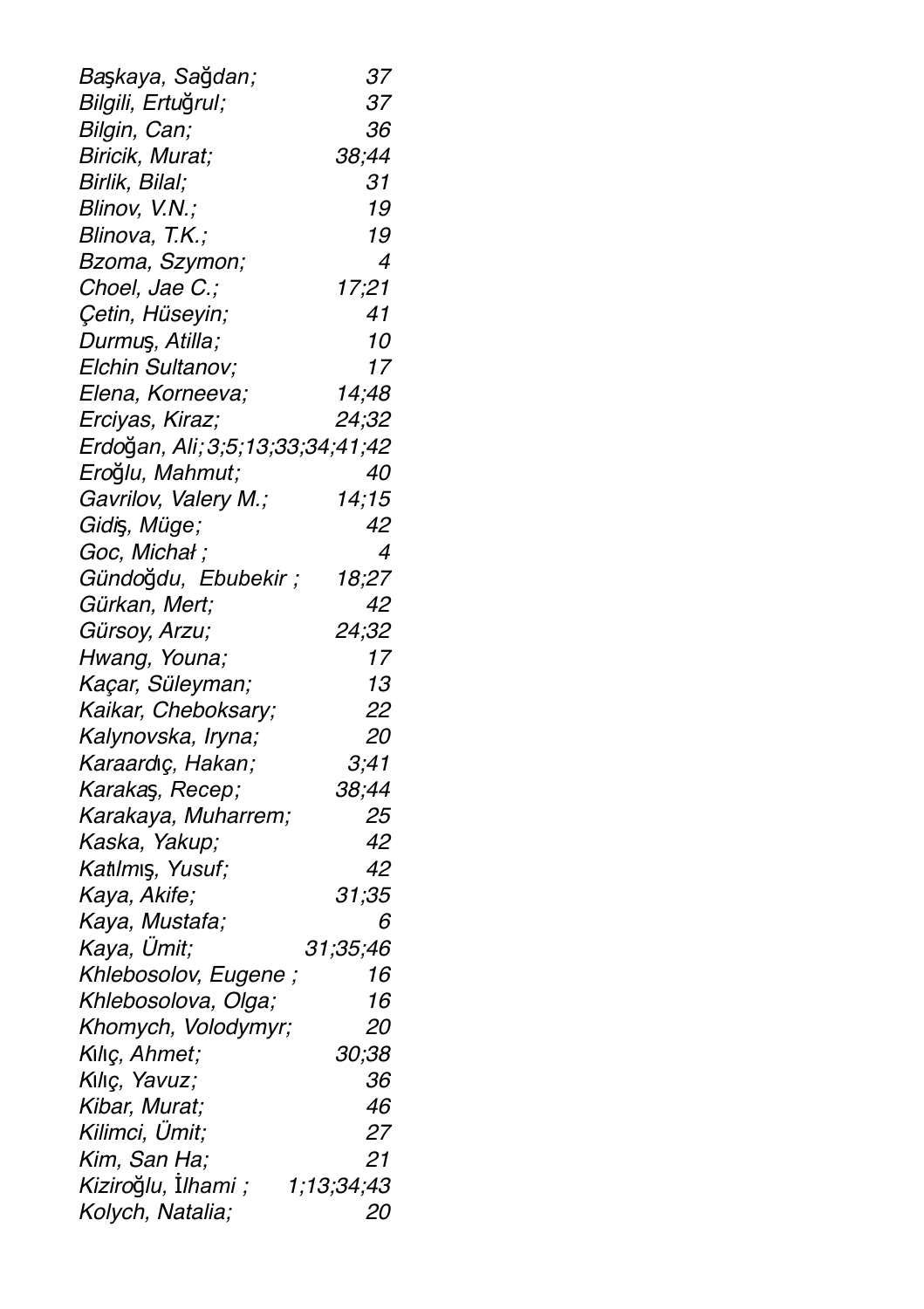| Başkaya, Sağdan;                 | 37         |
|----------------------------------|------------|
| Bilgili, Ertuğrul;               | 37         |
| Bilgin, Can;                     | 36         |
| Biricik, Murat;                  | 38;44      |
| Birlik, Bilal;                   | 31         |
| Blinov, V.N.;                    | 19         |
| Blinova, T.K.;                   | 19         |
| Bzoma, Szymon;                   | 4          |
| Choel, Jae C.;                   | 17;21      |
| Çetin, Hüseyin;                  | 41         |
| Durmuş, Atilla;                  | 10         |
| Elchin Sultanov;                 | 17         |
| Elena, Korneeva;                 | 14;48      |
| Erciyas, Kiraz;                  | 24;32      |
| Erdoğan, Ali; 3;5;13;33;34;41;42 |            |
| Eroğlu, Mahmut;                  | 40         |
| Gavrilov, Valery M.;             | 14;15      |
| Gidiş, Müge;                     | 42         |
| Goc, Michał;                     | 4          |
| Gündoğdu, Ebubekir;              | 18;27      |
| Gürkan, Mert;                    | 42         |
| Gürsoy, Arzu;                    | 24;32      |
| Hwang, Youna;                    | 17         |
| Kaçar, Süleyman;                 | 13         |
| Kaikar, Cheboksary;              | 22         |
| Kalynovska, Iryna;               | 20         |
| Karaardıç, Hakan;                | 3,41       |
| Karakaş, Recep;                  | 38;44      |
| Karakaya, Muharrem;              | 25         |
| Kaska, Yakup;                    | 42         |
| Katılmış, Yusuf;                 | 42         |
| Kaya, Akife;                     | 31;35      |
| Kaya, Mustafa;                   | 6          |
| Kaya, Ümit;                      | 31;35;46   |
| Khlebosolov, Eugene;             | 16         |
| Khlebosolova, Olga;              | 16         |
| Khomych, Volodymyr;              | 20         |
| Kılıç, Ahmet;                    | 30;38      |
| Kiliç, Yavuz;                    | 36         |
| Kibar, Murat;                    | 46         |
| Kilimci, Ümit;                   | 27         |
| Kim, San Ha;                     | 21         |
| Kiziroğlu, İlhami;               | 1;13;34;43 |
| Kolych, Natalia;                 | 20         |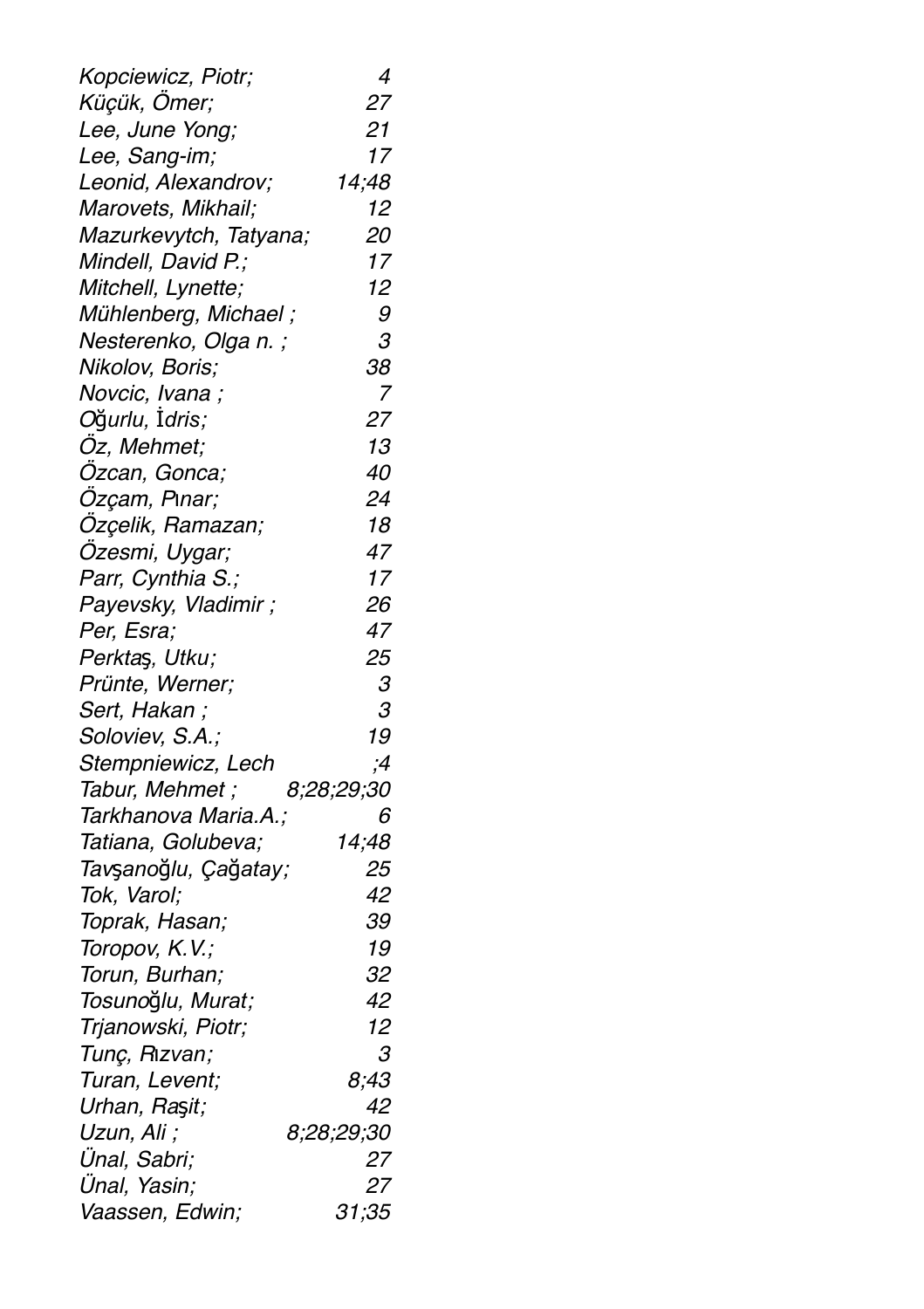| Kopciewicz, Piotr;     | 4                    |
|------------------------|----------------------|
| Küçük, Ömer;           | 27                   |
| Lee, June Yong;        | 21                   |
| Lee, Sang-im;          | 17                   |
| Leonid, Alexandrov;    | 14;48                |
| Marovets, Mikhail;     | 12                   |
| Mazurkevytch, Tatyana; | 20                   |
| Mindell, David P.;     | 17                   |
| Mitchell, Lynette;     | 12                   |
| Mühlenberg, Michael;   | 9                    |
| Nesterenko, Olga n.;   | $\boldsymbol{\beta}$ |
| Nikolov, Boris;        | 38                   |
| Novcic, Ivana;         | 7                    |
| Oğurlu, İdris;         | 27                   |
| Öz, Mehmet;            | 13                   |
| Özcan, Gonca;          | 40                   |
| Özçam, Pınar;          | 24                   |
| Özçelik, Ramazan;      | 18                   |
| Özesmi, Uygar;         | 47                   |
| Parr, Cynthia S.;      | 17                   |
| Payevsky, Vladimir;    | 26                   |
| Per, Esra;             | 47                   |
| Perktaş, Utku;         | 25                   |
| Prünte, Werner;        | $\boldsymbol{\beta}$ |
| Sert, Hakan;           | 3                    |
| Soloviev, S.A.;        | 19                   |
| Stempniewicz, Lech     | ;4                   |
| Tabur, Mehmet;         | 8;28;29;30           |
| Tarkhanova Maria.A.;   | 6                    |
| Tatiana, Golubeva;     | 14;48                |
| Tavşanoğlu, Çağatay;   | 25                   |
| Tok, Varol;            | 42                   |
| Toprak, Hasan;         | 39                   |
| Toropov, K.V.;         | 19                   |
| Torun, Burhan;         | 32                   |
| Tosunoğlu, Murat;      | 42                   |
| Trjanowski, Piotr;     | 12                   |
| Tunç, Rızvan;          | З                    |
| Turan, Levent;         | 8;43                 |
| Urhan, Raşit;          | 42                   |
| Uzun, Ali;             | 8;28;29;30           |
| Ünal, Sabri;           | 27                   |
| Ünal, Yasin;           | 27                   |
| Vaassen, Edwin;        | 31;35                |
|                        |                      |